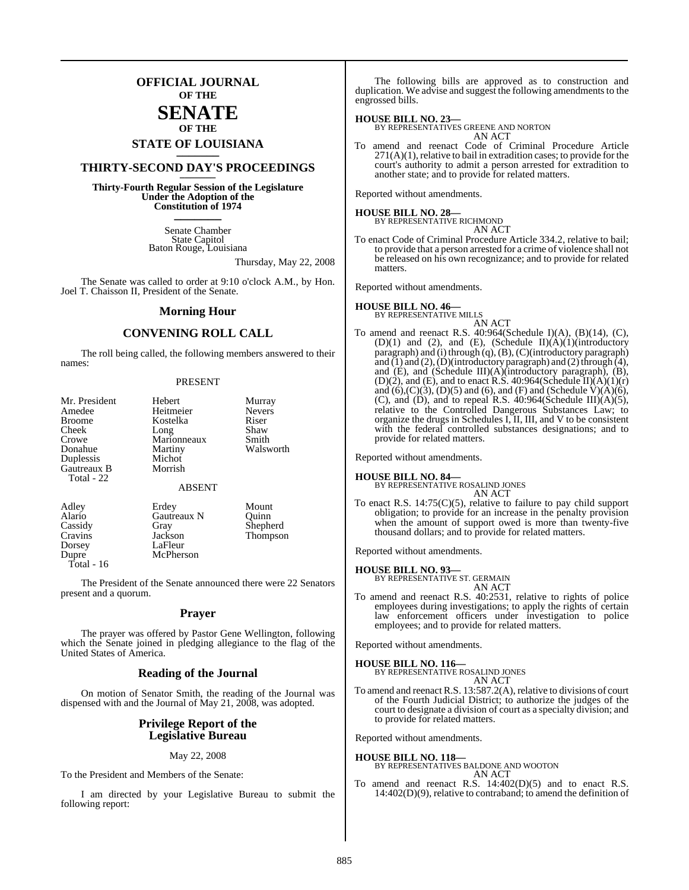## **OFFICIAL JOURNAL OF THE**

## **SENATE OF THE**

# **STATE OF LOUISIANA \_\_\_\_\_\_\_**

## **THIRTY-SECOND DAY'S PROCEEDINGS \_\_\_\_\_\_\_**

**Thirty-Fourth Regular Session of the Legislature Under the Adoption of the Constitution of 1974 \_\_\_\_\_\_\_**

> Senate Chamber State Capitol Baton Rouge, Louisiana

> > Thursday, May 22, 2008

The Senate was called to order at 9:10 o'clock A.M., by Hon. Joel T. Chaisson II, President of the Senate.

#### **Morning Hour**

### **CONVENING ROLL CALL**

The roll being called, the following members answered to their names:

#### PRESENT

| Mr. President | Hebert        | Murray        |
|---------------|---------------|---------------|
| Amedee        | Heitmeier     | <b>Nevers</b> |
| <b>Broome</b> | Kostelka      | Riser         |
| Cheek         | Long          | Shaw          |
| Crowe         | Marionneaux   | Smith         |
| Donahue       | Martiny       | Walsworth     |
| Duplessis     | Michot        |               |
| Gautreaux B   | Morrish       |               |
| Total - 22    |               |               |
|               | <b>ABSENT</b> |               |
| Adley         | Erdey         | Mount         |
| Alario        | Gautreaux N   | Quinn         |
| Cassidy       | Gray          | Shepherd      |
| Cravins       | Jackson       | Thompson      |
| Dorsey        | LaFleur       |               |

McPherson

Dorsey LaFleur<br>Dunre McPhers

Total - 16

The President of the Senate announced there were 22 Senators present and a quorum.

#### **Prayer**

The prayer was offered by Pastor Gene Wellington, following which the Senate joined in pledging allegiance to the flag of the United States of America.

#### **Reading of the Journal**

On motion of Senator Smith, the reading of the Journal was dispensed with and the Journal of May 21, 2008, was adopted.

#### **Privilege Report of the Legislative Bureau**

#### May 22, 2008

To the President and Members of the Senate:

I am directed by your Legislative Bureau to submit the following report:

The following bills are approved as to construction and duplication. We advise and suggest the following amendments to the engrossed bills.

#### **HOUSE BILL NO. 23—**

BY REPRESENTATIVES GREENE AND NORTON AN ACT

To amend and reenact Code of Criminal Procedure Article  $271(A)(1)$ , relative to bail in extradition cases; to provide for the court's authority to admit a person arrested for extradition to another state; and to provide for related matters.

Reported without amendments.

# **HOUSE BILL NO. 28—** BY REPRESENTATIVE RICHMOND

AN ACT

To enact Code of Criminal Procedure Article 334.2, relative to bail; to provide that a person arrested for a crime of violence shall not be released on his own recognizance; and to provide for related matters.

Reported without amendments.

## **HOUSE BILL NO. 46—**

BY REPRESENTATIVE MILLS AN ACT

To amend and reenact R.S. 40:964(Schedule I)(A), (B)(14), (C), (D)(1) and (2), and (E), (Schedule II)(A)(1)(introductory paragraph) and (i) through  $(q)$ ,  $(B)$ ,  $(C)$ (introductory paragraph) and (1) and (2), (D)(introductory paragraph) and (2) through (4), and (E), and (Schedule III)(A)(introductory paragraph), (B), (D)(2), and (E), and to enact R.S. 40:964(Schedule II) $(A)(1)(r)$ and  $(6)$ , $(C)(3)$ ,  $(D)(5)$  and  $(6)$ , and  $(F)$  and  $(Scheedule V)(A)(6)$ , (C), and (D), and to repeal R.S.  $40:964$ (Schedule III)(A)(5), relative to the Controlled Dangerous Substances Law; to organize the drugs in Schedules I, II, III, and V to be consistent with the federal controlled substances designations; and to provide for related matters.

Reported without amendments.

**HOUSE BILL NO. 84—** BY REPRESENTATIVE ROSALIND JONES AN ACT

To enact R.S. 14:75(C)(5), relative to failure to pay child support obligation; to provide for an increase in the penalty provision when the amount of support owed is more than twenty-five thousand dollars; and to provide for related matters.

Reported without amendments.

#### **HOUSE BILL NO. 93—**

BY REPRESENTATIVE ST. GERMAIN AN ACT

To amend and reenact R.S. 40:2531, relative to rights of police employees during investigations; to apply the rights of certain law enforcement officers under investigation to police employees; and to provide for related matters.

Reported without amendments.

## **HOUSE BILL NO. 116—** BY REPRESENTATIVE ROSALIND JONES AN ACT

To amend and reenact R.S. 13:587.2(A), relative to divisions of court of the Fourth Judicial District; to authorize the judges of the court to designate a division of court as a specialty division; and to provide for related matters.

Reported without amendments.

#### **HOUSE BILL NO. 118—** BY REPRESENTATIVES BALDONE AND WOOTON AN ACT

To amend and reenact R.S. 14:402(D)(5) and to enact R.S. 14:402(D)(9), relative to contraband; to amend the definition of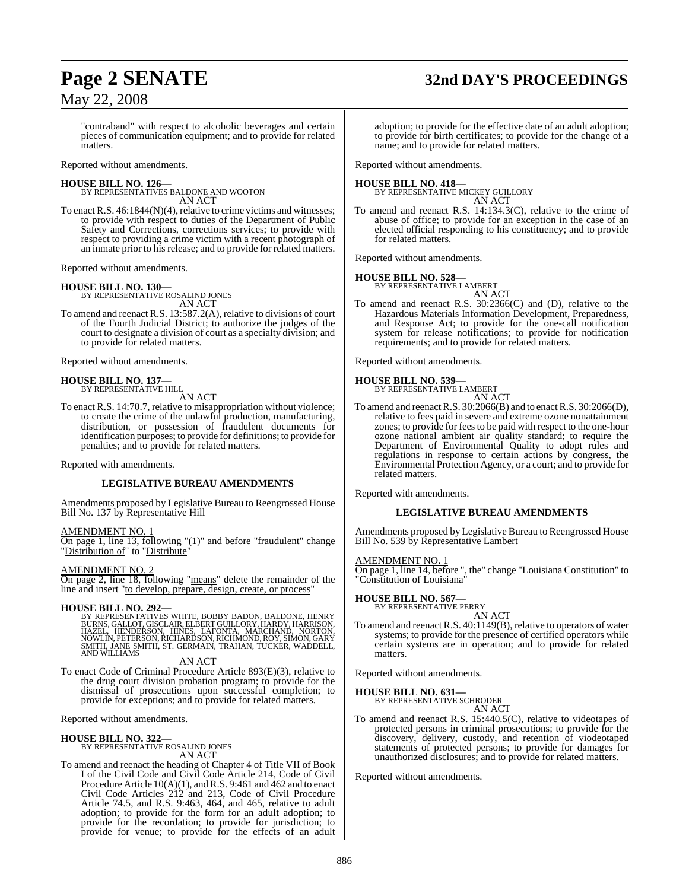# **Page 2 SENATE 32nd DAY'S PROCEEDINGS**

## May 22, 2008

"contraband" with respect to alcoholic beverages and certain pieces of communication equipment; and to provide for related matters.

Reported without amendments.

**HOUSE BILL NO. 126—** BY REPRESENTATIVES BALDONE AND WOOTON AN ACT

To enact R.S.  $46:1844(N)(4)$ , relative to crime victims and witnesses; to provide with respect to duties of the Department of Public Safety and Corrections, corrections services; to provide with respect to providing a crime victim with a recent photograph of

an inmate prior to his release; and to provide for related matters.

Reported without amendments.

## **HOUSE BILL NO. 130—**

BY REPRESENTATIVE ROSALIND JONES

- AN ACT To amend and reenact R.S. 13:587.2(A), relative to divisions of court
- of the Fourth Judicial District; to authorize the judges of the court to designate a division of court as a specialty division; and to provide for related matters.

Reported without amendments.

#### **HOUSE BILL NO. 137—** BY REPRESENTATIVE HILL

AN ACT

To enact R.S. 14:70.7, relative to misappropriation without violence; to create the crime of the unlawful production, manufacturing, distribution, or possession of fraudulent documents for identification purposes; to provide for definitions; to provide for penalties; and to provide for related matters.

Reported with amendments.

#### **LEGISLATIVE BUREAU AMENDMENTS**

Amendments proposed by Legislative Bureau to Reengrossed House Bill No. 137 by Representative Hill

AMENDMENT NO. 1

On page 1, line 13, following "(1)" and before "fraudulent" change "Distribution of" to "Distribute"

AMENDMENT NO. 2

On page 2, line 18, following "means" delete the remainder of the line and insert "to develop, prepare, design, create, or process"

#### **HOUSE BILL NO. 292—**

BY REPRESENTATIVES WHITE, BOBBY BADON, BALDONE, HENRY<br>BURNS, GALLOT,GISCLAIR,ELBERTGUILLORY,HARDY, HARRYSON,<br>HAZEL, HENDERSON, HINES, LAFONTA, MARCHAND, NORTON,<br>NOWLIN,PETERSON,RICHARDSON,RICHMOND,ROY,SIMON,GARY<br>SANT WILLI

#### AN ACT

To enact Code of Criminal Procedure Article 893(E)(3), relative to the drug court division probation program; to provide for the dismissal of prosecutions upon successful completion; to provide for exceptions; and to provide for related matters.

Reported without amendments.

**HOUSE BILL NO. 322—**

BY REPRESENTATIVE ROSALIND JONES AN ACT

To amend and reenact the heading of Chapter 4 of Title VII of Book I of the Civil Code and Civil Code Article 214, Code of Civil Procedure Article 10(A)(1), and R.S. 9:461 and 462 and to enact Civil Code Articles 212 and 213, Code of Civil Procedure Article 74.5, and R.S. 9:463, 464, and 465, relative to adult adoption; to provide for the form for an adult adoption; to provide for the recordation; to provide for jurisdiction; to provide for venue; to provide for the effects of an adult

adoption; to provide for the effective date of an adult adoption; to provide for birth certificates; to provide for the change of a name; and to provide for related matters.

Reported without amendments.

**HOUSE BILL NO. 418—** BY REPRESENTATIVE MICKEY GUILLORY AN ACT

To amend and reenact R.S. 14:134.3(C), relative to the crime of abuse of office; to provide for an exception in the case of an elected official responding to his constituency; and to provide for related matters.

Reported without amendments.

# **HOUSE BILL NO. 528—** BY REPRESENTATIVE LAMBERT

AN ACT

To amend and reenact R.S. 30:2366(C) and (D), relative to the Hazardous Materials Information Development, Preparedness, and Response Act; to provide for the one-call notification system for release notifications; to provide for notification requirements; and to provide for related matters.

Reported without amendments.

# **HOUSE BILL NO. 539—** BY REPRESENTATIVE LAMBERT

AN ACT

To amend and reenact R.S. 30:2066(B) and to enact R.S. 30:2066(D), relative to fees paid in severe and extreme ozone nonattainment zones; to provide for feesto be paid with respect to the one-hour ozone national ambient air quality standard; to require the Department of Environmental Quality to adopt rules and regulations in response to certain actions by congress, the Environmental Protection Agency, or a court; and to provide for related matters.

Reported with amendments.

#### **LEGISLATIVE BUREAU AMENDMENTS**

Amendments proposed by Legislative Bureau to Reengrossed House Bill No. 539 by Representative Lambert

#### AMENDMENT NO. 1

On page 1, line 14, before ", the" change "Louisiana Constitution" to "Constitution of Louisiana"

#### **HOUSE BILL NO. 567—**

BY REPRESENTATIVE PERRY

AN ACT To amend and reenact R.S. 40:1149(B), relative to operators of water systems; to provide for the presence of certified operators while certain systems are in operation; and to provide for related matters.

Reported without amendments.

# **HOUSE BILL NO. 631—** BY REPRESENTATIVE SCHRODER

AN ACT

To amend and reenact R.S. 15:440.5(C), relative to videotapes of protected persons in criminal prosecutions; to provide for the discovery, delivery, custody, and retention of viodeotaped statements of protected persons; to provide for damages for unauthorized disclosures; and to provide for related matters.

Reported without amendments.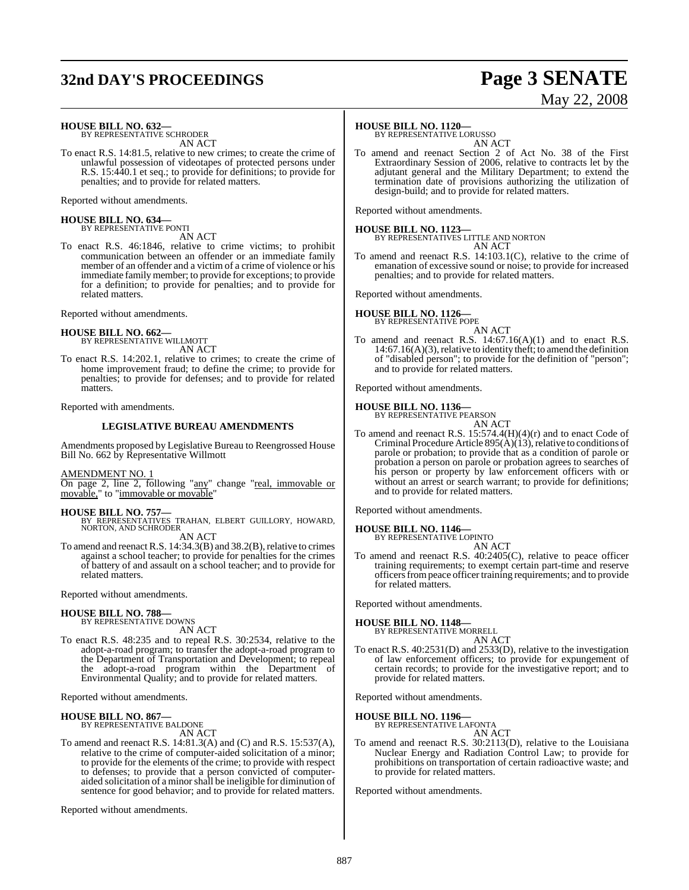# **32nd DAY'S PROCEEDINGS Page 3 SENATE**

# May 22, 2008

**HOUSE BILL NO. 632—** BY REPRESENTATIVE SCHRODER

AN ACT

To enact R.S. 14:81.5, relative to new crimes; to create the crime of unlawful possession of videotapes of protected persons under R.S. 15:440.1 et seq.; to provide for definitions; to provide for penalties; and to provide for related matters.

Reported without amendments.

# **HOUSE BILL NO. 634—** BY REPRESENTATIVE PONTI

AN ACT

To enact R.S. 46:1846, relative to crime victims; to prohibit communication between an offender or an immediate family member of an offender and a victim of a crime of violence or his immediate family member; to provide for exceptions; to provide for a definition; to provide for penalties; and to provide for related matters.

Reported without amendments.

**HOUSE BILL NO. 662—** BY REPRESENTATIVE WILLMOTT AN ACT

To enact R.S. 14:202.1, relative to crimes; to create the crime of home improvement fraud; to define the crime; to provide for penalties; to provide for defenses; and to provide for related matters.

Reported with amendments.

#### **LEGISLATIVE BUREAU AMENDMENTS**

Amendments proposed by Legislative Bureau to Reengrossed House Bill No. 662 by Representative Willmott

#### AMENDMENT NO. 1

On page 2, line 2, following "any" change "real, immovable or movable," to "immovable or movable"

#### **HOUSE BILL NO. 757—**

BY REPRESENTATIVES TRAHAN, ELBERT GUILLORY, HOWARD, NORTON, AND SCHRODER

AN ACT

To amend and reenact R.S.  $14:34.3(B)$  and  $38.2(B)$ , relative to crimes against a school teacher; to provide for penalties for the crimes of battery of and assault on a school teacher; and to provide for related matters.

Reported without amendments.

## **HOUSE BILL NO. 788—**

BY REPRESENTATIVE DOWNS AN ACT

To enact R.S. 48:235 and to repeal R.S. 30:2534, relative to the adopt-a-road program; to transfer the adopt-a-road program to the Department of Transportation and Development; to repeal the adopt-a-road program within the Department of Environmental Quality; and to provide for related matters.

Reported without amendments.

# **HOUSE BILL NO. 867—** BY REPRESENTATIVE BALDONE

AN ACT

To amend and reenact R.S. 14:81.3(A) and (C) and R.S. 15:537(A), relative to the crime of computer-aided solicitation of a minor; to provide for the elements of the crime; to provide with respect to defenses; to provide that a person convicted of computeraided solicitation of a minorshall be ineligible for diminution of sentence for good behavior; and to provide for related matters.

Reported without amendments.

#### **HOUSE BILL NO. 1120—**

BY REPRESENTATIVE LORUSSO AN ACT

To amend and reenact Section 2 of Act No. 38 of the First Extraordinary Session of 2006, relative to contracts let by the adjutant general and the Military Department; to extend the termination date of provisions authorizing the utilization of design-build; and to provide for related matters.

Reported without amendments.

**HOUSE BILL NO. 1123—** BY REPRESENTATIVES LITTLE AND NORTON AN ACT

To amend and reenact R.S. 14:103.1(C), relative to the crime of emanation of excessive sound or noise; to provide for increased penalties; and to provide for related matters.

Reported without amendments.



AN ACT

To amend and reenact R.S. 14:67.16(A)(1) and to enact R.S.  $14:67.16(A)(3)$ , relative to identity theft; to amend the definition of "disabled person"; to provide for the definition of "person"; and to provide for related matters.

Reported without amendments.

# **HOUSE BILL NO. 1136—** BY REPRESENTATIVE PEARSON

AN ACT

To amend and reenact R.S. 15:574.4(H)(4)(r) and to enact Code of Criminal Procedure Article  $895(\text{\AA})(13)$ , relative to conditions of parole or probation; to provide that as a condition of parole or probation a person on parole or probation agrees to searches of his person or property by law enforcement officers with or without an arrest or search warrant; to provide for definitions; and to provide for related matters.

Reported without amendments.

#### **HOUSE BILL NO. 1146—**

BY REPRESENTATIVE LOPINTO AN ACT

To amend and reenact R.S. 40:2405(C), relative to peace officer training requirements; to exempt certain part-time and reserve officers from peace officer training requirements; and to provide for related matters.

Reported without amendments.

#### **HOUSE BILL NO. 1148—**

BY REPRESENTATIVE MORRELL AN ACT

To enact R.S. 40:2531(D) and 2533(D), relative to the investigation of law enforcement officers; to provide for expungement of certain records; to provide for the investigative report; and to provide for related matters.

Reported without amendments.

# **HOUSE BILL NO. 1196—** BY REPRESENTATIVE LAFONTA

AN ACT

To amend and reenact R.S. 30:2113(D), relative to the Louisiana Nuclear Energy and Radiation Control Law; to provide for prohibitions on transportation of certain radioactive waste; and to provide for related matters.

Reported without amendments.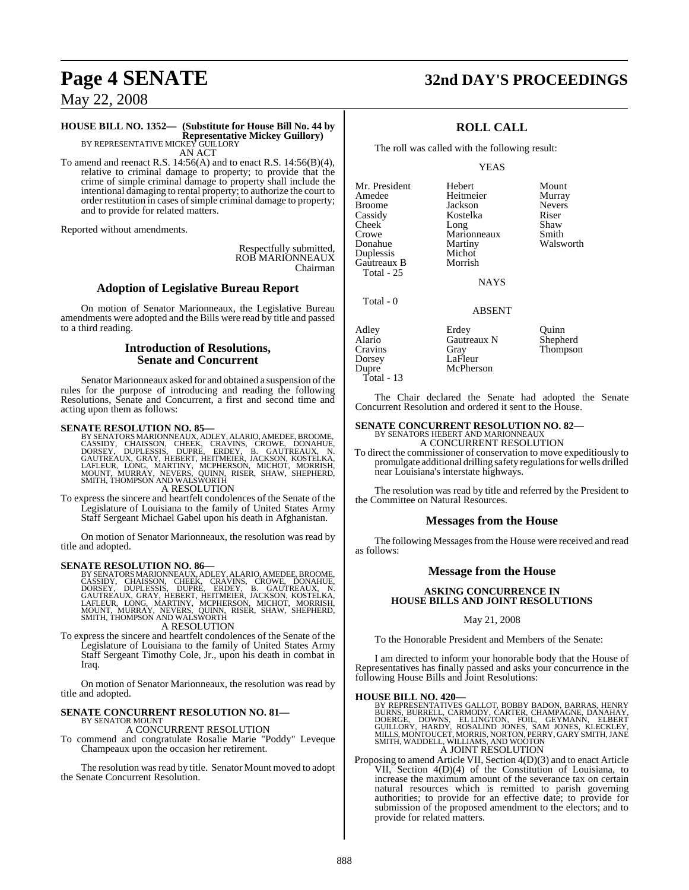# **Page 4 SENATE 32nd DAY'S PROCEEDINGS**

May 22, 2008

## **HOUSE BILL NO. 1352— (Substitute for House Bill No. 44 by Representative Mickey Guillory)**<br>BY REPRESENTATIVE MICKEY GUILLORY

AN ACT

To amend and reenact R.S.  $14:56(A)$  and to enact R.S.  $14:56(B)(4)$ , relative to criminal damage to property; to provide that the crime of simple criminal damage to property shall include the intentional damaging to rental property; to authorize the court to order restitution in cases of simple criminal damage to property; and to provide for related matters.

Reported without amendments.

Respectfully submitted, ROB MARIONNEAUX Chairman

#### **Adoption of Legislative Bureau Report**

On motion of Senator Marionneaux, the Legislative Bureau amendments were adopted and the Bills were read by title and passed to a third reading.

#### **Introduction of Resolutions, Senate and Concurrent**

Senator Marionneaux asked for and obtained a suspension of the rules for the purpose of introducing and reading the following Resolutions, Senate and Concurrent, a first and second time and acting upon them as follows:

SENATE RESOLUTION NO. 85—<br>BY SENATORS MARIONNEAUX, ADLEY, ALARIO, AMEDEE, BROOME, CASSIDY, CHAISSON, CHEEK, CRAVINS, CROWE, DONAHUE, DORSEY, DUPLESSIS, DUPRE, ERDEY, B. GAUTREAUX, N.<br>GAUTREAUX, GRAY, HEBERT, HEITMEIER, JAC A RESOLUTION

To express the sincere and heartfelt condolences of the Senate of the Legislature of Louisiana to the family of United States Army Staff Sergeant Michael Gabel upon his death in Afghanistan.

On motion of Senator Marionneaux, the resolution was read by title and adopted.

#### **SENATE RESOLUTION NO. 86—**

BY SENATORS MARIONNEAUX, ADLEY, ALARIO, AMEDEE, BROOME, CASSIDY, CHAISSON, CHEEK, CRAVINS, CROWE, DONSEY, DONSEY, DUPLESSIS, DUPRE, ERDEY, B. GAUTREAUX, N.<br>DORSEY, DUPLESSIS, DUPRE, ERDEY, B. GAUTREAUX, N.<br>GAUTREAUX, GRAY,

To express the sincere and heartfelt condolences of the Senate of the Legislature of Louisiana to the family of United States Army Staff Sergeant Timothy Cole, Jr., upon his death in combat in Iraq.

On motion of Senator Marionneaux, the resolution was read by title and adopted.

# **SENATE CONCURRENT RESOLUTION NO. 81—** BY SENATOR MOUNT

A CONCURRENT RESOLUTION

To commend and congratulate Rosalie Marie "Poddy" Leveque Champeaux upon the occasion her retirement.

The resolution was read by title. Senator Mount moved to adopt the Senate Concurrent Resolution.

**ROLL CALL**

The roll was called with the following result:

YEAS

Mr. President Hebert Mount Broome Jackson Never<br>Cassidy Kostelka Riser Cheek Long Shaw<br>Crowe Marionneaux Smith Crowe Marionneaux<br>
Donahue Martiny Duplessis Michot Gautreaux B Total - 25

Total - 0

Heitmeier Murray<br>Jackson Nevers Kostelka Riser<br>Long Shaw Martiny Walsworth<br>Michot

NAYS

#### ABSENT

Adley Erdey Duinn Alario Gautreaux N Shepherd Cravins Gray Thompson Dorsey LaFleur<br>Dupre McPher McPherson Total - 13

The Chair declared the Senate had adopted the Senate Concurrent Resolution and ordered it sent to the House.

# **SENATE CONCURRENT RESOLUTION NO. 82—**<br>BY SENATORS HEBERT AND MARIONNEAUX<br>A CONCURRENT RESOLUTION

To direct the commissioner of conservation to move expeditiously to promulgate additional drilling safety regulations for wells drilled near Louisiana's interstate highways.

The resolution was read by title and referred by the President to the Committee on Natural Resources.

#### **Messages from the House**

The following Messages from the House were received and read as follows:

#### **Message from the House**

#### **ASKING CONCURRENCE IN HOUSE BILLS AND JOINT RESOLUTIONS**

#### May 21, 2008

To the Honorable President and Members of the Senate:

I am directed to inform your honorable body that the House of Representatives has finally passed and asks your concurrence in the following House Bills and Joint Resolutions:

#### **HOUSE BILL NO. 420—**

BY REPRESENTATIVES GALLOT, BOBBY BADON, BARRAS, HENRY<br>BURNS, BURRELL, CARMODY, CARTER, CHAMPAGNE, DANAHAY,<br>DOERGE, DOWNS, EL LINGTON, FOIL, GEYMANN, ELBERT<br>GUILLORY, HARDY, ROSALIND JONES, SAM JONES, KLECKLEY,<br>MILLS, MONTO A JOINT RESOLUTION

Proposing to amend Article VII, Section 4(D)(3) and to enact Article VII, Section 4(D)(4) of the Constitution of Louisiana, to increase the maximum amount of the severance tax on certain natural resources which is remitted to parish governing authorities; to provide for an effective date; to provide for submission of the proposed amendment to the electors; and to provide for related matters.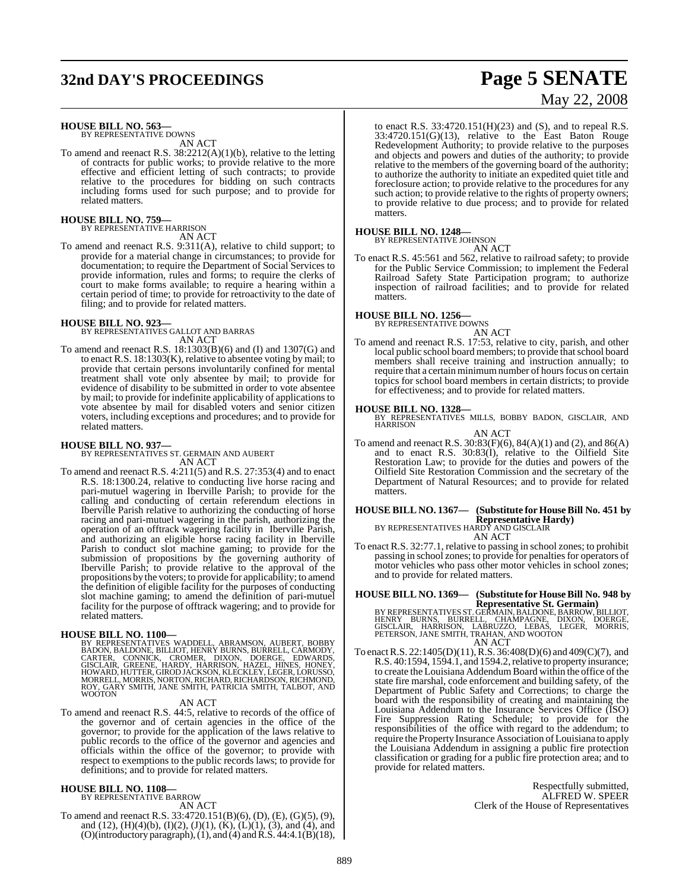# **32nd DAY'S PROCEEDINGS Page 5 SENATE**

# May 22, 2008

## **HOUSE BILL NO. 563—**

BY REPRESENTATIVE DOWNS AN ACT

To amend and reenact R.S. 38:2212(A)(1)(b), relative to the letting of contracts for public works; to provide relative to the more effective and efficient letting of such contracts; to provide relative to the procedures for bidding on such contracts including forms used for such purpose; and to provide for related matters.

# **HOUSE BILL NO. 759—** BY REPRESENTATIVE HARRISON

AN ACT

To amend and reenact R.S. 9:311(A), relative to child support; to provide for a material change in circumstances; to provide for documentation; to require the Department of Social Services to provide information, rules and forms; to require the clerks of court to make forms available; to require a hearing within a certain period of time; to provide for retroactivity to the date of filing; and to provide for related matters.

#### **HOUSE BILL NO. 923—**

BY REPRESENTATIVES GALLOT AND BARRAS AN ACT

To amend and reenact R.S. 18:1303(B)(6) and (I) and 1307(G) and to enact R.S. 18:1303(K), relative to absentee voting by mail; to provide that certain persons involuntarily confined for mental treatment shall vote only absentee by mail; to provide for evidence of disability to be submitted in order to vote absentee by mail; to provide for indefinite applicability of applications to vote absentee by mail for disabled voters and senior citizen voters, including exceptions and procedures; and to provide for related matters.

**HOUSE BILL NO. 937—** BY REPRESENTATIVES ST. GERMAIN AND AUBERT AN ACT

To amend and reenact R.S. 4:211(5) and R.S. 27:353(4) and to enact R.S. 18:1300.24, relative to conducting live horse racing and pari-mutuel wagering in Iberville Parish; to provide for the calling and conducting of certain referendum elections in Iberville Parish relative to authorizing the conducting of horse racing and pari-mutuel wagering in the parish, authorizing the operation of an offtrack wagering facility in Iberville Parish, and authorizing an eligible horse racing facility in Iberville Parish to conduct slot machine gaming; to provide for the submission of propositions by the governing authority of Iberville Parish; to provide relative to the approval of the propositions by the voters; to provide for applicability; to amend the definition of eligible facility for the purposes of conducting slot machine gaming; to amend the definition of pari-mutuel facility for the purpose of offtrack wagering; and to provide for related matters.

**HOUSE BILL NO. 1100**—<br>BY REPRESENTATIVES WADDELL, ABRAMSON, AUBERT, BOBBY<br>BADON, BALDONE, BILLIOT, HENRY BURNS, BURRELL, CARMODY,<br>CARTER, CONNICK, CROMER, DIXON, DOERGE, EDWARDS,<br>GISCLAIR, GREENE, HARDY, HARRISON, HAZEL, WOOTON

#### AN ACT

To amend and reenact R.S. 44:5, relative to records of the office of the governor and of certain agencies in the office of the governor; to provide for the application of the laws relative to public records to the office of the governor and agencies and officials within the office of the governor; to provide with respect to exemptions to the public records laws; to provide for definitions; and to provide for related matters.

#### **HOUSE BILL NO. 1108—** BY REPRESENTATIVE BARROW

AN ACT

To amend and reenact R.S. 33:4720.151(B)(6), (D), (E), (G)(5), (9), and (12), (H)(4)(b), (I)(2), (J)(1), (K), (L)(1), (3), and (4), and (O)(introductory paragraph), (1), and (4) and R.S. 44:4.1(B)(18), to enact R.S. 33:4720.151(H)(23) and (S), and to repeal R.S.  $33:4720.151(G)(13)$ , relative to the East Baton Rouge Redevelopment Authority; to provide relative to the purposes and objects and powers and duties of the authority; to provide relative to the members of the governing board of the authority; to authorize the authority to initiate an expedited quiet title and foreclosure action; to provide relative to the procedures for any such action; to provide relative to the rights of property owners; to provide relative to due process; and to provide for related matters.

# **HOUSE BILL NO. 1248—** BY REPRESENTATIVE JOHNSON

AN ACT

To enact R.S. 45:561 and 562, relative to railroad safety; to provide for the Public Service Commission; to implement the Federal Railroad Safety State Participation program; to authorize inspection of railroad facilities; and to provide for related matters.

**HOUSE BILL NO. 1256—** BY REPRESENTATIVE DOWNS

#### AN ACT

To amend and reenact R.S. 17:53, relative to city, parish, and other local public school board members; to provide that school board members shall receive training and instruction annually; to require that a certain minimum number of hours focus on certain topics for school board members in certain districts; to provide for effectiveness; and to provide for related matters.

**HOUSE BILL NO. 1328—** BY REPRESENTATIVES MILLS, BOBBY BADON, GISCLAIR, AND HARRISON

AN ACT To amend and reenact R.S. 30:83(F)(6), 84(A)(1) and (2), and 86(A) and to enact R.S. 30:83(I), relative to the Oilfield Site Restoration Law; to provide for the duties and powers of the Oilfield Site Restoration Commission and the secretary of the Department of Natural Resources; and to provide for related matters.

## **HOUSE BILL NO. 1367— (Substitute for HouseBill No. 451 by Representative Hardy)** BY REPRESENTATIVES HARDY AND GISCLAIR

AN ACT

To enact R.S. 32:77.1, relative to passing in school zones; to prohibit passing in school zones; to provide for penalties for operators of motor vehicles who pass other motor vehicles in school zones; and to provide for related matters.

#### **HOUSE BILL NO. 1369— (Substitute for HouseBill No. 948 by Representative St. Germain)**

BY REPRESENTATIVES ST. GERMAIN, BALDONE, BARROW, BILLIOT,<br>HENRY BURNS, BURRELL, CHAMPAGNE, DIXON, DOERGE,<br>GISCLAIR, HARRISON, LABRUZZO, LEBAS, LEGER, MORRIS,<br>PETERSON, JANE SMITH, TRAHAN, AND WOOTON AN ACT

To enactR.S. 22:1405(D)(11),R.S. 36:408(D)(6) and 409(C)(7), and R.S. 40:1594, 1594.1, and 1594.2, relative to property insurance; to create the Louisiana Addendum Board within the office of the state fire marshal, code enforcement and building safety, of the Department of Public Safety and Corrections; to charge the board with the responsibility of creating and maintaining the Louisiana Addendum to the Insurance Services Office (ISO) Fire Suppression Rating Schedule; to provide for the responsibilities of the office with regard to the addendum; to require the Property Insurance Association of Louisiana to apply the Louisiana Addendum in assigning a public fire protection classification or grading for a public fire protection area; and to provide for related matters.

> Respectfully submitted, ALFRED W. SPEER Clerk of the House of Representatives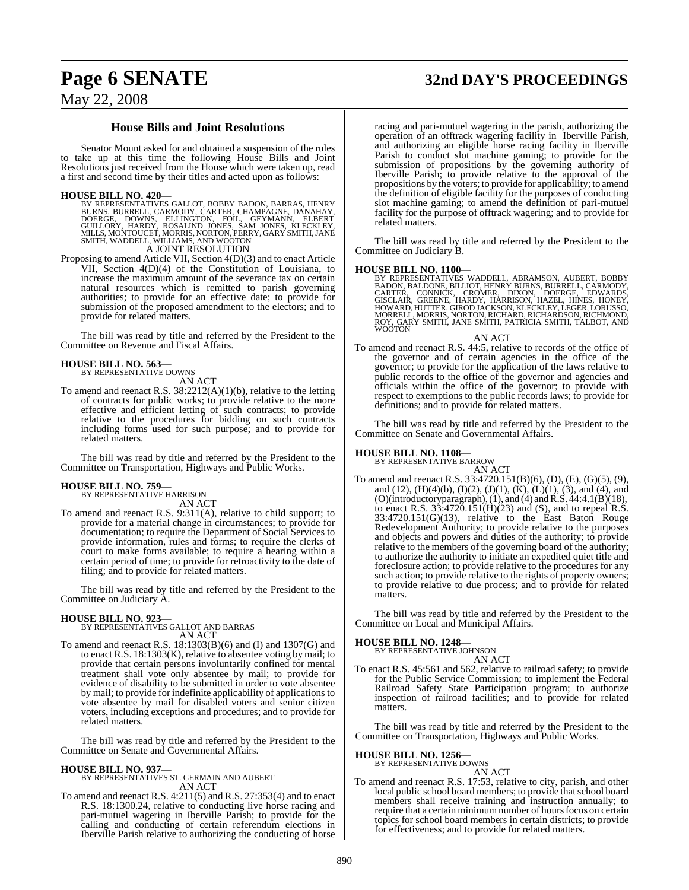# **Page 6 SENATE 32nd DAY'S PROCEEDINGS**

## May 22, 2008

## **House Bills and Joint Resolutions**

Senator Mount asked for and obtained a suspension of the rules to take up at this time the following House Bills and Joint Resolutions just received from the House which were taken up, read a first and second time by their titles and acted upon as follows:

HOUSE BILL NO. 420—<br>BY REPERENTATIVES GALLOT, BOBBY BADON, BARRAS, HENRY<br>BURNS, BURRELL, CARMODY, CARTER, CHAMPAGNE, DANAHAY,<br>DOERGE, DOWNS, ELLINGTON, FOIL, GEYMANN, ELBERT<br>GUILLORY, HARDY, ROSALIND JONES, SAM JONES, KLEC

Proposing to amend Article VII, Section 4(D)(3) and to enact Article VII, Section 4(D)(4) of the Constitution of Louisiana, to increase the maximum amount of the severance tax on certain natural resources which is remitted to parish governing authorities; to provide for an effective date; to provide for submission of the proposed amendment to the electors; and to provide for related matters.

The bill was read by title and referred by the President to the Committee on Revenue and Fiscal Affairs.

#### **HOUSE BILL NO. 563—** BY REPRESENTATIVE DOWNS

AN ACT

To amend and reenact R.S. 38:2212(A)(1)(b), relative to the letting of contracts for public works; to provide relative to the more effective and efficient letting of such contracts; to provide relative to the procedures for bidding on such contracts including forms used for such purpose; and to provide for related matters.

The bill was read by title and referred by the President to the Committee on Transportation, Highways and Public Works.

#### **HOUSE BILL NO. 759—**

BY REPRESENTATIVE HARRISON AN ACT

To amend and reenact R.S. 9:311(A), relative to child support; to provide for a material change in circumstances; to provide for documentation; to require the Department of Social Services to provide information, rules and forms; to require the clerks of court to make forms available; to require a hearing within a certain period of time; to provide for retroactivity to the date of filing; and to provide for related matters.

The bill was read by title and referred by the President to the Committee on Judiciary A.

**HOUSE BILL NO. 923—** BY REPRESENTATIVES GALLOT AND BARRAS AN ACT

To amend and reenact R.S. 18:1303(B)(6) and (I) and 1307(G) and to enact R.S. 18:1303(K), relative to absentee voting by mail; to provide that certain persons involuntarily confined for mental treatment shall vote only absentee by mail; to provide for evidence of disability to be submitted in order to vote absentee by mail; to provide for indefinite applicability of applications to vote absentee by mail for disabled voters and senior citizen voters, including exceptions and procedures; and to provide for related matters.

The bill was read by title and referred by the President to the Committee on Senate and Governmental Affairs.

#### **HOUSE BILL NO. 937—**

BY REPRESENTATIVES ST. GERMAIN AND AUBERT AN ACT

To amend and reenact R.S. 4:211(5) and R.S. 27:353(4) and to enact R.S. 18:1300.24, relative to conducting live horse racing and pari-mutuel wagering in Iberville Parish; to provide for the calling and conducting of certain referendum elections in Iberville Parish relative to authorizing the conducting of horse racing and pari-mutuel wagering in the parish, authorizing the operation of an offtrack wagering facility in Iberville Parish, and authorizing an eligible horse racing facility in Iberville Parish to conduct slot machine gaming; to provide for the submission of propositions by the governing authority of Iberville Parish; to provide relative to the approval of the propositions by the voters; to provide for applicability; to amend the definition of eligible facility for the purposes of conducting slot machine gaming; to amend the definition of pari-mutuel facility for the purpose of offtrack wagering; and to provide for related matters.

The bill was read by title and referred by the President to the Committee on Judiciary B.

**HOUSE BILL NO. 1100—**<br>BY REPRESENTATIVES WADDELL, ABRAMSON, AUBERT, BOBBY<br>BADON, BALDONE, BILLIOT, HENRY BURNS, BURRELL, CARMODY,<br>CARTER, CONNICK, CROMER, DIXON, DOERGE, EDWARDS,<br>GISCLAIR, GREENE, HARDY, HARRISON, HAZEL,

AN ACT To amend and reenact R.S. 44:5, relative to records of the office of the governor and of certain agencies in the office of the governor; to provide for the application of the laws relative to public records to the office of the governor and agencies and officials within the office of the governor; to provide with respect to exemptions to the public records laws; to provide for definitions; and to provide for related matters.

The bill was read by title and referred by the President to the Committee on Senate and Governmental Affairs.

#### **HOUSE BILL NO. 1108—**

BY REPRESENTATIVE BARROW

AN ACT To amend and reenact R.S. 33:4720.151(B)(6), (D), (E), (G)(5), (9), and (12),  $(H)(4)(b)$ ,  $(I)(2)$ ,  $(J)(1)$ ,  $(K)$ ,  $(L)(1)$ ,  $(3)$ , and  $(4)$ , and (O)(introductory paragraph), (1), and (4) and R.S. 44:4.1(B)(18), to enact R.S. 33:4720.151(H)(23) and (S), and to repeal R.S. 33:4720.151(G)(13), relative to the East Baton Rouge Redevelopment Authority; to provide relative to the purposes and objects and powers and duties of the authority; to provide relative to the members of the governing board of the authority; to authorize the authority to initiate an expedited quiet title and foreclosure action; to provide relative to the procedures for any such action; to provide relative to the rights of property owners; to provide relative to due process; and to provide for related matters.

The bill was read by title and referred by the President to the Committee on Local and Municipal Affairs.

#### **HOUSE BILL NO. 1248—**

BY REPRESENTATIVE JOHNSON AN ACT

To enact R.S. 45:561 and 562, relative to railroad safety; to provide for the Public Service Commission; to implement the Federal Railroad Safety State Participation program; to authorize inspection of railroad facilities; and to provide for related matters.

The bill was read by title and referred by the President to the Committee on Transportation, Highways and Public Works.

# **HOUSE BILL NO. 1256—** BY REPRESENTATIVE DOWNS

AN ACT

To amend and reenact R.S. 17:53, relative to city, parish, and other local public school board members; to provide that school board members shall receive training and instruction annually; to require that a certain minimum number of hours focus on certain topics for school board members in certain districts; to provide for effectiveness; and to provide for related matters.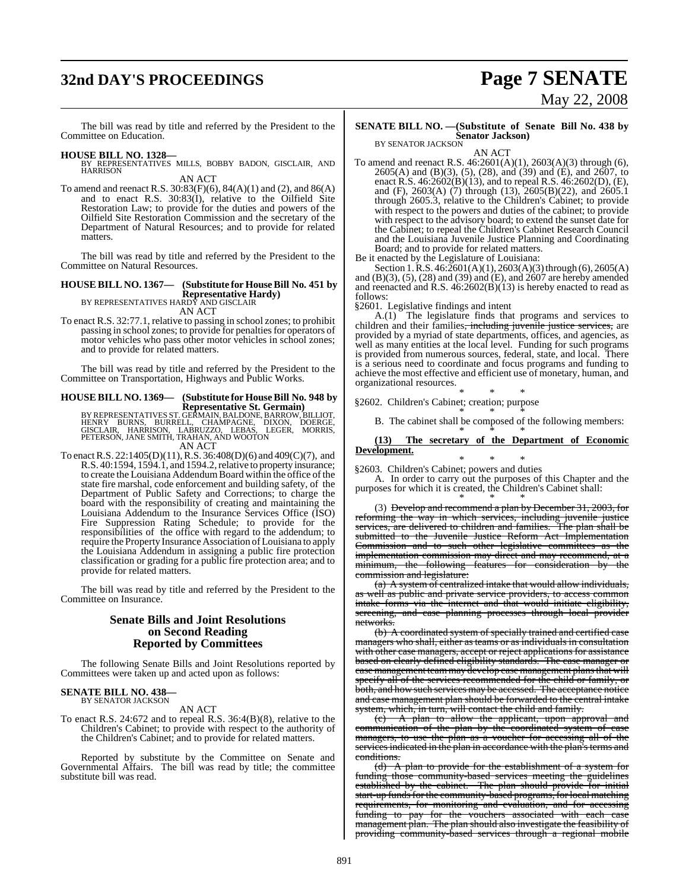# **32nd DAY'S PROCEEDINGS Page 7 SENATE**

# May 22, 2008

The bill was read by title and referred by the President to the Committee on Education.

#### **HOUSE BILL NO. 1328—**

BY REPRESENTATIVES MILLS, BOBBY BADON, GISCLAIR, AND **HARRISON** AN ACT

To amend and reenact R.S. 30:83(F)(6), 84(A)(1) and (2), and 86(A) and to enact R.S.  $30:83(1)$ , relative to the Oilfield Site Restoration Law; to provide for the duties and powers of the Oilfield Site Restoration Commission and the secretary of the Department of Natural Resources; and to provide for related matters.

The bill was read by title and referred by the President to the Committee on Natural Resources.

## **HOUSE BILL NO. 1367— (Substitute for HouseBill No. 451 by**

**Representative Hardy)** BY REPRESENTATIVES HARDY AND GISCLAIR

AN ACT

To enact R.S. 32:77.1, relative to passing in school zones; to prohibit passing in school zones; to provide for penalties for operators of motor vehicles who pass other motor vehicles in school zones; and to provide for related matters.

The bill was read by title and referred by the President to the Committee on Transportation, Highways and Public Works.

#### **HOUSE BILL NO. 1369— (Substitute for House Bill No. 948 by Representative St. Germain)**

BY REPRESENTATIVES ST. GERMAIN, BALDONE, BARROW, BILLIOT,<br>HENRY BURNS, BURRELL, CHAMPAGNE, DIXON, DOERGE,<br>GISCLAIR, HARRISON, LABRUZZO, LEBAS, LEGER, MORRIS,<br>PETERSON, JANE SMITH, TRAHAN, AND WOOTON AN ACT

To enactR.S. 22:1405(D)(11),R.S. 36:408(D)(6) and 409(C)(7), and R.S. 40:1594, 1594.1, and 1594.2, relative to property insurance; to create the Louisiana Addendum Board within the office of the state fire marshal, code enforcement and building safety, of the Department of Public Safety and Corrections; to charge the board with the responsibility of creating and maintaining the Louisiana Addendum to the Insurance Services Office (ISO) Fire Suppression Rating Schedule; to provide for the responsibilities of the office with regard to the addendum; to require the Property Insurance Association of Louisiana to apply the Louisiana Addendum in assigning a public fire protection classification or grading for a public fire protection area; and to provide for related matters.

The bill was read by title and referred by the President to the Committee on Insurance.

## **Senate Bills and Joint Resolutions on Second Reading Reported by Committees**

The following Senate Bills and Joint Resolutions reported by Committees were taken up and acted upon as follows:

# **SENATE BILL NO. 438—** BY SENATOR JACKSON

#### AN ACT

To enact R.S. 24:672 and to repeal R.S. 36:4(B)(8), relative to the Children's Cabinet; to provide with respect to the authority of the Children's Cabinet; and to provide for related matters.

Reported by substitute by the Committee on Senate and Governmental Affairs. The bill was read by title; the committee substitute bill was read.

## **SENATE BILL NO. —(Substitute of Senate Bill No. 438 by Senator Jackson)** BY SENATOR JACKSON

AN ACT

To amend and reenact R.S. 46:2601(A)(1), 2603(A)(3) through (6), 2605(A) and (B)(3), (5), (28), and (39) and (E), and 2607, to enact R.S. 46:2602(B)(13), and to repeal R.S. 46:2602(D), (E), and (F), 2603(A) (7) through (13), 2605(B)(22), and 2605.1 through 2605.3, relative to the Children's Cabinet; to provide with respect to the powers and duties of the cabinet; to provide with respect to the advisory board; to extend the sunset date for the Cabinet; to repeal the Children's Cabinet Research Council and the Louisiana Juvenile Justice Planning and Coordinating Board; and to provide for related matters.

Be it enacted by the Legislature of Louisiana:

Section 1. R.S. 46:2601(A)(1), 2603(A)(3) through (6), 2605(A) and (B)(3), (5), (28) and (39) and (E), and 2607 are hereby amended and reenacted and  $R.S. 46:2602(B)(13)$  is hereby enacted to read as follows:

§2601. Legislative findings and intent

A.(1) The legislature finds that programs and services to children and their families<del>, including juvenile justice services,</del> are provided by a myriad of state departments, offices, and agencies, as well as many entities at the local level. Funding for such programs is provided from numerous sources, federal, state, and local. There is a serious need to coordinate and focus programs and funding to achieve the most effective and efficient use of monetary, human, and organizational resources.

\* \* \* §2602. Children's Cabinet; creation; purpose

\* \* \* B. The cabinet shall be composed of the following members:

\* \* \* **(13) The secretary of the Department of Economic Development.**

\* \* \* §2603. Children's Cabinet; powers and duties

A. In order to carry out the purposes of this Chapter and the purposes for which it is created, the Children's Cabinet shall:

\* \* \* (3) Develop and recommend a plan by December 31, 2003, for reforming the way in which services, including juvenile justice services, are delivered to children and families. The plan shall be submitted to the Juvenile Justice Reform Act Implementation<br>Commission and to such other legislative committees as the Commission and to such other legislative implementation commission may direct and may recommend, at a minimum, the following features for consideration by the commission and legislature

(a) A system of centralized intake that would allow individuals, as well as public and private service providers, to access common intake forms via the internet and that would initiate eligibility, screening, and case planning processes through local provider networks.

(b) A coordinated system of specially trained and certified case managers who shall, either as teams or as individuals in consultation with other case managers, accept or reject applications for assistance based on clearly defined eligibility standards. The case manager or case management teammay develop case management plansthat will specify all of the services recommended for the child or family, or both, and how such services may be accessed. The acceptance notice and case management plan should be forwarded to the central intake system, which, in turn, will contact the child and family.

(c) A plan to allow the applicant, upon approval and communication of the plan by the coordinated system of case managers, to use the plan as a voucher for accessing all of the services indicated in the plan in accordance with the plan's terms and conditions.

(d) A plan to provide for the establishment of a system for funding those community-based services meeting the guidelines established by the cabinet. The plan should provide for initial start-up funds for the community-based programs, for local matching requirements, for monitoring and evaluation, and for accessing funding to pay for the vouchers associated with each case management plan. The plan should also investigate the feasibility of providing community-based services through a regional mobile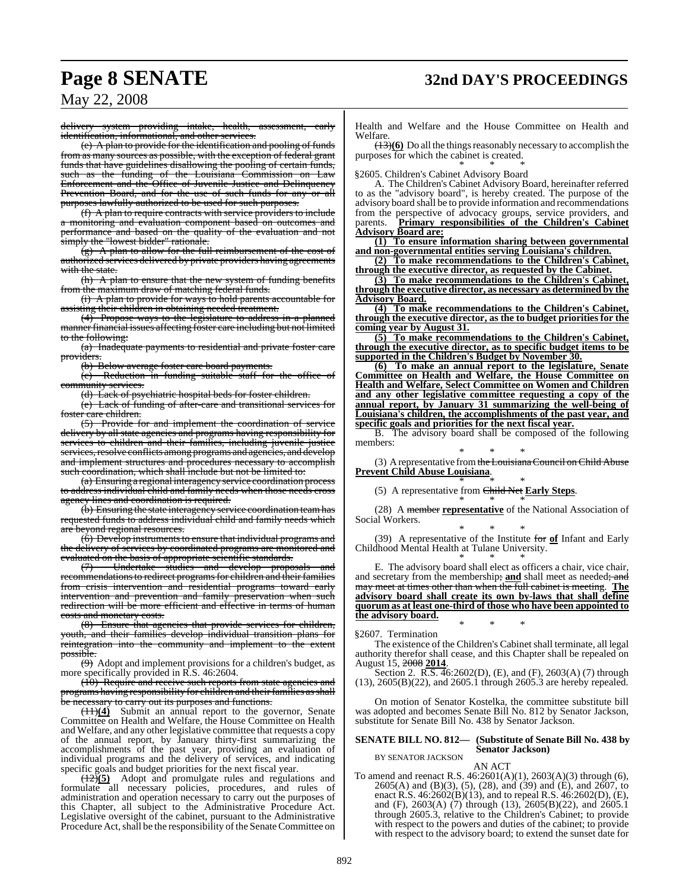delivery system providing intake, health, assessment, early identification, informational, and other services.

(e) A plan to provide for the identification and pooling of funds from as many sources as possible, with the exception of federal grant funds that have guidelines disallowing the pooling of certain funds, such as the funding of the Louisiana Commission on Law Enforcement and the Office of Juvenile Justice and Delinquency Prevention Board, and for the use of such funds for any or all purposes lawfully authorized to be used for such purposes.

(f) A plan to require contracts with service providers to include a monitoring and evaluation component based on outcomes and performance and based on the quality of the evaluation and not simply the "lowest bidder" rationale.

 $(g)$  A plan to allow for the full reimbursement of the cost of authorized services delivered by private providers having agreements with the state.

(h) A plan to ensure that the new system of funding benefits from the maximum draw of matching federal funds.

(i) A plan to provide for ways to hold parents accountable for assisting their children in obtaining needed treatment.

(4) Propose ways to the legislature to address in a planned manner financial issues affecting foster care including but not limited to the following:

(a) Inadequate payments to residential and private foster care providers.

(b) Below average foster care board payments.

(c) Reduction in funding suitable staff for the office of community services.

(d) Lack of psychiatric hospital beds for foster children.

(e) Lack of funding of after-care and transitional services for foster care children.

(5) Provide for and implement the coordination of service delivery by all state agencies and programs having responsibility for services to children and their families, including juvenile justice services, resolve conflicts among programs and agencies, and develop and implement structures and procedures necessary to accomplish such coordination, which shall include but not be limited to:

 $(a)$  Ensuring a regional interagency service coordination processes to address individual child and family needs when those needs cross agency lines and coordination is required.

(b) Ensuring the state interagency service coordination team has requested funds to address individual child and family needs which are beyond regional resources.

 $(6)$  Develop instruments to ensure that individual programs and the delivery of services by coordinated programs are monitored and evaluated on the basis of appropriate scientific standards.<br>(7) Undertake studies and develop propo

Undertake studies and develop proposals and recommendations to redirect programs for children and their families from crisis intervention and residential programs toward early intervention and prevention and family preservation when such redirection will be more efficient and effective in terms of human costs and monetary costs.

(8) Ensure that agencies that provide services for children, youth, and their families develop individual transition plans for reintegration into the community and implement to the s<del>sible.</del>

(9) Adopt and implement provisions for a children's budget, as more specifically provided in R.S. 46:2604.

(10) Require and receive such reports from state agencies and programs having responsibility for children and their families as shall be necessary to carry out its purposes and functions.

(11)**(4)** Submit an annual report to the governor, Senate Committee on Health and Welfare, the House Committee on Health and Welfare, and any other legislative committee that requests a copy of the annual report, by January thirty-first summarizing the accomplishments of the past year, providing an evaluation of individual programs and the delivery of services, and indicating specific goals and budget priorities for the next fiscal year.

(12)**(5)** Adopt and promulgate rules and regulations and formulate all necessary policies, procedures, and rules of administration and operation necessary to carry out the purposes of this Chapter, all subject to the Administrative Procedure Act. Legislative oversight of the cabinet, pursuant to the Administrative Procedure Act, shall be the responsibility of the Senate Committee on

Health and Welfare and the House Committee on Health and Welfare.

(13)**(6)** Do all the things reasonably necessary to accomplish the purposes for which the cabinet is created.

\* \* \* §2605. Children's Cabinet Advisory Board

A. The Children's Cabinet Advisory Board, hereinafter referred to as the "advisory board", is hereby created. The purpose of the advisory board shall be to provide information and recommendations from the perspective of advocacy groups, service providers, and parents. **Primary responsibilities of the Children's Cabinet Advisory Board are:**

**(1) To ensure information sharing between governmental and non-governmental entities serving Louisiana's children.**

**(2) To make recommendations to the Children's Cabinet, through the executive director, as requested by the Cabinet.**

**(3) To make recommendations to the Children's Cabinet, through the executive director, as necessary as determined by the Advisory Board.**

**(4) To make recommendations to the Children's Cabinet, through the executive director, as the to budget priorities for the coming year by August 31.**

**(5) To make recommendations to the Children's Cabinet, through the executive director, as to specific budget items to be supported in the Children's Budget by November 30.**

**(6) To make an annual report to the legislature, Senate Committee on Health and Welfare, the House Committee on Health and Welfare, Select Committee on Women and Children and any other legislative committee requesting a copy of the annual report, by January 31 summarizing the well-being of Louisiana's children, the accomplishments of the past year, and specific goals and priorities for the next fiscal year.**

B. The advisory board shall be composed of the following members:

\* \* \* (3) A representative from the Louisiana Council on Child Abuse **Prevent Child Abuse Louisiana**.

\* \* \* (5) A representative from Child Net **Early Steps**.

\* \* \* (28) A member **representative** of the National Association of Social Workers.

\* \* \* (39) A representative of the Institute for **of** Infant and Early Childhood Mental Health at Tulane University.

\* \* \* E. The advisory board shall elect as officers a chair, vice chair, and secretary from the membership; and shall meet as needed; and may meet at times other than when the full cabinet is meeting. **The advisory board shall create its own by-laws that shall define quorum as at least one-third of those who have been appointed to the advisory board.**

§2607. Termination

The existence of the Children's Cabinetshall terminate, all legal authority therefor shall cease, and this Chapter shall be repealed on August 15, 2008 **2014**.

\* \* \*

Section 2. R.S. 46:2602(D), (E), and (F), 2603(A) (7) through (13), 2605(B)(22), and 2605.1 through 2605.3 are hereby repealed.

On motion of Senator Kostelka, the committee substitute bill was adopted and becomes Senate Bill No. 812 by Senator Jackson, substitute for Senate Bill No. 438 by Senator Jackson.

#### **SENATE BILL NO. 812— (Substitute of Senate Bill No. 438 by Senator Jackson)** BY SENATOR JACKSON

AN ACT

To amend and reenact R.S. 46:2601(A)(1), 2603(A)(3) through (6), 2605(A) and (B)(3), (5), (28), and (39) and (E), and 2607, to enact R.S. 46:2602(B)(13), and to repeal R.S. 46:2602(D), (E), and (F), 2603(A) (7) through (13), 2605(B)(22), and 2605.1 through 2605.3, relative to the Children's Cabinet; to provide with respect to the powers and duties of the cabinet; to provide with respect to the advisory board; to extend the sunset date for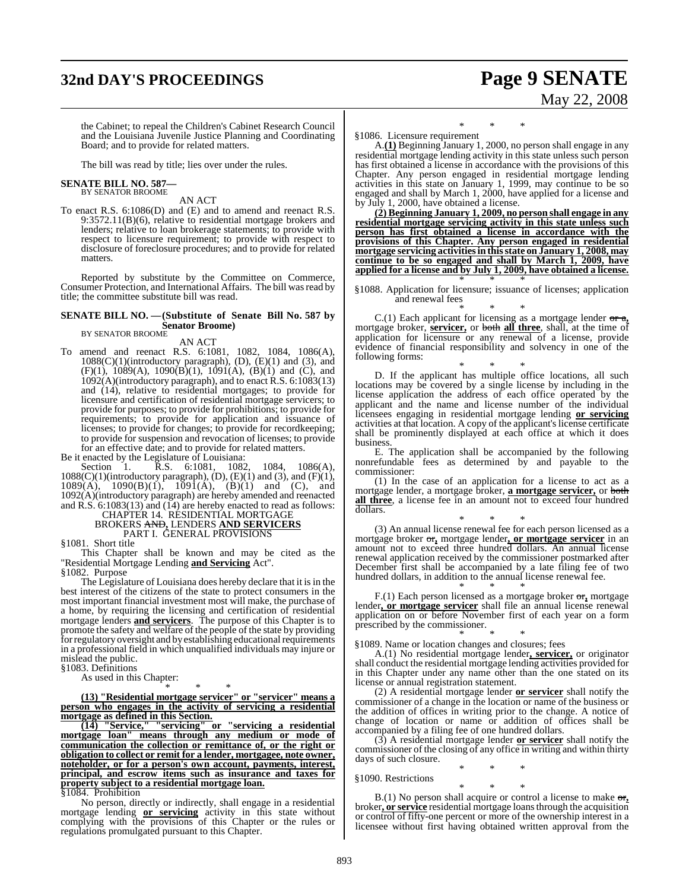# **32nd DAY'S PROCEEDINGS Page 9 SENATE**

# May 22, 2008

the Cabinet; to repeal the Children's Cabinet Research Council and the Louisiana Juvenile Justice Planning and Coordinating Board; and to provide for related matters.

The bill was read by title; lies over under the rules.

# **SENATE BILL NO. 587—** BY SENATOR BROOME

AN ACT

To enact R.S. 6:1086(D) and (E) and to amend and reenact R.S. 9:3572.11(B)(6), relative to residential mortgage brokers and lenders; relative to loan brokerage statements; to provide with respect to licensure requirement; to provide with respect to disclosure of foreclosure procedures; and to provide for related matters.

Reported by substitute by the Committee on Commerce, Consumer Protection, and International Affairs. The bill was read by title; the committee substitute bill was read.

## **SENATE BILL NO. —(Substitute of Senate Bill No. 587 by Senator Broome)** BY SENATOR BROOME

AN ACT

To amend and reenact R.S. 6:1081, 1082, 1084, 1086(A), 1088(C)(1)(introductory paragraph), (D), (E)(1) and (3), and  $(F)(1)$ ,  $1089(A)$ ,  $1090(B)(1)$ ,  $1091(A)$ ,  $(B)(1)$  and  $(C)$ , and 1092(A)(introductory paragraph), and to enact R.S. 6:1083(13) and (14), relative to residential mortgages; to provide for licensure and certification of residential mortgage servicers; to provide for purposes; to provide for prohibitions; to provide for requirements; to provide for application and issuance of licenses; to provide for changes; to provide for recordkeeping; to provide for suspension and revocation of licenses; to provide for an effective date; and to provide for related matters.

Be it enacted by the Legislature of Louisiana:

Section 1. R.S. 6:1081, 1082, 1084, 1086(A),  $1088(C)(1)$ (introductory paragraph), (D), (E)(1) and (3), and (F)(1),  $1089(A)$ ,  $1090(B)(1)$ ,  $1091(A)$ ,  $(B)(1)$  and  $(C)$ , and 1092(A)(introductory paragraph) are hereby amended and reenacted and R.S. 6:1083(13) and (14) are hereby enacted to read as follows:

#### CHAPTER 14. RESIDENTIAL MORTGAGE BROKERS AND**,** LENDERS **AND SERVICERS** PART I. GENERAL PROVISIONS

§1081. Short title

This Chapter shall be known and may be cited as the "Residential Mortgage Lending **and Servicing** Act". §1082. Purpose

The Legislature of Louisiana does hereby declare that it is in the best interest of the citizens of the state to protect consumers in the most important financial investment most will make, the purchase of a home, by requiring the licensing and certification of residential mortgage lenders **and servicers**. The purpose of this Chapter is to promote the safety and welfare of the people of the state by providing for regulatory oversight and by establishing educational requirements in a professional field in which unqualified individuals may injure or mislead the public.

§1083. Definitions

As used in this Chapter:

\* \* \* **(13) "Residential mortgage servicer" or "servicer" means a person who engages in the activity of servicing a residential mortgage as defined in this Section.**

**(14) "Service," "servicing" or "servicing a residential mortgage loan" means through any medium or mode of communication the collection or remittance of, or the right or obligation to collect or remit for a lender, mortgagee, note owner, noteholder, or for a person's own account, payments, interest, principal, and escrow items such as insurance and taxes for property subject to a residential mortgage loan.** §1084. Prohibition

No person, directly or indirectly, shall engage in a residential mortgage lending **or servicing** activity in this state without complying with the provisions of this Chapter or the rules or regulations promulgated pursuant to this Chapter.

\* \* \* §1086. Licensure requirement

A.**(1)** Beginning January 1, 2000, no person shall engage in any residential mortgage lending activity in this state unless such person has first obtained a license in accordance with the provisions of this Chapter. Any person engaged in residential mortgage lending activities in this state on January 1, 1999, may continue to be so engaged and shall by March 1, 2000, have applied for a license and by July 1, 2000, have obtained a license.

**(2) Beginning January 1, 2009, no person shall engage in any residential mortgage servicing activity in this state unless such person has first obtained a license in accordance with the provisions of this Chapter. Any person engaged in residential mortgage servicing activitiesin thisstate on January 1, 2008, may continue to be so engaged and shall by March 1, 2009, have applied for a license and by July 1, 2009, have obtained a license.** \* \* \*

§1088. Application for licensure; issuance of licenses; application and renewal fees

\* \* \* C.(1) Each applicant for licensing as a mortgage lender or a**,** mortgage broker, **servicer,** or both **all three**, shall, at the time of application for licensure or any renewal of a license, provide evidence of financial responsibility and solvency in one of the following forms:

\* \* \* D. If the applicant has multiple office locations, all such locations may be covered by a single license by including in the license application the address of each office operated by the applicant and the name and license number of the individual licensees engaging in residential mortgage lending **or servicing** activities at that location. A copy of the applicant's license certificate shall be prominently displayed at each office at which it does business.

E. The application shall be accompanied by the following nonrefundable fees as determined by and payable to the commissioner:

(1) In the case of an application for a license to act as a mortgage lender, a mortgage broker, **a mortgage servicer,** or both **all three**, a license fee in an amount not to exceed four hundred dollars.

\* \* \* (3) An annual license renewal fee for each person licensed as a mortgage broker or**,** mortgage lender**, or mortgage servicer** in an amount not to exceed three hundred dollars. An annual license renewal application received by the commissioner postmarked after December first shall be accompanied by a late filing fee of two hundred dollars, in addition to the annual license renewal fee.

\* \* \* F.(1) Each person licensed as a mortgage broker or**,** mortgage lender**, or mortgage servicer** shall file an annual license renewal application on or before November first of each year on a form prescribed by the commissioner.

\* \* \* §1089. Name or location changes and closures; fees

A.(1) No residential mortgage lender**, servicer,** or originator shall conduct the residential mortgage lending activities provided for in this Chapter under any name other than the one stated on its license or annual registration statement.

(2) A residential mortgage lender **or servicer** shall notify the commissioner of a change in the location or name of the business or the addition of offices in writing prior to the change. A notice of change of location or name or addition of offices shall be accompanied by a filing fee of one hundred dollars.

(3) A residential mortgage lender **or servicer** shall notify the commissioner of the closing of any office in writing and within thirty days of such closure.

\* \* \* §1090. Restrictions

\* \* \* B.(1) No person shall acquire or control a license to make or**,** broker**, or service** residential mortgage loansthrough the acquisition or control of fifty-one percent or more of the ownership interest in a licensee without first having obtained written approval from the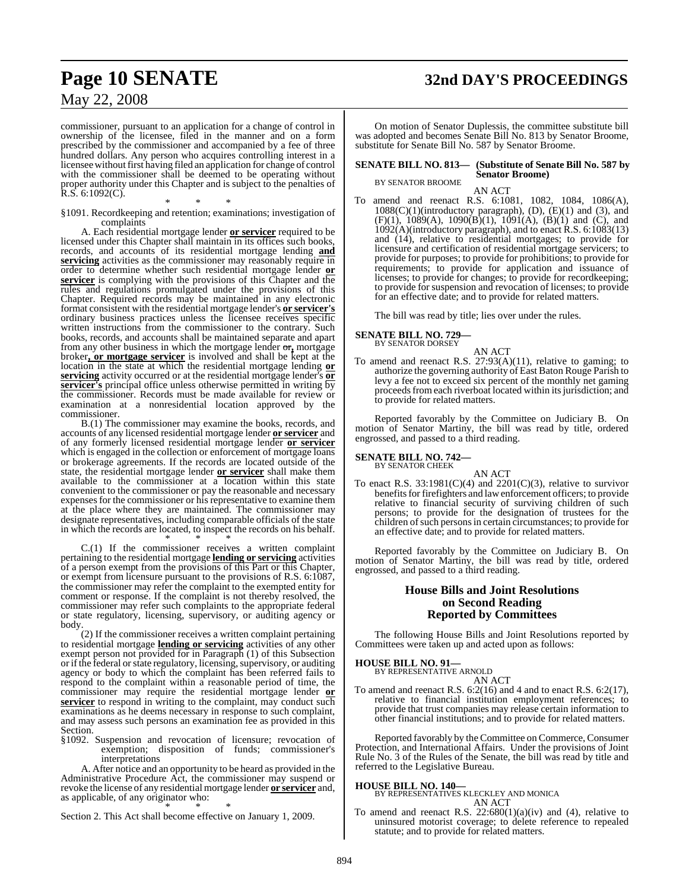# **Page 10 SENATE 32nd DAY'S PROCEEDINGS**

## May 22, 2008

commissioner, pursuant to an application for a change of control in ownership of the licensee, filed in the manner and on a form prescribed by the commissioner and accompanied by a fee of three hundred dollars. Any person who acquires controlling interest in a licensee without first having filed an application for change of control with the commissioner shall be deemed to be operating without proper authority under this Chapter and is subject to the penalties of  $R.S. 6:1092(C)$ .

\* \* \* §1091. Recordkeeping and retention; examinations; investigation of complaints

A. Each residential mortgage lender **or servicer** required to be licensed under this Chapter shall maintain in its offices such books, records, and accounts of its residential mortgage lending **and servicing** activities as the commissioner may reasonably require in order to determine whether such residential mortgage lender **or servicer** is complying with the provisions of this Chapter and the rules and regulations promulgated under the provisions of this Chapter. Required records may be maintained in any electronic format consistent with the residential mortgage lender's **or servicer's** ordinary business practices unless the licensee receives specific written instructions from the commissioner to the contrary. Such books, records, and accounts shall be maintained separate and apart from any other business in which the mortgage lender or**,** mortgage broker**, or mortgage servicer** is involved and shall be kept at the location in the state at which the residential mortgage lending **or servicing** activity occurred or at the residential mortgage lender's **or servicer's** principal office unless otherwise permitted in writing  $\overline{by}$ the commissioner. Records must be made available for review or examination at a nonresidential location approved by the commissioner.

B.(1) The commissioner may examine the books, records, and accounts of any licensed residential mortgage lender **or servicer** and of any formerly licensed residential mortgage lender **or servicer** which is engaged in the collection or enforcement of mortgage loans or brokerage agreements. If the records are located outside of the state, the residential mortgage lender **or servicer** shall make them available to the commissioner at a location within this state convenient to the commissioner or pay the reasonable and necessary expenses for the commissioner or his representative to examine them at the place where they are maintained. The commissioner may designate representatives, including comparable officials of the state in which the records are located, to inspect the records on his behalf. \* \* \*

C.(1) If the commissioner receives a written complaint pertaining to the residential mortgage **lending or servicing** activities of a person exempt from the provisions of this Part or this Chapter, or exempt from licensure pursuant to the provisions of R.S. 6:1087, the commissioner may refer the complaint to the exempted entity for comment or response. If the complaint is not thereby resolved, the commissioner may refer such complaints to the appropriate federal or state regulatory, licensing, supervisory, or auditing agency or body.

(2) If the commissioner receives a written complaint pertaining to residential mortgage **lending or servicing** activities of any other exempt person not provided for in Paragraph (1) of this Subsection or if the federal or state regulatory, licensing, supervisory, or auditing agency or body to which the complaint has been referred fails to respond to the complaint within a reasonable period of time, the commissioner may require the residential mortgage lender **or servicer** to respond in writing to the complaint, may conduct such examinations as he deems necessary in response to such complaint, and may assess such persons an examination fee as provided in this Section.

§1092. Suspension and revocation of licensure; revocation of exemption; disposition of funds; commissioner's interpretations

A. After notice and an opportunity to be heard as provided in the Administrative Procedure Act, the commissioner may suspend or revoke the license of any residential mortgage lender **or servicer** and, as applicable, of any originator who: \* \* \*

Section 2. This Act shall become effective on January 1, 2009.

On motion of Senator Duplessis, the committee substitute bill was adopted and becomes Senate Bill No. 813 by Senator Broome, substitute for Senate Bill No. 587 by Senator Broome.

#### **SENATE BILL NO. 813— (Substitute of Senate Bill No. 587 by Senator Broome)** BY SENATOR BROOME

AN ACT

To amend and reenact R.S. 6:1081, 1082, 1084, 1086(A),  $1088(C)(1)$ (introductory paragraph), (D),  $(E)(1)$  and (3), and  $(F)(1)$ , 1089(A), 1090(B)(1), 1091(A), (B)(1) and (C), and 1092(A)(introductory paragraph), and to enact R.S. 6:1083(13) and (14), relative to residential mortgages; to provide for licensure and certification of residential mortgage servicers; to provide for purposes; to provide for prohibitions; to provide for requirements; to provide for application and issuance of licenses; to provide for changes; to provide for recordkeeping; to provide for suspension and revocation of licenses; to provide for an effective date; and to provide for related matters.

The bill was read by title; lies over under the rules.

#### **SENATE BILL NO. 729—** BY SENATOR DORSEY

AN ACT To amend and reenact R.S. 27:93(A)(11), relative to gaming; to authorize the governing authority of East Baton Rouge Parish to levy a fee not to exceed six percent of the monthly net gaming proceeds from each riverboat located within its jurisdiction; and to provide for related matters.

Reported favorably by the Committee on Judiciary B. On motion of Senator Martiny, the bill was read by title, ordered engrossed, and passed to a third reading.

#### **SENATE BILL NO. 742—** BY SENATOR CHEEK

AN ACT To enact R.S.  $33:1981(C)(4)$  and  $2201(C)(3)$ , relative to survivor benefits for firefighters and law enforcement officers; to provide relative to financial security of surviving children of such persons; to provide for the designation of trustees for the children of such persons in certain circumstances; to provide for an effective date; and to provide for related matters.

Reported favorably by the Committee on Judiciary B. On motion of Senator Martiny, the bill was read by title, ordered engrossed, and passed to a third reading.

### **House Bills and Joint Resolutions on Second Reading Reported by Committees**

The following House Bills and Joint Resolutions reported by Committees were taken up and acted upon as follows:

#### **HOUSE BILL NO. 91—**

BY REPRESENTATIVE ARNOLD AN ACT

To amend and reenact R.S. 6:2(16) and 4 and to enact R.S. 6:2(17), relative to financial institution employment references; to provide that trust companies may release certain information to other financial institutions; and to provide for related matters.

Reported favorably by the Committee on Commerce, Consumer Protection, and International Affairs. Under the provisions of Joint Rule No. 3 of the Rules of the Senate, the bill was read by title and referred to the Legislative Bureau.

#### **HOUSE BILL NO. 140—**

BY REPRESENTATIVES KLECKLEY AND MONICA AN ACT

To amend and reenact R.S.  $22:680(1)(a)(iv)$  and (4), relative to uninsured motorist coverage; to delete reference to repealed statute; and to provide for related matters.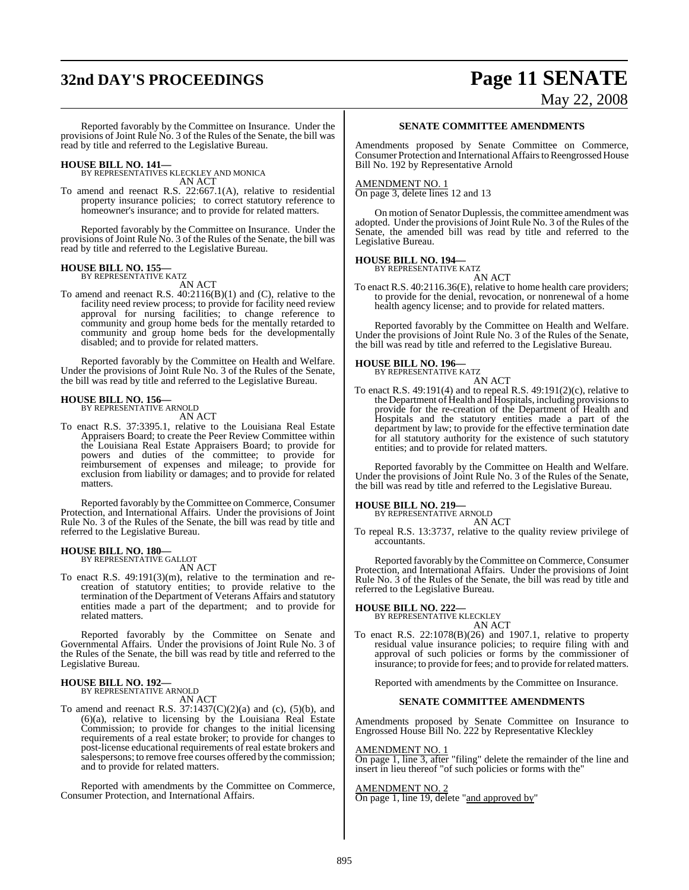# **32nd DAY'S PROCEEDINGS Page 11 SENATE**

# May 22, 2008

Reported favorably by the Committee on Insurance. Under the provisions of Joint Rule No. 3 of the Rules of the Senate, the bill was read by title and referred to the Legislative Bureau.

**HOUSE BILL NO. 141—** BY REPRESENTATIVES KLECKLEY AND MONICA AN ACT

To amend and reenact R.S. 22:667.1(A), relative to residential property insurance policies; to correct statutory reference to homeowner's insurance; and to provide for related matters.

Reported favorably by the Committee on Insurance. Under the provisions of Joint Rule No. 3 of the Rules of the Senate, the bill was read by title and referred to the Legislative Bureau.

# **HOUSE BILL NO. 155—** BY REPRESENTATIVE KATZ

AN ACT

To amend and reenact R.S. 40:2116(B)(1) and (C), relative to the facility need review process; to provide for facility need review approval for nursing facilities; to change reference to community and group home beds for the mentally retarded to community and group home beds for the developmentally disabled; and to provide for related matters.

Reported favorably by the Committee on Health and Welfare. Under the provisions of Joint Rule No. 3 of the Rules of the Senate, the bill was read by title and referred to the Legislative Bureau.

#### **HOUSE BILL NO. 156—** BY REPRESENTATIVE ARNOLD

AN ACT

To enact R.S. 37:3395.1, relative to the Louisiana Real Estate Appraisers Board; to create the Peer Review Committee within the Louisiana Real Estate Appraisers Board; to provide for powers and duties of the committee; to provide for reimbursement of expenses and mileage; to provide for exclusion from liability or damages; and to provide for related matters.

Reported favorably by the Committee on Commerce, Consumer Protection, and International Affairs. Under the provisions of Joint Rule No. 3 of the Rules of the Senate, the bill was read by title and referred to the Legislative Bureau.

# **HOUSE BILL NO. 180—** BY REPRESENTATIVE GALLOT

AN ACT

To enact R.S. 49:191(3)(m), relative to the termination and recreation of statutory entities; to provide relative to the termination of the Department of Veterans Affairs and statutory entities made a part of the department; and to provide for related matters.

Reported favorably by the Committee on Senate and Governmental Affairs. Under the provisions of Joint Rule No. 3 of the Rules of the Senate, the bill was read by title and referred to the Legislative Bureau.

# **HOUSE BILL NO. 192—** BY REPRESENTATIVE ARNOLD

AN ACT

To amend and reenact R.S.  $37:1437(C)(2)(a)$  and (c),  $(5)(b)$ , and (6)(a), relative to licensing by the Louisiana Real Estate Commission; to provide for changes to the initial licensing requirements of a real estate broker; to provide for changes to post-license educational requirements of real estate brokers and salespersons; to remove free courses offered by the commission; and to provide for related matters.

Reported with amendments by the Committee on Commerce, Consumer Protection, and International Affairs.

#### **SENATE COMMITTEE AMENDMENTS**

Amendments proposed by Senate Committee on Commerce, Consumer Protection and International Affairsto Reengrossed House Bill No. 192 by Representative Arnold

#### AMENDMENT NO. 1

On page 3, delete lines 12 and 13

On motion of Senator Duplessis, the committee amendment was adopted. Under the provisions of Joint Rule No. 3 of the Rules of the Senate, the amended bill was read by title and referred to the Legislative Bureau.

#### **HOUSE BILL NO. 194—** BY REPRESENTATIVE KATZ

AN ACT

To enact R.S. 40:2116.36(E), relative to home health care providers; to provide for the denial, revocation, or nonrenewal of a home health agency license; and to provide for related matters.

Reported favorably by the Committee on Health and Welfare. Under the provisions of Joint Rule No. 3 of the Rules of the Senate, the bill was read by title and referred to the Legislative Bureau.

# **HOUSE BILL NO. 196—** BY REPRESENTATIVE KATZ

AN ACT

To enact R.S. 49:191(4) and to repeal R.S. 49:191(2)(c), relative to the Department of Health and Hospitals, including provisionsto provide for the re-creation of the Department of Health and Hospitals and the statutory entities made a part of the department by law; to provide for the effective termination date for all statutory authority for the existence of such statutory entities; and to provide for related matters.

Reported favorably by the Committee on Health and Welfare. Under the provisions of Joint Rule No. 3 of the Rules of the Senate, the bill was read by title and referred to the Legislative Bureau.

# **HOUSE BILL NO. 219—** BY REPRESENTATIVE ARNOLD

AN ACT

To repeal R.S. 13:3737, relative to the quality review privilege of accountants.

Reported favorably by the Committee on Commerce, Consumer Protection, and International Affairs. Under the provisions of Joint Rule No. 3 of the Rules of the Senate, the bill was read by title and referred to the Legislative Bureau.

#### **HOUSE BILL NO. 222—**

BY REPRESENTATIVE KLECKLEY AN ACT

To enact R.S. 22:1078(B)(26) and 1907.1, relative to property residual value insurance policies; to require filing with and approval of such policies or forms by the commissioner of insurance; to provide for fees; and to provide for related matters.

Reported with amendments by the Committee on Insurance.

#### **SENATE COMMITTEE AMENDMENTS**

Amendments proposed by Senate Committee on Insurance to Engrossed House Bill No. 222 by Representative Kleckley

#### AMENDMENT NO. 1

On page 1, line 3, after "filing" delete the remainder of the line and insert in lieu thereof "of such policies or forms with the"

#### AMENDMENT NO. 2

On page 1, line 19, delete "and approved by"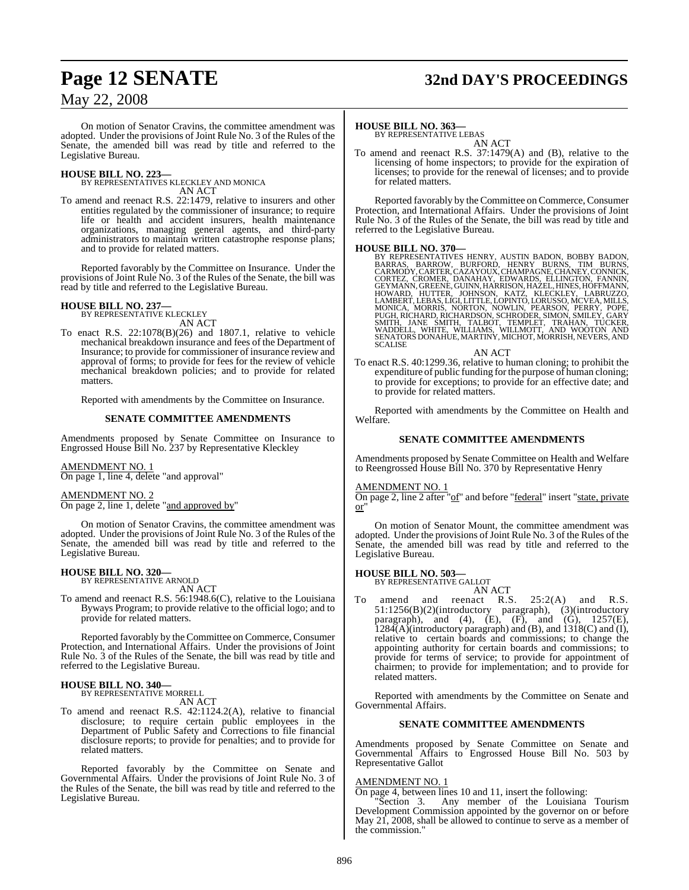# **Page 12 SENATE 32nd DAY'S PROCEEDINGS**

## May 22, 2008

On motion of Senator Cravins, the committee amendment was adopted. Under the provisions of Joint Rule No. 3 of the Rules of the Senate, the amended bill was read by title and referred to the Legislative Bureau.

**HOUSE BILL NO. 223—** BY REPRESENTATIVES KLECKLEY AND MONICA

- AN ACT
- To amend and reenact R.S. 22:1479, relative to insurers and other entities regulated by the commissioner of insurance; to require life or health and accident insurers, health maintenance organizations, managing general agents, and third-party administrators to maintain written catastrophe response plans; and to provide for related matters.

Reported favorably by the Committee on Insurance. Under the provisions of Joint Rule No. 3 of the Rules of the Senate, the bill was read by title and referred to the Legislative Bureau.

#### **HOUSE BILL NO. 237—**

BY REPRESENTATIVE KLECKLEY AN ACT

To enact R.S. 22:1078(B)(26) and 1807.1, relative to vehicle mechanical breakdown insurance and fees of the Department of Insurance; to provide for commissioner of insurance review and approval of forms; to provide for fees for the review of vehicle mechanical breakdown policies; and to provide for related matters.

Reported with amendments by the Committee on Insurance.

#### **SENATE COMMITTEE AMENDMENTS**

Amendments proposed by Senate Committee on Insurance to Engrossed House Bill No. 237 by Representative Kleckley

#### AMENDMENT NO. 1

On page 1, line 4, delete "and approval"

#### AMENDMENT NO. 2

On page 2, line 1, delete "and approved by"

On motion of Senator Cravins, the committee amendment was adopted. Under the provisions of Joint Rule No. 3 of the Rules of the Senate, the amended bill was read by title and referred to the Legislative Bureau.

#### **HOUSE BILL NO. 320—**

BY REPRESENTATIVE ARNOLD AN ACT

To amend and reenact R.S. 56:1948.6(C), relative to the Louisiana Byways Program; to provide relative to the official logo; and to provide for related matters.

Reported favorably by the Committee on Commerce, Consumer Protection, and International Affairs. Under the provisions of Joint Rule No. 3 of the Rules of the Senate, the bill was read by title and referred to the Legislative Bureau.

## **HOUSE BILL NO. 340—**

BY REPRESENTATIVE MORRELL AN ACT

To amend and reenact R.S. 42:1124.2(A), relative to financial disclosure; to require certain public employees in the Department of Public Safety and Corrections to file financial disclosure reports; to provide for penalties; and to provide for related matters.

Reported favorably by the Committee on Senate and Governmental Affairs. Under the provisions of Joint Rule No. 3 of the Rules of the Senate, the bill was read by title and referred to the Legislative Bureau.

#### **HOUSE BILL NO. 363—**

BY REPRESENTATIVE LEBAS AN ACT

To amend and reenact R.S. 37:1479(A) and (B), relative to the licensing of home inspectors; to provide for the expiration of licenses; to provide for the renewal of licenses; and to provide for related matters.

Reported favorably by the Committee on Commerce, Consumer Protection, and International Affairs. Under the provisions of Joint Rule No. 3 of the Rules of the Senate, the bill was read by title and referred to the Legislative Bureau.

HOUSE BILL NO. 370—<br>
BY REPRESENTATIVES HENRY, AUSTIN BADON, BOBBY BADON, BARRAS, BARROW, BURFORD, HENRY BURNS, TIM BURNS, CARMODY, CARTER, CAZAYOUX, CHAMPAGNE, CHANEY, CONNICK, CORTEZ, CROMER, DANMHAY, EDWARD, ELLINGTON,

To enact R.S. 40:1299.36, relative to human cloning; to prohibit the expenditure of public funding forthe purpose of human cloning; to provide for exceptions; to provide for an effective date; and to provide for related matters.

Reported with amendments by the Committee on Health and Welfare.

#### **SENATE COMMITTEE AMENDMENTS**

Amendments proposed by Senate Committee on Health and Welfare to Reengrossed House Bill No. 370 by Representative Henry

#### AMENDMENT NO. 1

On page 2, line 2 after "of" and before "federal" insert "state, private  $\overline{\text{or}}$ 

On motion of Senator Mount, the committee amendment was adopted. Under the provisions of Joint Rule No. 3 of the Rules of the Senate, the amended bill was read by title and referred to the Legislative Bureau.

# **HOUSE BILL NO. 503—** BY REPRESENTATIVE GALLOT

AN ACT

To amend and reenact R.S. 25:2(A) and R.S. 51:1256(B)(2)(introductory paragraph), (3)(introductory paragraph), and (4),  $(E)$ ,  $(F)$ , and  $(G)$ , 1257 $(E)$ ,  $1284(A)$ (introductory paragraph) and (B), and  $1318(C)$  and (I), relative to certain boards and commissions; to change the appointing authority for certain boards and commissions; to provide for terms of service; to provide for appointment of chairmen; to provide for implementation; and to provide for related matters.

Reported with amendments by the Committee on Senate and Governmental Affairs.

#### **SENATE COMMITTEE AMENDMENTS**

Amendments proposed by Senate Committee on Senate and Governmental Affairs to Engrossed House Bill No. 503 by Representative Gallot

#### AMENDMENT NO. 1

On page 4, between lines 10 and 11, insert the following:

"Section 3. Any member of the Louisiana Tourism Development Commission appointed by the governor on or before May 21, 2008, shall be allowed to continue to serve as a member of the commission."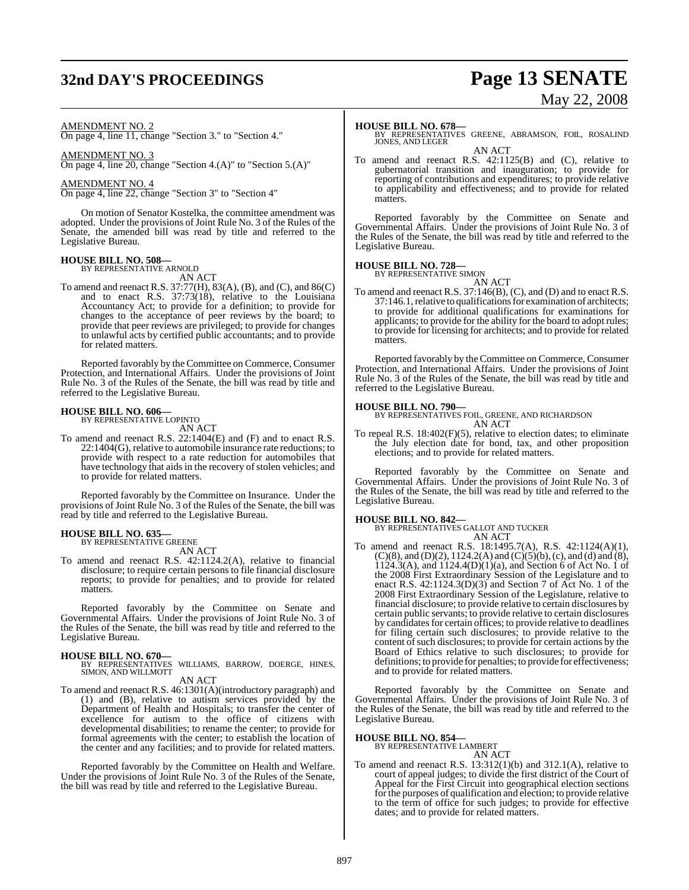# **32nd DAY'S PROCEEDINGS Page 13 SENATE**

# May 22, 2008

#### AMENDMENT NO. 2

On page 4, line 11, change "Section 3." to "Section 4."

AMENDMENT NO. 3

On page 4, line 20, change "Section 4.(A)" to "Section 5.(A)"

#### AMENDMENT NO. 4

On page 4, line 22, change "Section 3" to "Section 4"

On motion of Senator Kostelka, the committee amendment was adopted. Under the provisions of Joint Rule No. 3 of the Rules of the Senate, the amended bill was read by title and referred to the Legislative Bureau.

# **HOUSE BILL NO. 508—** BY REPRESENTATIVE ARNOLD

AN ACT To amend and reenact R.S. 37:77(H), 83(A), (B), and (C), and 86(C) and to enact R.S. 37:73(18), relative to the Louisiana Accountancy Act; to provide for a definition; to provide for changes to the acceptance of peer reviews by the board; to provide that peer reviews are privileged; to provide for changes to unlawful acts by certified public accountants; and to provide

Reported favorably by the Committee on Commerce, Consumer Protection, and International Affairs. Under the provisions of Joint Rule No. 3 of the Rules of the Senate, the bill was read by title and referred to the Legislative Bureau.

# **HOUSE BILL NO. 606—** BY REPRESENTATIVE LOPINTO

for related matters.

AN ACT

To amend and reenact R.S. 22:1404(E) and (F) and to enact R.S. 22:1404(G), relative to automobile insurance rate reductions; to provide with respect to a rate reduction for automobiles that have technology that aids in the recovery of stolen vehicles; and to provide for related matters.

Reported favorably by the Committee on Insurance. Under the provisions of Joint Rule No. 3 of the Rules of the Senate, the bill was read by title and referred to the Legislative Bureau.

#### **HOUSE BILL NO. 635—** BY REPRESENTATIVE GREENE

AN ACT

To amend and reenact R.S. 42:1124.2(A), relative to financial disclosure; to require certain persons to file financial disclosure reports; to provide for penalties; and to provide for related matters.

Reported favorably by the Committee on Senate and Governmental Affairs. Under the provisions of Joint Rule No. 3 of the Rules of the Senate, the bill was read by title and referred to the Legislative Bureau.

**HOUSE BILL NO. 670—** BY REPRESENTATIVES WILLIAMS, BARROW, DOERGE, HINES, SIMON, AND WILLMOTT

AN ACT

To amend and reenact R.S. 46:1301(A)(introductory paragraph) and (1) and (B), relative to autism services provided by the Department of Health and Hospitals; to transfer the center of excellence for autism to the office of citizens with developmental disabilities; to rename the center; to provide for formal agreements with the center; to establish the location of the center and any facilities; and to provide for related matters.

Reported favorably by the Committee on Health and Welfare. Under the provisions of Joint Rule No. 3 of the Rules of the Senate, the bill was read by title and referred to the Legislative Bureau.

**HOUSE BILL NO. 678—** BY REPRESENTATIVES GREENE, ABRAMSON, FOIL, ROSALIND JONES, AND LEGER AN ACT

To amend and reenact R.S. 42:1125(B) and (C), relative to gubernatorial transition and inauguration; to provide for reporting of contributions and expenditures; to provide relative to applicability and effectiveness; and to provide for related matters.

Reported favorably by the Committee on Senate and Governmental Affairs. Under the provisions of Joint Rule No. 3 of the Rules of the Senate, the bill was read by title and referred to the Legislative Bureau.

# **HOUSE BILL NO. 728—** BY REPRESENTATIVE SIMON

AN ACT To amend and reenact R.S. 37:146(B), (C), and (D) and to enact R.S. 37:146.1,relative to qualifications for examination of architects; to provide for additional qualifications for examinations for applicants; to provide for the ability for the board to adopt rules; to provide for licensing for architects; and to provide for related matters.

Reported favorably by the Committee on Commerce, Consumer Protection, and International Affairs. Under the provisions of Joint Rule No. 3 of the Rules of the Senate, the bill was read by title and referred to the Legislative Bureau.

**HOUSE BILL NO. 790—** BY REPRESENTATIVES FOIL, GREENE, AND RICHARDSON AN ACT

To repeal R.S. 18:402(F)(5), relative to election dates; to eliminate the July election date for bond, tax, and other proposition elections; and to provide for related matters.

Reported favorably by the Committee on Senate and Governmental Affairs. Under the provisions of Joint Rule No. 3 of the Rules of the Senate, the bill was read by title and referred to the Legislative Bureau.

#### **HOUSE BILL NO. 842—**

BY REPRESENTATIVES GALLOT AND TUCKER AN ACT

To amend and reenact R.S. 18:1495.7(A), R.S. 42:1124(A)(1),  $(C)(8)$ , and  $(D)(2)$ , 1124.2(A) and  $(C)(5)(b)$ , (c), and (d) and (8),  $1124.3(A)$ , and  $1124.4(D)(1)(a)$ , and Section 6 of Act No. 1 of the 2008 First Extraordinary Session of the Legislature and to enact R.S. 42:1124.3(D)(3) and Section 7 of Act No. 1 of the 2008 First Extraordinary Session of the Legislature, relative to financial disclosure; to provide relative to certain disclosures by certain public servants; to provide relative to certain disclosures by candidates for certain offices; to provide relative to deadlines for filing certain such disclosures; to provide relative to the content of such disclosures; to provide for certain actions by the Board of Ethics relative to such disclosures; to provide for definitions; to provide for penalties; to provide for effectiveness; and to provide for related matters.

Reported favorably by the Committee on Senate and Governmental Affairs. Under the provisions of Joint Rule No. 3 of the Rules of the Senate, the bill was read by title and referred to the Legislative Bureau.

#### **HOUSE BILL NO. 854—**

BY REPRESENTATIVE LAMBERT AN ACT

To amend and reenact R.S. 13:312(1)(b) and 312.1(A), relative to court of appeal judges; to divide the first district of the Court of Appeal for the First Circuit into geographical election sections for the purposes of qualification and election; to provide relative to the term of office for such judges; to provide for effective dates; and to provide for related matters.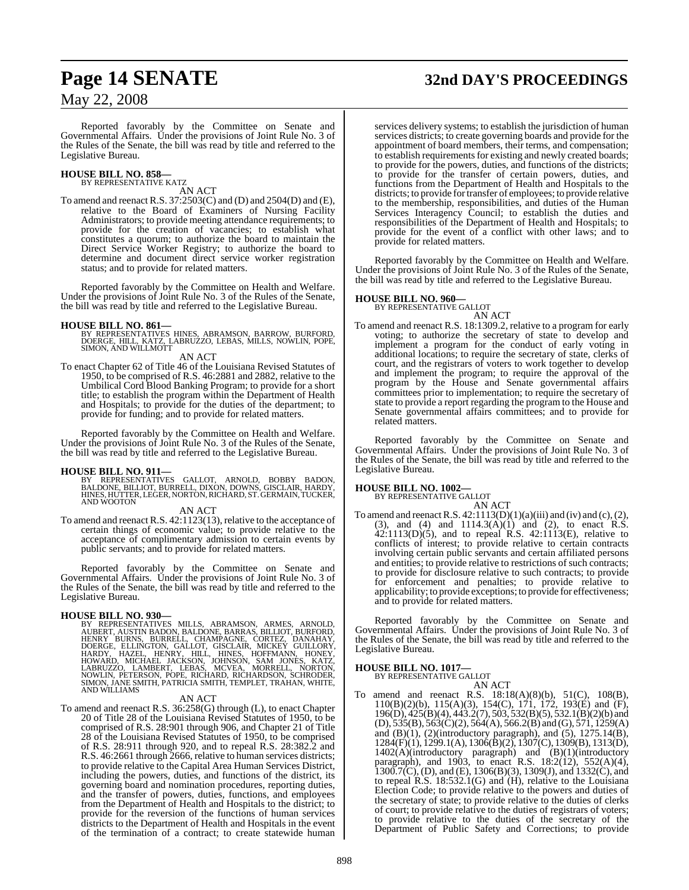# **Page 14 SENATE 32nd DAY'S PROCEEDINGS**

May 22, 2008

Reported favorably by the Committee on Senate and Governmental Affairs. Under the provisions of Joint Rule No. 3 of the Rules of the Senate, the bill was read by title and referred to the Legislative Bureau.

#### **HOUSE BILL NO. 858—** BY REPRESENTATIVE KATZ

## AN ACT

To amend and reenact R.S. 37:2503(C) and (D) and 2504(D) and (E), relative to the Board of Examiners of Nursing Facility Administrators; to provide meeting attendance requirements; to provide for the creation of vacancies; to establish what constitutes a quorum; to authorize the board to maintain the Direct Service Worker Registry; to authorize the board to determine and document direct service worker registration status; and to provide for related matters.

Reported favorably by the Committee on Health and Welfare. Under the provisions of Joint Rule No. 3 of the Rules of the Senate, the bill was read by title and referred to the Legislative Bureau.

#### **HOUSE BILL NO. 861—**

BY REPRESENTATIVES HINES, ABRAMSON, BARROW, BURFORD,<br>DOERGE, HILL, KATZ, LABRUZZO, LEBAS, MILLS, NOWLIN, POPE,<br>SIMON, AND WILLMOTT

AN ACT

To enact Chapter 62 of Title 46 of the Louisiana Revised Statutes of 1950, to be comprised of R.S. 46:2881 and 2882, relative to the Umbilical Cord Blood Banking Program; to provide for a short title; to establish the program within the Department of Health and Hospitals; to provide for the duties of the department; to provide for funding; and to provide for related matters.

Reported favorably by the Committee on Health and Welfare. Under the provisions of Joint Rule No. 3 of the Rules of the Senate, the bill was read by title and referred to the Legislative Bureau.

#### **HOUSE BILL NO. 911—**

BY REPRESENTATIVES GALLOT, ARNOLD, BOBBY BADON,<br>BALDONE, BILLIOT, BURRELL, DIXON, DOWNS, GISCLAIR, HARDY,<br>HINES,HUTTER,LEGER,NORTON,RICHARD,ST.GERMAIN,TUCKER,<br>AND WOOTON

#### AN ACT

To amend and reenact R.S. 42:1123(13), relative to the acceptance of certain things of economic value; to provide relative to the acceptance of complimentary admission to certain events by public servants; and to provide for related matters.

Reported favorably by the Committee on Senate and Governmental Affairs. Under the provisions of Joint Rule No. 3 of the Rules of the Senate, the bill was read by title and referred to the Legislative Bureau.

**HOUSE BILL NO. 930—**<br>BY REPRESENTATIVES MILLS, ABRAMSON, ARMES, ARNOLD,<br>AUBENT, AUSTIN BADON, BALDONE, BARRAS, BILLIOT, BURFORD,<br>HENRY BURNS, BURRELL, CHAMPAGNE, CORTEZ, DANAHAY,<br>DOERGE, ELLINGTON, GALLOT, GISCLAIR, MICKE

#### AN ACT

To amend and reenact R.S. 36:258(G) through (L), to enact Chapter 20 of Title 28 of the Louisiana Revised Statutes of 1950, to be comprised of R.S. 28:901 through 906, and Chapter 21 of Title 28 of the Louisiana Revised Statutes of 1950, to be comprised of R.S. 28:911 through 920, and to repeal R.S. 28:382.2 and R.S. 46:2661 through 2666, relative to human services districts; to provide relative to the Capital Area Human Services District, including the powers, duties, and functions of the district, its governing board and nomination procedures, reporting duties, and the transfer of powers, duties, functions, and employees from the Department of Health and Hospitals to the district; to provide for the reversion of the functions of human services districts to the Department of Health and Hospitals in the event of the termination of a contract; to create statewide human

services delivery systems; to establish the jurisdiction of human services districts; to create governing boards and provide for the appointment of board members, their terms, and compensation; to establish requirements for existing and newly created boards; to provide for the powers, duties, and functions of the districts; to provide for the transfer of certain powers, duties, and functions from the Department of Health and Hospitals to the districts; to provide for transfer of employees; to provide relative to the membership, responsibilities, and duties of the Human Services Interagency Council; to establish the duties and responsibilities of the Department of Health and Hospitals; to provide for the event of a conflict with other laws; and to provide for related matters.

Reported favorably by the Committee on Health and Welfare. Under the provisions of Joint Rule No. 3 of the Rules of the Senate, the bill was read by title and referred to the Legislative Bureau.

# **HOUSE BILL NO. 960—** BY REPRESENTATIVE GALLOT

- AN ACT
- To amend and reenact R.S. 18:1309.2, relative to a program for early voting; to authorize the secretary of state to develop and implement a program for the conduct of early voting in additional locations; to require the secretary of state, clerks of court, and the registrars of voters to work together to develop and implement the program; to require the approval of the program by the House and Senate governmental affairs committees prior to implementation; to require the secretary of state to provide a report regarding the program to the House and Senate governmental affairs committees; and to provide for related matters.

Reported favorably by the Committee on Senate and Governmental Affairs. Under the provisions of Joint Rule No. 3 of the Rules of the Senate, the bill was read by title and referred to the Legislative Bureau.

# **HOUSE BILL NO. 1002—** BY REPRESENTATIVE GALLOT

AN ACT To amend and reenact R.S.  $42:1113(D)(1)(a)(iii)$  and (iv) and (c), (2), (3), and (4) and 1114.3(A)(1) and (2), to enact R.S.  $42:1113(D)(5)$ , and to repeal R.S.  $42:1113(E)$ , relative to conflicts of interest; to provide relative to certain contracts involving certain public servants and certain affiliated persons and entities; to provide relative to restrictions of such contracts; to provide for disclosure relative to such contracts; to provide for enforcement and penalties; to provide relative to applicability; to provide exceptions; to provide for effectiveness; and to provide for related matters.

Reported favorably by the Committee on Senate and Governmental Affairs. Under the provisions of Joint Rule No. 3 of the Rules of the Senate, the bill was read by title and referred to the Legislative Bureau.

#### **HOUSE BILL NO. 1017—**

BY REPRESENTATIVE GALLOT

- AN ACT
- To amend and reenact R.S. 18:18(A)(8)(b), 51(C), 108(B), 110(B)(2)(b), 115(A)(3), 154(C), 171, 172, 193(E) and (F), 196(D), 425(B)(4), 443.2(7), 503, 532(B)(5), 532.1(B)(2)(b) and  $(D), 535(B), 563(C)(2), 564(A), 566.2(B)$  and  $(G), 571, 1259(A)$ and  $(B)(1)$ ,  $(2)$ (introductory paragraph), and  $(5)$ ,  $1275.14(B)$ , 1284(F)(1), 1299.1(A), 1306(B)(2), 1307(C), 1309(B), 1313(D), 1402(A)(introductory paragraph) and (B)(1)(introductory paragraph), and 1903, to enact R.S. 18:2(12), 552(A)(4),  $1300.7(\text{C})$ , (D), and (E), 1306(B)(3), 1309(J), and 1332(C), and to repeal  $R.S.$  18:532.1(G) and  $(H)$ , relative to the Louisiana Election Code; to provide relative to the powers and duties of the secretary of state; to provide relative to the duties of clerks of court; to provide relative to the duties of registrars of voters; to provide relative to the duties of the secretary of the Department of Public Safety and Corrections; to provide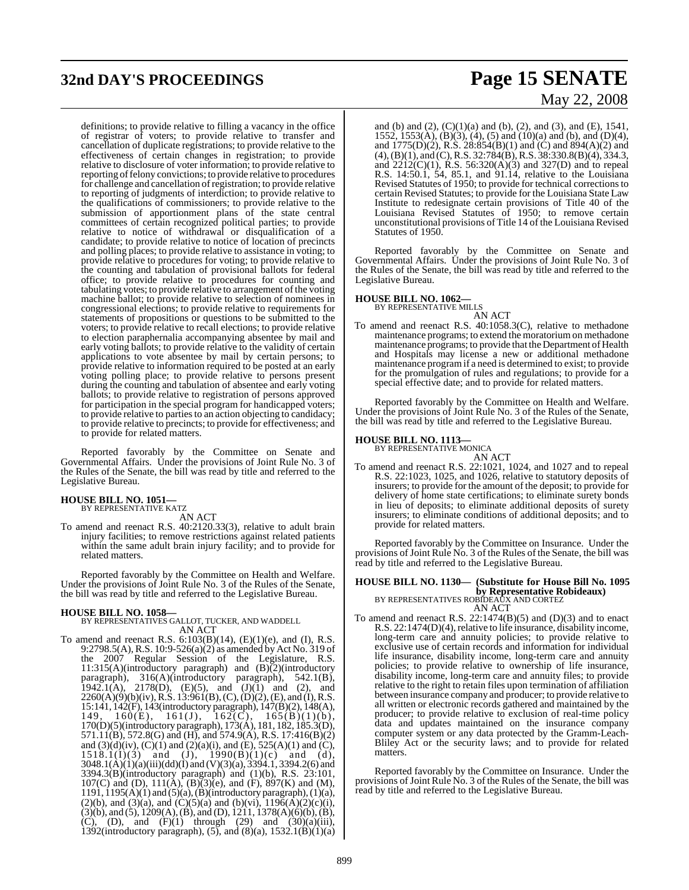# **32nd DAY'S PROCEEDINGS Page 15 SENATE**

definitions; to provide relative to filling a vacancy in the office of registrar of voters; to provide relative to transfer and cancellation of duplicate registrations; to provide relative to the effectiveness of certain changes in registration; to provide relative to disclosure of voter information; to provide relative to reporting of felony convictions; to provide relative to procedures for challenge and cancellation ofregistration; to provide relative to reporting of judgments of interdiction; to provide relative to the qualifications of commissioners; to provide relative to the submission of apportionment plans of the state central committees of certain recognized political parties; to provide relative to notice of withdrawal or disqualification of a candidate; to provide relative to notice of location of precincts and polling places; to provide relative to assistance in voting; to provide relative to procedures for voting; to provide relative to the counting and tabulation of provisional ballots for federal office; to provide relative to procedures for counting and tabulating votes; to provide relative to arrangement of the voting machine ballot; to provide relative to selection of nominees in congressional elections; to provide relative to requirements for statements of propositions or questions to be submitted to the voters; to provide relative to recall elections; to provide relative to election paraphernalia accompanying absentee by mail and early voting ballots; to provide relative to the validity of certain applications to vote absentee by mail by certain persons; to provide relative to information required to be posted at an early voting polling place; to provide relative to persons present during the counting and tabulation of absentee and early voting ballots; to provide relative to registration of persons approved for participation in the special program for handicapped voters; to provide relative to parties to an action objecting to candidacy; to provide relative to precincts; to provide for effectiveness; and to provide for related matters.

Reported favorably by the Committee on Senate and Governmental Affairs. Under the provisions of Joint Rule No. 3 of the Rules of the Senate, the bill was read by title and referred to the Legislative Bureau.

# **HOUSE BILL NO. 1051—** BY REPRESENTATIVE KATZ

AN ACT

To amend and reenact R.S. 40:2120.33(3), relative to adult brain injury facilities; to remove restrictions against related patients within the same adult brain injury facility; and to provide for related matters.

Reported favorably by the Committee on Health and Welfare. Under the provisions of Joint Rule No. 3 of the Rules of the Senate, the bill was read by title and referred to the Legislative Bureau.

**HOUSE BILL NO. 1058—** BY REPRESENTATIVES GALLOT, TUCKER, AND WADDELL AN ACT

To amend and reenact R.S. 6:103(B)(14), (E)(1)(e), and (I), R.S. 9:2798.5(A),R.S. 10:9-526(a)(2) as amended by Act No. 319 of the 2007 Regular Session of the Legislature, R.S.  $11:315(A)$ (introductory paragraph) and  $(B)$ (2)(introductory paragraph), 316(A)(introductory paragraph), 542.1(B), 1942.1(A), 2178(D), (E)(5), and  $(J)(1)$  and (2), and  $2260(A)(9)(b)(iv)$ , R.S. 13:961(B), (C), (D)(2), (E), and (I), R.S. 15:141, 142(F), 143(introductory paragraph), 147(B)(2), 148(A), 149, 160(E), 161(J), 162(C), 165(B)(1)(b), 170(D)(5)(introductory paragraph), 173(A), 181, 182, 185.3(D), 571.11(B), 572.8(G) and (H), and 574.9(A), R.S. 17:416(B)(2) and  $(3)(d)(iv)$ ,  $(C)(1)$  and  $(2)(a)(i)$ , and  $(E)$ , 525(A)(1) and  $(C)$ ,  $1518.1(1)(3)$  and  $(J)$ ,  $1990(B)(1)(c)$  and  $(d)$ , 3048.1(A)(1)(a)(iii)(dd)(I) and (V)(3)(a), 3394.1, 3394.2(6) and 3394.3(B)(introductory paragraph) and (1)(b), R.S. 23:101, 107(C) and (D),  $111(A)$ ,  $(B)$  $(3)$  $(e)$ , and  $(F)$ ,  $897(K)$  and  $(M)$ , 1191, 1195(A)(1) and (5)(a), (B)(introductory paragraph), (1)(a), (2)(b), and (3)(a), and (C)(5)(a) and (b)(vi),  $1196(\text{\AA})(2)(\text{\AA})(i)$ , (3)(b), and (5), 1209(A),(B), and (D), 1211, 1378(A)(6)(b),(B),  $(D)$ , and  $(F)(1)$  through (29) and  $(30)(a)(iii)$ , 1392(introductory paragraph),  $(5)$ , and  $(8)(a)$ , 1532.1 $(B)(1)(a)$ 

# May 22, 2008

and (b) and (2),  $(C)(1)(a)$  and (b), (2), and (3), and (E), 1541, 1552, 1553(A), (B)(3), (4), (5) and (10)(a) and (b), and (D)(4), and 1775(D)(2), R.S. 28:854(B)(1) and (C) and 894(A)(2) and  $(4)$ , (B)(1), and (C), R.S. 32:784(B), R.S. 38:330.8(B)(4), 334.3, and  $2212(C)(1)$ , R.S. 56:320(A)(3) and 327(D) and to repeal R.S. 14:50.1, 54, 85.1, and 91.14, relative to the Louisiana Revised Statutes of 1950; to provide for technical correctionsto certain Revised Statutes; to provide for the Louisiana State Law Institute to redesignate certain provisions of Title 40 of the Louisiana Revised Statutes of 1950; to remove certain unconstitutional provisions of Title 14 of the Louisiana Revised Statutes of 1950.

Reported favorably by the Committee on Senate and Governmental Affairs. Under the provisions of Joint Rule No. 3 of the Rules of the Senate, the bill was read by title and referred to the Legislative Bureau.

# **HOUSE BILL NO. 1062—** BY REPRESENTATIVE MILLS

AN ACT

To amend and reenact R.S. 40:1058.3(C), relative to methadone maintenance programs; to extend the moratoriumon methadone maintenance programs; to provide that the Department of Health and Hospitals may license a new or additional methadone maintenance programif a need is determined to exist; to provide for the promulgation of rules and regulations; to provide for a special effective date; and to provide for related matters.

Reported favorably by the Committee on Health and Welfare. Under the provisions of Joint Rule No. 3 of the Rules of the Senate, the bill was read by title and referred to the Legislative Bureau.

# **HOUSE BILL NO. 1113—** BY REPRESENTATIVE MONICA

AN ACT

To amend and reenact R.S. 22:1021, 1024, and 1027 and to repeal R.S. 22:1023, 1025, and 1026, relative to statutory deposits of insurers; to provide for the amount of the deposit; to provide for delivery of home state certifications; to eliminate surety bonds in lieu of deposits; to eliminate additional deposits of surety insurers; to eliminate conditions of additional deposits; and to provide for related matters.

Reported favorably by the Committee on Insurance. Under the provisions of Joint Rule No. 3 of the Rules of the Senate, the bill was read by title and referred to the Legislative Bureau.

# **HOUSE BILL NO. 1130— (Substitute for House Bill No. 1095**

**by Representative Robideaux)**<br>BY REPRESENTATIVES ROBIDEAUX AND CORTEZ<br>AN ACT

To amend and reenact R.S. 22:1474(B)(5) and (D)(3) and to enact R.S. 22:1474(D)(4), relative to life insurance, disability income, long-term care and annuity policies; to provide relative to exclusive use of certain records and information for individual life insurance, disability income, long-term care and annuity policies; to provide relative to ownership of life insurance, disability income, long-term care and annuity files; to provide relative to the right to retain files upon termination of affiliation between insurance company and producer; to provide relative to all written or electronic records gathered and maintained by the producer; to provide relative to exclusion of real-time policy data and updates maintained on the insurance company computer system or any data protected by the Gramm-Leach-Bliley Act or the security laws; and to provide for related matters.

Reported favorably by the Committee on Insurance. Under the provisions of Joint Rule No. 3 of the Rules of the Senate, the bill was read by title and referred to the Legislative Bureau.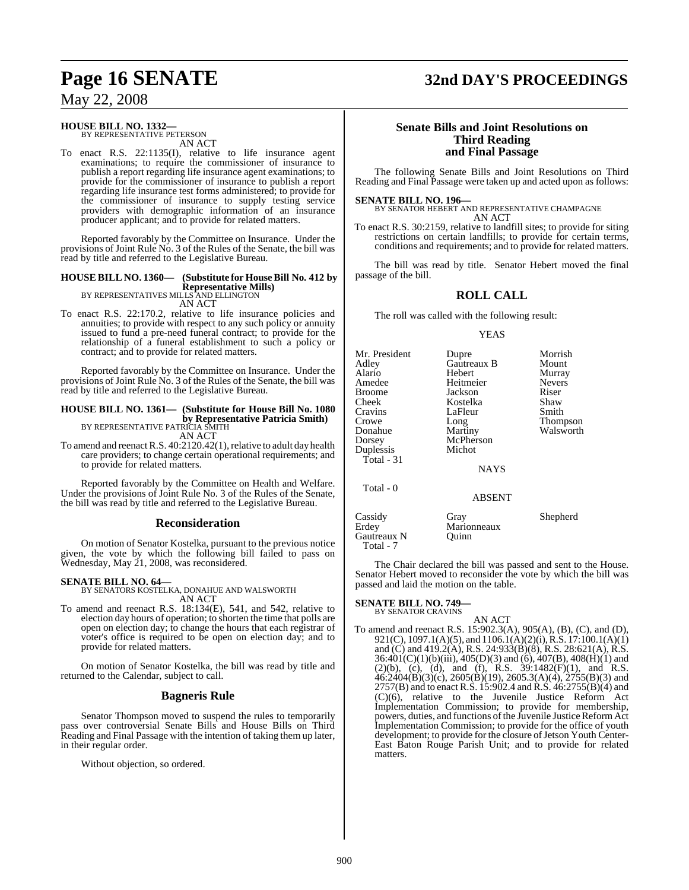#### **HOUSE BILL NO. 1332—** BY REPRESENTATIVE PETERSON

AN ACT

To enact R.S. 22:1135(I), relative to life insurance agent examinations; to require the commissioner of insurance to publish a report regarding life insurance agent examinations; to provide for the commissioner of insurance to publish a report regarding life insurance test forms administered; to provide for the commissioner of insurance to supply testing service providers with demographic information of an insurance producer applicant; and to provide for related matters.

Reported favorably by the Committee on Insurance. Under the provisions of Joint Rule No. 3 of the Rules of the Senate, the bill was read by title and referred to the Legislative Bureau.

## **HOUSE BILL NO. 1360— (Substitute for HouseBill No. 412 by Representative Mills)** BY REPRESENTATIVES MILLS AND ELLINGTON

AN ACT

To enact R.S. 22:170.2, relative to life insurance policies and annuities; to provide with respect to any such policy or annuity issued to fund a pre-need funeral contract; to provide for the relationship of a funeral establishment to such a policy or contract; and to provide for related matters.

Reported favorably by the Committee on Insurance. Under the provisions of Joint Rule No. 3 of the Rules of the Senate, the bill was read by title and referred to the Legislative Bureau.

## **HOUSE BILL NO. 1361— (Substitute for House Bill No. 1080 by Representative Patricia Smith)**<br>BY REPRESENTATIVE PATRICIA SMITH AN ACT

To amend and reenact R.S. 40:2120.42(1), relative to adult day health care providers; to change certain operational requirements; and to provide for related matters.

Reported favorably by the Committee on Health and Welfare. Under the provisions of Joint Rule No. 3 of the Rules of the Senate, the bill was read by title and referred to the Legislative Bureau.

## **Reconsideration**

On motion of Senator Kostelka, pursuant to the previous notice given, the vote by which the following bill failed to pass on Wednesday, May 21, 2008, was reconsidered.

**SENATE BILL NO. 64—** BY SENATORS KOSTELKA, DONAHUE AND WALSWORTH AN ACT

To amend and reenact R.S. 18:134(E), 541, and 542, relative to election day hours of operation; to shorten the time that polls are open on election day; to change the hours that each registrar of voter's office is required to be open on election day; and to provide for related matters.

On motion of Senator Kostelka, the bill was read by title and returned to the Calendar, subject to call.

#### **Bagneris Rule**

Senator Thompson moved to suspend the rules to temporarily pass over controversial Senate Bills and House Bills on Third Reading and Final Passage with the intention of taking them up later, in their regular order.

Without objection, so ordered.

# **Page 16 SENATE 32nd DAY'S PROCEEDINGS**

#### **Senate Bills and Joint Resolutions on Third Reading and Final Passage**

The following Senate Bills and Joint Resolutions on Third Reading and Final Passage were taken up and acted upon as follows:

#### **SENATE BILL NO. 196—**

BY SENATOR HEBERT AND REPRESENTATIVE CHAMPAGNE AN ACT

To enact R.S. 30:2159, relative to landfill sites; to provide for siting restrictions on certain landfills; to provide for certain terms, conditions and requirements; and to provide for related matters.

The bill was read by title. Senator Hebert moved the final passage of the bill.

## **ROLL CALL**

The roll was called with the following result:

#### YEAS

| Mr. President | Dupre         | Morrish         |
|---------------|---------------|-----------------|
| Adley         | Gautreaux B   | Mount           |
| Alario        | Hebert        | Murray          |
| Amedee        | Heitmeier     | <b>Nevers</b>   |
| <b>Broome</b> | Jackson       | Riser           |
| Cheek         | Kostelka      | Shaw            |
| Cravins       | LaFleur       | Smith           |
| Crowe         | Long          | <b>Thompson</b> |
| Donahue       | Martiny       | Walsworth       |
| Dorsey        | McPherson     |                 |
| Duplessis     | Michot        |                 |
| $Total - 31$  |               |                 |
|               | <b>NAYS</b>   |                 |
| Total - 0     |               |                 |
|               | <b>ABSENT</b> |                 |
| Cassidy       | Gray          | Shepherd        |
| Erdey         | Marionneaux   |                 |

The Chair declared the bill was passed and sent to the House. Senator Hebert moved to reconsider the vote by which the bill was passed and laid the motion on the table.

# **SENATE BILL NO. 749—** BY SENATOR CRAVINS

Gautreaux N Quinn

Total - 7

AN ACT To amend and reenact R.S. 15:902.3(A), 905(A), (B), (C), and (D), 921(C), 1097.1(A)(5), and 1106.1(A)(2)(i), R.S. 17:100.1(A)(1) and  $(C)$  and 419.2(A), R.S. 24:933(B)(8), R.S. 28:621(A), R.S. 36:401(C)(1)(b)(iii), 405(D)(3) and (6), 407(B), 408(H)(1) and (2)(b), (c), (d), and (f), R.S.  $39:1482(F)(1)$ , and R.S.  $\overline{46:2404(B)(3)(c)}$ , 2605(B)(19), 2605.3(A)(4), 2755(B)(3) and 2757(B) and to enact R.S. 15:902.4 and R.S. 46:2755(B)(4) and  $(C)(6)$ , relative to the Juvenile Justice Reform Act Implementation Commission; to provide for membership, powers, duties, and functions of the Juvenile Justice Reform Act Implementation Commission; to provide for the office of youth development; to provide for the closure of Jetson Youth Center-East Baton Rouge Parish Unit; and to provide for related matters.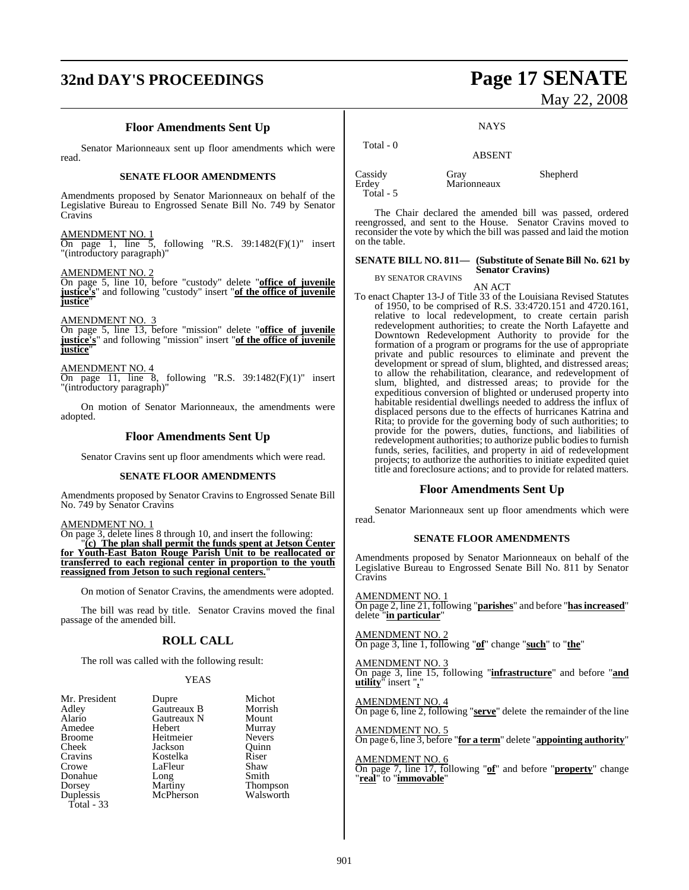# **32nd DAY'S PROCEEDINGS Page 17 SENATE**

# May 22, 2008

## **Floor Amendments Sent Up**

Senator Marionneaux sent up floor amendments which were read.

#### **SENATE FLOOR AMENDMENTS**

Amendments proposed by Senator Marionneaux on behalf of the Legislative Bureau to Engrossed Senate Bill No. 749 by Senator Cravins

#### AMENDMENT NO. 1

following "R.S.  $39:1482(F)(1)$ " insert  $\overline{On} \overline{page 1}$ ,  $\overline{line 5}$ , for "(introductory paragraph)"

#### AMENDMENT NO. 2

On page 5, line 10, before "custody" delete "**office of juvenile justice's**" and following "custody" insert "**of the office of juvenile justice**"

AMENDMENT NO.

On page 5, line 13, before "mission" delete "**office of juvenile justice's**" and following "mission" insert "**of the office of juvenile justice**"

AMENDMENT NO. 4

On page 11, line 8, following "R.S. 39:1482(F)(1)" insert "(introductory paragraph)"

On motion of Senator Marionneaux, the amendments were adopted.

## **Floor Amendments Sent Up**

Senator Cravins sent up floor amendments which were read.

#### **SENATE FLOOR AMENDMENTS**

Amendments proposed by Senator Cravins to Engrossed Senate Bill No. 749 by Senator Cravins

AMENDMENT NO. 1

On page 3, delete lines 8 through 10, and insert the following: "**(c) The plan shall permit the funds spent at Jetson Center for Youth-East Baton Rouge Parish Unit to be reallocated or transferred to each regional center in proportion to the youth reassigned from Jetson to such regional centers.**"

On motion of Senator Cravins, the amendments were adopted.

The bill was read by title. Senator Cravins moved the final passage of the amended bill.

## **ROLL CALL**

The roll was called with the following result:

#### YEAS

| Mr. President | Dupre       | Michot          |
|---------------|-------------|-----------------|
| Adley         | Gautreaux B | Morrish         |
| Alario        | Gautreaux N | Mount           |
| Amedee        | Hebert      | Murray          |
| <b>Broome</b> | Heitmeier   | <b>Nevers</b>   |
| Cheek         | Jackson     | Ouinn           |
| Cravins       | Kostelka    | Riser           |
| Crowe         | LaFleur     | Shaw            |
| Donahue       | Long        | Smith           |
| Dorsey        | Martiny     | <b>Thompson</b> |
| Duplessis     | McPherson   | Walsworth       |
| Total - 33    |             |                 |

**NAYS** 

| Total - 0                       | <b>ABSENT</b>       |          |
|---------------------------------|---------------------|----------|
| Cassidy<br>Erdey<br>$Total - 5$ | Gray<br>Marionneaux | Shepherd |

The Chair declared the amended bill was passed, ordered reengrossed, and sent to the House. Senator Cravins moved to reconsider the vote by which the bill was passed and laid the motion on the table.

#### **SENATE BILL NO. 811— (Substitute of Senate Bill No. 621 by Senator Cravins)**

BY SENATOR CRAVINS AN ACT

To enact Chapter 13-J of Title 33 of the Louisiana Revised Statutes of 1950, to be comprised of R.S. 33:4720.151 and 4720.161, relative to local redevelopment, to create certain parish redevelopment authorities; to create the North Lafayette and Downtown Redevelopment Authority to provide for the formation of a program or programs for the use of appropriate private and public resources to eliminate and prevent the development or spread of slum, blighted, and distressed areas; to allow the rehabilitation, clearance, and redevelopment of slum, blighted, and distressed areas; to provide for the expeditious conversion of blighted or underused property into habitable residential dwellings needed to address the influx of displaced persons due to the effects of hurricanes Katrina and Rita; to provide for the governing body of such authorities; to provide for the powers, duties, functions, and liabilities of redevelopment authorities; to authorize public bodiesto furnish funds, series, facilities, and property in aid of redevelopment projects; to authorize the authorities to initiate expedited quiet title and foreclosure actions; and to provide for related matters.

## **Floor Amendments Sent Up**

Senator Marionneaux sent up floor amendments which were read.

#### **SENATE FLOOR AMENDMENTS**

Amendments proposed by Senator Marionneaux on behalf of the Legislative Bureau to Engrossed Senate Bill No. 811 by Senator Cravins

AMENDMENT NO. 1 On page 2, line 21, following "**parishes**" and before "**hasincreased**" delete "**in particular**"

AMENDMENT NO. 2 On page 3, line 1, following "**of**" change "**such**" to "**the**"

AMENDMENT NO. 3 On page 3, line 15, following "**infrastructure**" and before "**and utility**" insert "**,**"

AMENDMENT NO. 4 On page 6, line 2, following "**serve**" delete the remainder of the line

AMENDMENT NO. 5 On page 6, line 3, before "**for a term**" delete "**appointing authority**"

AMENDMENT NO. 6 On page 7, line 17, following "**of**" and before "**property**" change "**real**" to "**immovable**"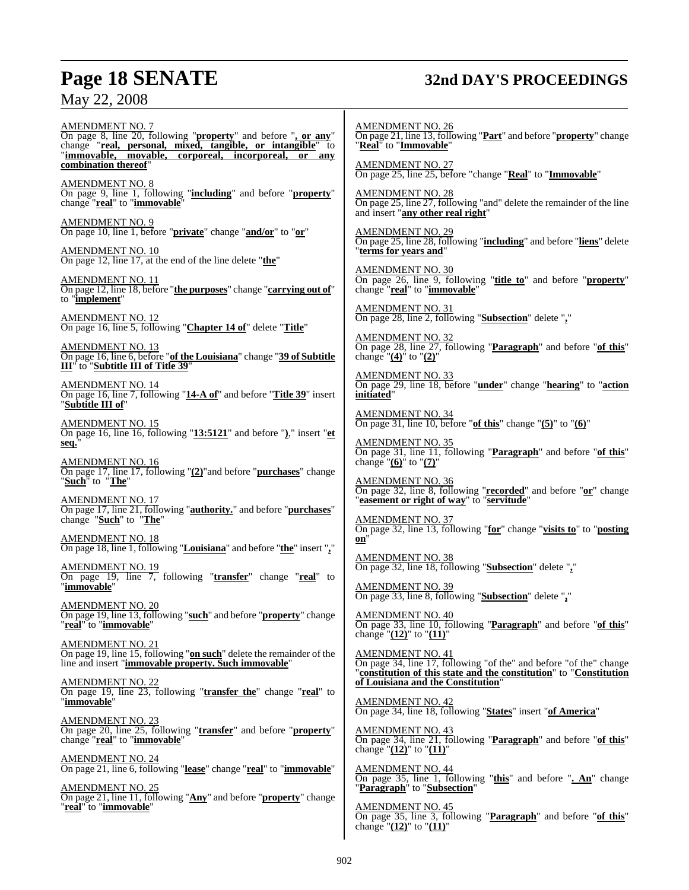# **Page 18 SENATE 32nd DAY'S PROCEEDINGS**

AMENDMENT NO. 7 On page 8, line 20, following "**property**" and before "**, or any**" change "**real, personal, mixed, tangible, or intangible**" to "**immovable, movable, corporeal, incorporeal, or any combination thereof**"

AMENDMENT NO. 8 On page 9, line 1, following "**including**" and before "**property**" change "**real**" to "**immovable**"

AMENDMENT NO. 9 On page 10, line 1, before "**private**" change "**and/or**" to "**or**"

AMENDMENT NO. 10 On page 12, line 17, at the end of the line delete "**the**"

AMENDMENT NO. 11 On page 12, line 18, before "**the purposes**" change "**carrying out of**" to "**implement**"

AMENDMENT NO. 12 On page 16, line 5, following "**Chapter 14 of**" delete "**Title**"

AMENDMENT NO. 13 On page 16, line 6, before "**of the Louisiana**" change "**39 of Subtitle III**" to "**Subtitle III of Title 39**"

AMENDMENT NO. 14 On page 16, line 7, following "**14-A of**" and before "**Title 39**" insert "**Subtitle III of**"

AMENDMENT NO. 15 On page 16, line 16, following "**13:5121**" and before "**)**," insert "**et seq.**"

AMENDMENT NO. 16 On page 17, line 17, following "**(2)**"and before "**purchases**" change "**Such**" to "**The**"

AMENDMENT NO. 17 On page 17, line 21, following "**authority.**" and before "**purchases**" change "**Such**" to "**The**"

AMENDMENT NO. 18 On page 18, line 1, following "**Louisiana**" and before "**the**" insert "**,**"

AMENDMENT NO. 19 On page 19, line 7, following "**transfer**" change "**real**" to "**immovable**"

AMENDMENT NO. 20 On page 19, line 13, following "**such**" and before "**property**" change "**real**" to "**immovable**"

AMENDMENT NO. 21 On page 19, line 15, following "**on such**" delete the remainder of the line and insert "**immovable property. Such immovable**"

AMENDMENT NO. 22 On page 19, line 23, following "**transfer the**" change "**real**" to "**immovable**"

AMENDMENT NO. 23 On page 20, line 25, following "**transfer**" and before "**property**" change "**real**" to "**immovable**"

AMENDMENT NO. 24 On page 21, line 6, following "**lease**" change "**real**" to "**immovable**"

AMENDMENT NO. 25 On page 21, line 11, following "**Any**" and before "**property**" change "**real**" to "**immovable**"

AMENDMENT NO. 26 On page 21, line 13, following "**Part**" and before "**property**" change "**Real**" to "**Immovable**"

AMENDMENT NO. 27 On page 25, line 25, before "change "**Real**" to "**Immovable**"

AMENDMENT NO. 28 On page 25, line 27, following "and" delete the remainder of the line and insert "**any other real right**"

AMENDMENT NO. 29 On page 25, line 28, following "**including**" and before "**liens**" delete "**terms for years and**"

AMENDMENT NO. 30 On page 26, line 9, following "**title to**" and before "**property**" change "**real**" to "**immovable**"

AMENDMENT NO. 31 On page 28, line 2, following "**Subsection**" delete "**,**"

AMENDMENT NO. 32 On page 28, line 27, following "**Paragraph**" and before "**of this**" change "**(4)**" to "**(2)**"

AMENDMENT NO. 33 On page 29, line 18, before "**under**" change "**hearing**" to "**action initiated**"

AMENDMENT NO. 34 On page 31, line 10, before "**of this**" change "**(5)**" to "**(6)**"

AMENDMENT NO. 35 On page 31, line 11, following "**Paragraph**" and before "**of this**" change "**(6)**" to "**(7)**"

AMENDMENT NO. 36 On page 32, line 8, following "**recorded**" and before "**or**" change "**easement or right of way**" to "**servitude**"

AMENDMENT NO. 37 On page 32, line 13, following "**for**" change "**visits to**" to "**posting on**"

AMENDMENT NO. 38 On page 32, line 18, following "**Subsection**" delete "**,**"

AMENDMENT NO. 39 On page 33, line 8, following "**Subsection**" delete "**,**"

AMENDMENT NO. 40 On page 33, line 10, following "**Paragraph**" and before "**of this**" change "**(12)**" to "**(11)**"

AMENDMENT NO. 41 On page 34, line 17, following "of the" and before "of the" change "**constitution of this state and the constitution**" to "**Constitution of Louisiana and the Constitution**"

AMENDMENT NO. 42 On page 34, line 18, following "**States**" insert "**of America**"

AMENDMENT NO. 43 On page 34, line 21, following "**Paragraph**" and before "**of this**" change "**(12)**" to "**(11)**"

AMENDMENT NO. 44 On page 35, line 1, following "**this**" and before "**. An**" change "**Paragraph**" to "**Subsection**"

AMENDMENT NO. 45 On page 35, line 3, following "**Paragraph**" and before "**of this**" change  $\frac{12}{12}$  to  $\frac{11}{11}$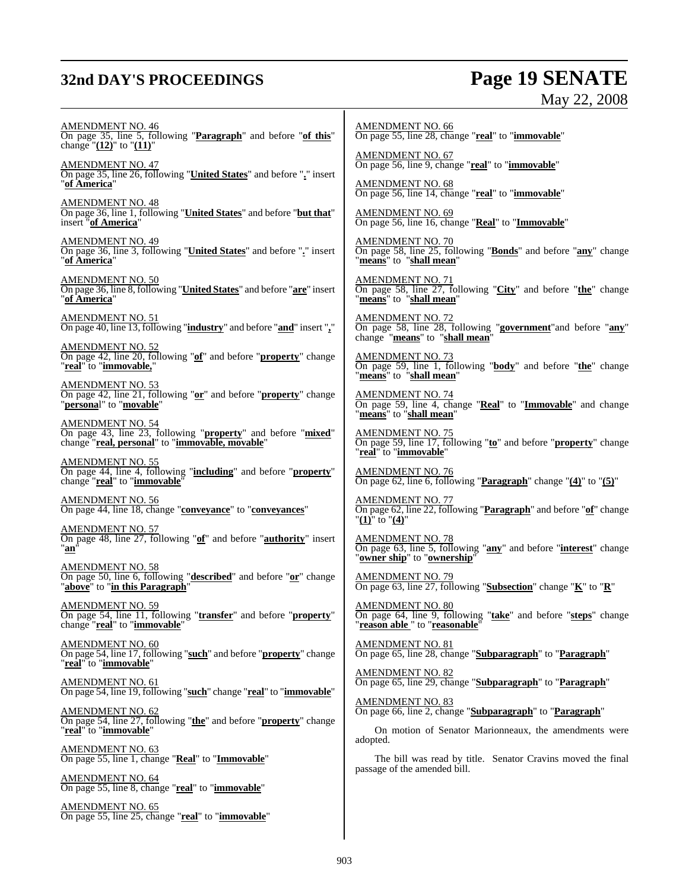# **32nd DAY'S PROCEEDINGS Page 19 SENATE**

# May 22, 2008

AMENDMENT NO. 46 On page 35, line 5, following "**Paragraph**" and before "**of this**" change "**(12)**" to "**(11)**" AMENDMENT NO. 47 On page 35, line 26, following "**United States**" and before "**.**" insert "**of America**" AMENDMENT NO. 48 On page 36, line 1, following "**United States**" and before "**but that**" insert "**of America**" AMENDMENT NO. 49 On page 36, line 3, following "**United States**" and before "**.**" insert "**of America**" AMENDMENT NO. 50 On page 36, line 8, following "**United States**" and before "**are**" insert "**of America**" AMENDMENT NO. 51 On page 40, line 13, following "**industry**" and before "**and**" insert "**,**" AMENDMENT NO. 52 On page 42, line 20, following "**of**" and before "**property**" change "**real**" to "**immovable,**" AMENDMENT NO. 53 On page 42, line 21, following "**or**" and before "**property**" change "**persona**l" to "**movable**" AMENDMENT NO. 54 On page 43, line 23, following "**property**" and before "**mixed**" change "**real, personal**" to "**immovable, movable**" AMENDMENT NO. 55 On page 44, line 4, following "**including**" and before "**property**" change "**real**" to "**immovable**" AMENDMENT NO. 56 On page 44, line 18, change "**conveyance**" to "**conveyances**" AMENDMENT NO. 57 On page 48, line 27, following "**of**" and before "**authority**" insert "**an**" AMENDMENT NO. 58 On page 50, line 6, following "**described**" and before "**or**" change "**above**" to "**in this Paragraph**" AMENDMENT NO. 59 On page 54, line 11, following "**transfer**" and before "**property**" change "**real**" to "**immovable**" AMENDMENT NO. 60 On page 54, line 17, following "**such**" and before "**property**" change "**real**" to "**immovable**" AMENDMENT NO. 61 On page 54, line 19, following "**such**" change "**real**" to "**immovable**" AMENDMENT NO. 62 On page 54, line 27, following "**the**" and before "**property**" change "**real**" to "**immovable**" AMENDMENT NO. 63 On page 55, line 1, change "**Real**" to "**Immovable**" AMENDMENT NO. 64 On page 55, line 8, change "**real**" to "**immovable**" AMENDMENT NO. 65 On page 55, line 25, change "**real**" to "**immovable**" AMENDMENT NO. 66 AMENDMENT NO. 67 AMENDMENT NO. 68 AMENDMENT NO. 69 AMENDMENT NO. 70 "**means**" to "**shall mean**" AMENDMENT NO. 71 "**means**" to "**shall mean**" AMENDMENT NO. 72 AMENDMENT NO. 73 "**means**" to "**shall mean**" AMENDMENT NO. 74 "**means**" to "**shall mean**" AMENDMENT NO. 75 "**real**" to "**immovable**" AMENDMENT NO. 76 AMENDMENT NO. 77 "**(1)**" to "**(4)**" AMENDMENT NO. 78 "**owner ship**" to "**ownership**" AMENDMENT NO. 79 AMENDMENT NO. 80 AMENDMENT NO. 81 AMENDMENT NO. 82 <u>AMENDMENT NO. 83</u> adopted. passage of the amended bill.

On page 55, line 28, change "**real**" to "**immovable**"

On page 56, line 9, change "**real**" to "**immovable**"

On page 56, line 14, change "**real**" to "**immovable**"

On page 56, line 16, change "**Real**" to "**Immovable**"

On page 58, line 25, following "**Bonds**" and before "**any**" change

On page 58, line 27, following "**City**" and before "**the**" change

On page 58, line 28, following "**government**"and before "**any**" change "**means**" to "**shall mean**"

On page 59, line 1, following "**body**" and before "**the**" change

On page 59, line 4, change "**Real**" to "**Immovable**" and change

On page 59, line 17, following "**to**" and before "**property**" change

On page 62, line 6, following "**Paragraph**" change "**(4)**" to "**(5)**"

On page 62, line 22, following "**Paragraph**" and before "**of**" change

On page 63, line 5, following "**any**" and before "**interest**" change

On page 63, line 27, following "**Subsection**" change "**K**" to "**R**"

On page 64, line 9, following "**take**" and before "**steps**" change "**reason able** " to "**reasonable**"

On page 65, line 28, change "**Subparagraph**" to "**Paragraph**"

On page 65, line 29, change "**Subparagraph**" to "**Paragraph**"

On page 66, line 2, change "**Subparagraph**" to "**Paragraph**"

On motion of Senator Marionneaux, the amendments were

The bill was read by title. Senator Cravins moved the final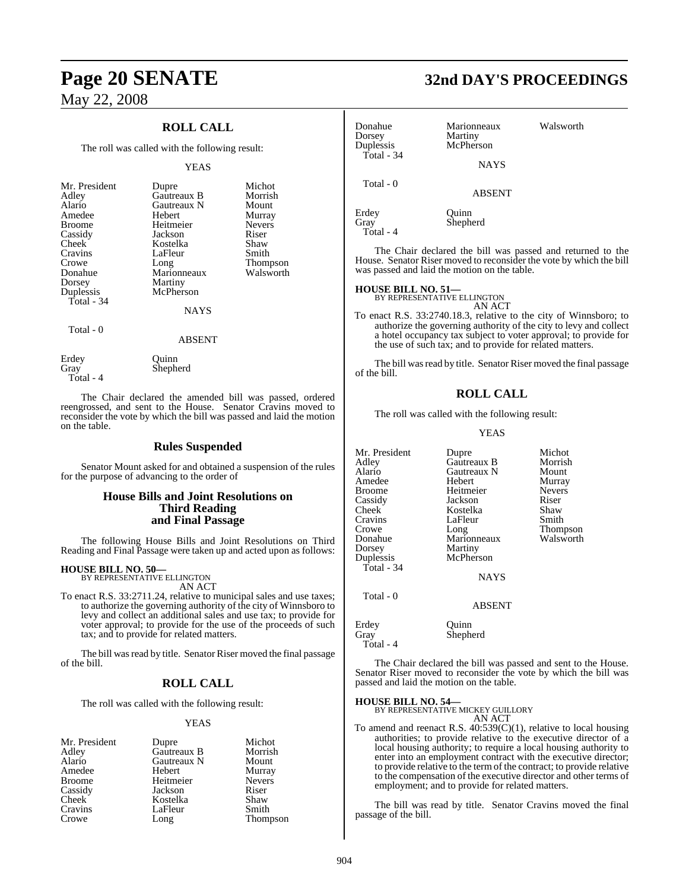## **ROLL CALL**

The roll was called with the following result:

#### YEAS

| Mr. President<br>Adley<br>Alario<br>Amedee<br><b>Broome</b><br>Cassidy<br>Cheek<br>Cravins<br>Crowe<br>Donahue<br>Dorsey<br>Duplessis<br>Total - $34$ | Dupre<br>Gautreaux B<br>Gautreaux N<br>Hebert<br>Heitmeier<br>Jackson<br>Kostelka<br>LaFleur<br>Long<br>Marionneaux<br>Martiny<br>McPherson<br><b>NAYS</b> | Michot<br>Morrish<br>Mount<br>Murray<br><b>Nevers</b><br>Riser<br>Shaw<br>Smith<br><b>Thompson</b><br>Walsworth |
|-------------------------------------------------------------------------------------------------------------------------------------------------------|------------------------------------------------------------------------------------------------------------------------------------------------------------|-----------------------------------------------------------------------------------------------------------------|
| Total - 0                                                                                                                                             | ABSENT                                                                                                                                                     |                                                                                                                 |

Erdey Ouinn Gray Shepherd Total - 4

The Chair declared the amended bill was passed, ordered reengrossed, and sent to the House. Senator Cravins moved to reconsider the vote by which the bill was passed and laid the motion on the table.

#### **Rules Suspended**

Senator Mount asked for and obtained a suspension of the rules for the purpose of advancing to the order of

#### **House Bills and Joint Resolutions on Third Reading and Final Passage**

The following House Bills and Joint Resolutions on Third Reading and Final Passage were taken up and acted upon as follows:

#### **HOUSE BILL NO. 50—**

BY REPRESENTATIVE ELLINGTON AN ACT

To enact R.S. 33:2711.24, relative to municipal sales and use taxes; to authorize the governing authority of the city of Winnsboro to levy and collect an additional sales and use tax; to provide for voter approval; to provide for the use of the proceeds of such tax; and to provide for related matters.

The bill was read by title. Senator Riser moved the final passage of the bill.

## **ROLL CALL**

The roll was called with the following result:

#### YEAS

| Mr. President | Dupre       | Michot        |
|---------------|-------------|---------------|
| Adley         | Gautreaux B | Morrish       |
| Alario        | Gautreaux N | Mount         |
| Amedee        | Hebert      | Murray        |
| Broome        | Heitmeier   | <b>Nevers</b> |
| Cassidy       | Jackson     | Riser         |
| Cheek         | Kostelka    | Shaw          |
| Cravins       | LaFleur     | Smith         |
| Crowe         | Long        | Thompson      |

**Page 20 SENATE 32nd DAY'S PROCEEDINGS**

| Donahue<br>Dorsey<br>Duplessis<br>Total - $34$ | Marionneaux<br>Martiny<br>McPherson<br><b>NAYS</b> | Walsworth |
|------------------------------------------------|----------------------------------------------------|-----------|
| Total - 0                                      | <b>ABSENT</b>                                      |           |
| Erdey<br>Gray<br>Total - 4                     | Quinn<br>Shepherd                                  |           |

The Chair declared the bill was passed and returned to the House. Senator Riser moved to reconsider the vote by which the bill was passed and laid the motion on the table.

# **HOUSE BILL NO. 51—** BY REPRESENTATIVE ELLINGTON

AN ACT

To enact R.S. 33:2740.18.3, relative to the city of Winnsboro; to authorize the governing authority of the city to levy and collect a hotel occupancy tax subject to voter approval; to provide for the use of such tax; and to provide for related matters.

The bill was read by title. Senator Riser moved the final passage of the bill.

#### **ROLL CALL**

The roll was called with the following result:

#### YEAS

| Mr. President<br>Adley<br>Alario<br>Amedee<br><b>Broome</b><br>Cassidy<br>Cheek<br>Cravins<br>Crowe<br>Donahue<br>Dorsey<br>Duplessis<br>Total - $34$ | Dupre<br>Gautreaux B<br>Gautreaux N<br>Hebert<br>Heitmeier<br>Jackson<br>Kostelka<br>LaFleur<br>Long<br>Marionneaux<br>Martiny<br>McPherson | Michot<br>Morrish<br>Mount<br>Murray<br><b>Nevers</b><br>Riser<br>Shaw<br>Smith<br>Thompson<br>Walsworth |
|-------------------------------------------------------------------------------------------------------------------------------------------------------|---------------------------------------------------------------------------------------------------------------------------------------------|----------------------------------------------------------------------------------------------------------|
|                                                                                                                                                       | <b>NAYS</b>                                                                                                                                 |                                                                                                          |
| Total - 0                                                                                                                                             | <b>ABSENT</b>                                                                                                                               |                                                                                                          |
| Erdey<br>Gray<br>Total - 4                                                                                                                            | Ouinn<br>Shepherd                                                                                                                           |                                                                                                          |

The Chair declared the bill was passed and sent to the House. Senator Riser moved to reconsider the vote by which the bill was passed and laid the motion on the table.

# **HOUSE BILL NO. 54—** BY REPRESENTATIVE MICKEY GUILLORY

AN ACT

To amend and reenact R.S. 40:539(C)(1), relative to local housing authorities; to provide relative to the executive director of a local housing authority; to require a local housing authority to enter into an employment contract with the executive director; to provide relative to the term of the contract; to provide relative to the compensation of the executive director and other terms of employment; and to provide for related matters.

The bill was read by title. Senator Cravins moved the final passage of the bill.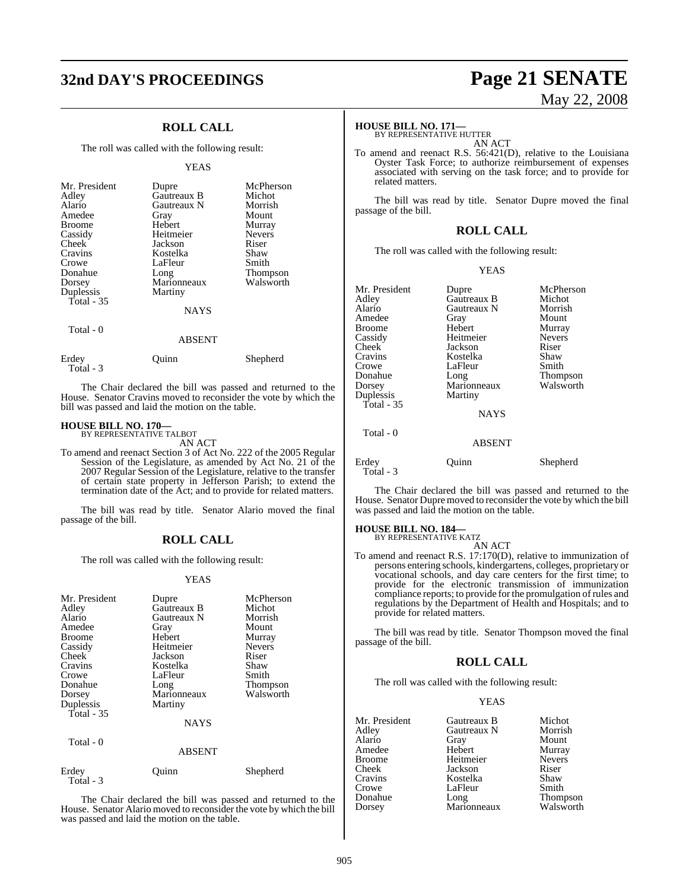# **32nd DAY'S PROCEEDINGS Page 21 SENATE**

## **ROLL CALL**

The roll was called with the following result:

#### YEAS

| Mr. President<br>Adley<br>Alario<br>Amedee<br><b>Broome</b><br>Cassidy<br>Cheek<br>Cravins<br>Crowe<br>Donahue<br>Dorsey<br>Duplessis | Dupre<br>Gautreaux B<br>Gautreaux N<br>Gray<br>Hebert<br>Heitmeier<br>Jackson<br>Kostelka<br>LaFleur<br>Long<br>Marionneaux<br>Martiny | McPherson<br>Michot<br>Morrish<br>Mount<br>Murray<br><b>Nevers</b><br>Riser<br>Shaw<br>Smith<br>Thompson<br>Walsworth |
|---------------------------------------------------------------------------------------------------------------------------------------|----------------------------------------------------------------------------------------------------------------------------------------|-----------------------------------------------------------------------------------------------------------------------|
| Total $-35$                                                                                                                           | <b>NAYS</b>                                                                                                                            |                                                                                                                       |
|                                                                                                                                       | <b>ABSENT</b>                                                                                                                          |                                                                                                                       |
| Total $-0$<br>Erdev                                                                                                                   | Ouınn                                                                                                                                  | Shepherd                                                                                                              |

Total - 3

The Chair declared the bill was passed and returned to the House. Senator Cravins moved to reconsider the vote by which the bill was passed and laid the motion on the table.

# **HOUSE BILL NO. 170—** BY REPRESENTATIVE TALBOT

AN ACT

To amend and reenact Section 3 of Act No. 222 of the 2005 Regular Session of the Legislature, as amended by Act No. 21 of the 2007 Regular Session of the Legislature, relative to the transfer of certain state property in Jefferson Parish; to extend the termination date of the Act; and to provide for related matters.

The bill was read by title. Senator Alario moved the final passage of the bill.

#### **ROLL CALL**

The roll was called with the following result:

#### YEAS

| Mr. President<br>Adley<br>Alario<br>Amedee<br><b>Broome</b><br>Cassidy<br>Cheek<br>Cravins<br>Crowe<br>Donahue<br>Dorsey<br>Duplessis<br>Total $-35$<br>Total - 0 | Dupre<br>Gautreaux B<br>Gautreaux N<br>Gray<br>Hebert<br>Heitmeier<br>Jackson<br>Kostelka<br>LaFleur<br>Long<br>Marionneaux<br>Martiny<br><b>NAYS</b><br><b>ABSENT</b> | McPherson<br>Michot<br>Morrish<br>Mount<br>Murray<br><b>Nevers</b><br>Riser<br>Shaw<br>Smith<br>Thompson<br>Walsworth |
|-------------------------------------------------------------------------------------------------------------------------------------------------------------------|------------------------------------------------------------------------------------------------------------------------------------------------------------------------|-----------------------------------------------------------------------------------------------------------------------|
| Erdey                                                                                                                                                             | Ouınn                                                                                                                                                                  | Shepherd                                                                                                              |
| Total - 3                                                                                                                                                         |                                                                                                                                                                        |                                                                                                                       |

The Chair declared the bill was passed and returned to the House. Senator Alario moved to reconsider the vote by which the bill was passed and laid the motion on the table.

# May 22, 2008

### **HOUSE BILL NO. 171—**

BY REPRESENTATIVE HUTTER AN ACT

To amend and reenact R.S. 56:421(D), relative to the Louisiana Oyster Task Force; to authorize reimbursement of expenses associated with serving on the task force; and to provide for related matters.

The bill was read by title. Senator Dupre moved the final passage of the bill.

#### **ROLL CALL**

The roll was called with the following result:

#### YEAS

| Mr. President      | Dupre         | McPherson     |
|--------------------|---------------|---------------|
| Adlev              | Gautreaux B   | Michot        |
| Alario             | Gautreaux N   | Morrish       |
| Amedee             | Gray          | Mount         |
| Broome             | Hebert        | Murray        |
| Cassidy            | Heitmeier     | <b>Nevers</b> |
| Cheek              | Jackson       | Riser         |
| Cravins            | Kostelka      | Shaw          |
| Crowe              | LaFleur       | Smith         |
| Donahue            | Long          | Thompson      |
| Dorsey             | Marionneaux   | Walsworth     |
| Duplessis          | Martiny       |               |
| Total - 35         |               |               |
|                    | <b>NAYS</b>   |               |
| Total - 0          |               |               |
|                    | <b>ABSENT</b> |               |
| Erdev<br>Total - 3 | Ouinn         | Shepherd      |

The Chair declared the bill was passed and returned to the House. Senator Dupre moved to reconsider the vote by which the bill was passed and laid the motion on the table.

# **HOUSE BILL NO. 184—** BY REPRESENTATIVE KATZ

AN ACT

To amend and reenact R.S. 17:170(D), relative to immunization of persons entering schools, kindergartens, colleges, proprietary or vocational schools, and day care centers for the first time; to provide for the electronic transmission of immunization compliance reports; to provide for the promulgation ofrules and regulations by the Department of Health and Hospitals; and to provide for related matters.

The bill was read by title. Senator Thompson moved the final passage of the bill.

#### **ROLL CALL**

The roll was called with the following result:

#### YEAS

| Mr. President | Gautreaux B         | Michot                |
|---------------|---------------------|-----------------------|
| Adley         | Gautreaux N         | Morrish               |
| Alario        | Gray                | Mount                 |
| Amedee        | Hebert              | Murray                |
| Broome        | Heitmeier           | <b>Nevers</b>         |
| Cheek         | Jackson             | Riser                 |
| Cravins       | Kostelka            | Shaw                  |
| Crowe         | LaFleur             | Smith                 |
| Donahue       |                     |                       |
| Dorsey        | Long<br>Marionneaux | Thompson<br>Walsworth |
|               |                     |                       |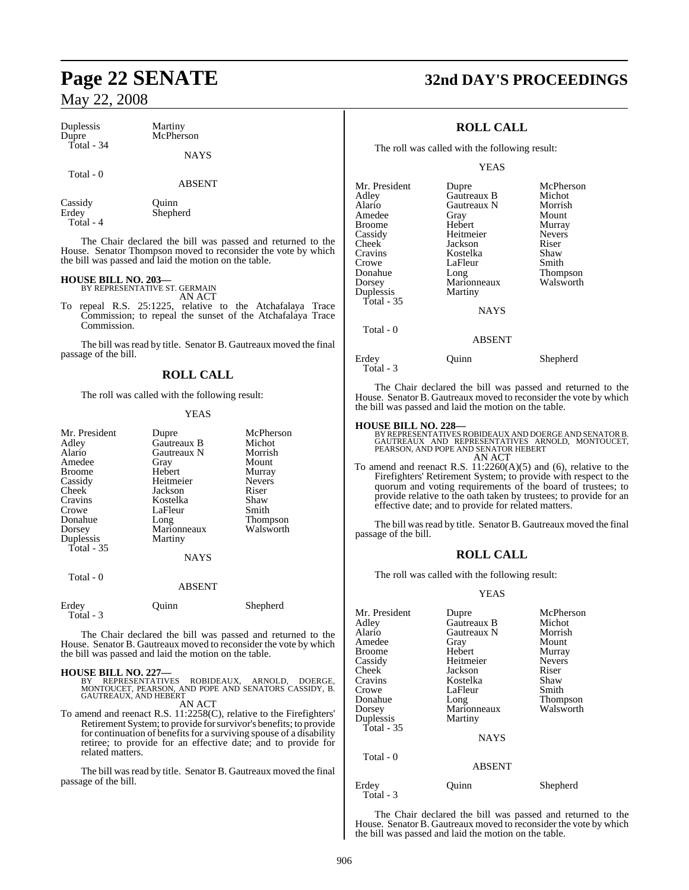| Duplessis  | Martiny     |
|------------|-------------|
| Dupre      | McPherson   |
| Total - 34 |             |
|            | <b>NAYS</b> |

#### Total - 0

ABSENT

Shepherd

Cassidy Quinn<br>Erdey Shephe Total - 4

The Chair declared the bill was passed and returned to the House. Senator Thompson moved to reconsider the vote by which the bill was passed and laid the motion on the table.

# **HOUSE BILL NO. 203—** BY REPRESENTATIVE ST. GERMAIN

AN ACT

To repeal R.S. 25:1225, relative to the Atchafalaya Trace Commission; to repeal the sunset of the Atchafalaya Trace Commission.

The bill was read by title. Senator B. Gautreaux moved the final passage of the bill.

## **ROLL CALL**

The roll was called with the following result:

#### YEAS

| Mr. President<br>Adley<br>Alario<br>Amedee<br><b>Broome</b><br>Cassidy<br>Cheek <sup>-</sup><br>Cravins<br>Crowe<br>Donahue<br>Dorsey<br>Duplessis<br>Total - $35$<br>Total - 0 | Dupre<br>Gautreaux B<br>Gautreaux N<br>Gray<br>Hebert<br>Heitmeier<br>Jackson<br>Kostelka<br>LaFleur<br>Long<br>Marionneaux<br>Martiny<br><b>NAYS</b><br><b>ABSENT</b> | McPherson<br>Michot<br>Morrish<br>Mount<br>Murray<br><b>Nevers</b><br>Riser<br>Shaw<br>Smith<br>Thompson<br>Walsworth |
|---------------------------------------------------------------------------------------------------------------------------------------------------------------------------------|------------------------------------------------------------------------------------------------------------------------------------------------------------------------|-----------------------------------------------------------------------------------------------------------------------|
|                                                                                                                                                                                 |                                                                                                                                                                        |                                                                                                                       |
| Erdey<br>Total - 3                                                                                                                                                              | Juinn                                                                                                                                                                  | Shepherd                                                                                                              |

The Chair declared the bill was passed and returned to the House. Senator B. Gautreaux moved to reconsider the vote by which the bill was passed and laid the motion on the table.

**HOUSE BILL NO. 227—**<br>BY REPRESENTATIVES ROBIDEAUX, ARNOLD, DOERGE,<br>MONTOUCET, PEARSON, AND POPE AND SENATORS CASSIDY, B.<br>GAUTREAUX, AND HEBERT

AN ACT

To amend and reenact R.S. 11:2258(C), relative to the Firefighters' Retirement System; to provide forsurvivor's benefits; to provide for continuation of benefits for a surviving spouse of a disability retiree; to provide for an effective date; and to provide for related matters.

The bill was read by title. Senator B. Gautreaux moved the final passage of the bill.

# **Page 22 SENATE 32nd DAY'S PROCEEDINGS**

## **ROLL CALL**

The roll was called with the following result:

#### YEAS

| Mr. President | Dupre         | McPherson     |
|---------------|---------------|---------------|
| Adlev         | Gautreaux B   | Michot        |
| Alario        | Gautreaux N   | Morrish       |
| Amedee        | Gray          | Mount         |
| Broome        | Hebert        | Murray        |
| Cassidy       | Heitmeier     | <b>Nevers</b> |
| Cheek         | Jackson       | Riser         |
| Cravins       | Kostelka      | Shaw          |
| Crowe         | LaFleur       | Smith         |
| Donahue       | Long          | Thompson      |
| Dorsey        | Marionneaux   | Walsworth     |
| Duplessis     | Martiny       |               |
| Total - 35    |               |               |
|               | <b>NAYS</b>   |               |
| Total - 0     |               |               |
|               | <b>ABSENT</b> |               |

Erdey Quinn Shepherd

Total - 3

The Chair declared the bill was passed and returned to the House. Senator B. Gautreaux moved to reconsider the vote by which the bill was passed and laid the motion on the table.

**HOUSE BILL NO. 228—**<br>BY REPRESENTATIVES ROBIDEAUX AND DOERGE AND SENATOR B.<br>GAUTREAUX AND REPRESENTATIVES ARNOLD, MONTOUCET,<br>PEARSON, AND POPE AND SENATOR HEBERT AN ACT

To amend and reenact R.S. 11:2260(A)(5) and (6), relative to the Firefighters' Retirement System; to provide with respect to the quorum and voting requirements of the board of trustees; to provide relative to the oath taken by trustees; to provide for an effective date; and to provide for related matters.

The bill was read by title. Senator B. Gautreaux moved the final passage of the bill.

## **ROLL CALL**

The roll was called with the following result:

#### YEAS

| Mr. President | Dupre         | McPherson     |
|---------------|---------------|---------------|
| Adlev         | Gautreaux B   | Michot        |
| Alario        | Gautreaux N   | Morrish       |
| Amedee        | Gray          | Mount         |
| Broome        | Hebert        | Murray        |
| Cassidy       | Heitmeier     | <b>Nevers</b> |
| Cheek         | Jackson       | Riser         |
| Cravins       | Kostelka      | Shaw          |
| Crowe         | LaFleur       | Smith         |
| Donahue       | Long          | Thompson      |
| Dorsey        | Marionneaux   | Walsworth     |
| Duplessis     | Martiny       |               |
| Total - 35    |               |               |
|               | <b>NAYS</b>   |               |
| Total - 0     |               |               |
|               | <b>ABSENT</b> |               |
|               |               |               |

## Total - 3

Erdey Quinn Shepherd

The Chair declared the bill was passed and returned to the House. Senator B. Gautreaux moved to reconsider the vote by which the bill was passed and laid the motion on the table.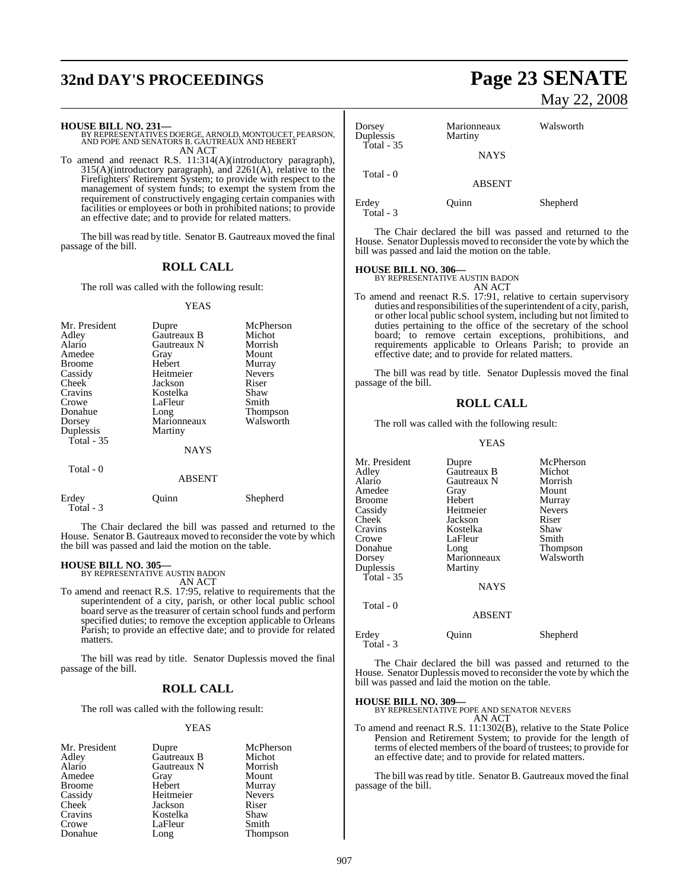# **32nd DAY'S PROCEEDINGS Page 23 SENATE**

```
HOUSE BILL NO. 231—
BY REPRESENTATIVES DOERGE, ARNOLD, MONTOUCET, PEARSON,
AND POPE AND SENATORS B. GAUTREAUX AND HEBERT 
AN ACT
```
To amend and reenact R.S. 11:314(A)(introductory paragraph), 315(A)(introductory paragraph), and 2261(A), relative to the Firefighters' Retirement System; to provide with respect to the management of system funds; to exempt the system from the requirement of constructively engaging certain companies with facilities or employees or both in prohibited nations; to provide an effective date; and to provide for related matters.

The bill was read by title. Senator B. Gautreaux moved the final passage of the bill.

#### **ROLL CALL**

The roll was called with the following result:

#### YEAS

| Mr. President<br>Adley<br>Alario<br>Amedee<br><b>Broome</b><br>Cassidy<br>Cheek<br>Cravins<br>Crowe<br>Donahue<br>Dorsey<br>Duplessis<br>Total - 35 | Dupre<br>Gautreaux B<br>Gautreaux N<br>Gray<br>Hebert<br>Heitmeier<br>Jackson<br>Kostelka<br>LaFleur<br>Long<br>Marionneaux<br>Martiny<br><b>NAYS</b> | McPherson<br>Michot<br>Morrish<br>Mount<br>Murray<br><b>Nevers</b><br>Riser<br>Shaw<br>Smith<br><b>Thompson</b><br>Walsworth |
|-----------------------------------------------------------------------------------------------------------------------------------------------------|-------------------------------------------------------------------------------------------------------------------------------------------------------|------------------------------------------------------------------------------------------------------------------------------|
| Total - 0                                                                                                                                           | <b>ABSENT</b>                                                                                                                                         |                                                                                                                              |
| Erdey                                                                                                                                               | <b>Duinn</b>                                                                                                                                          | Shepherd                                                                                                                     |

The Chair declared the bill was passed and returned to the House. Senator B. Gautreaux moved to reconsider the vote by which the bill was passed and laid the motion on the table.

# **HOUSE BILL NO. 305—** BY REPRESENTATIVE AUSTIN BADON

Total - 3

AN ACT

To amend and reenact R.S. 17:95, relative to requirements that the superintendent of a city, parish, or other local public school board serve as the treasurer of certain school funds and perform specified duties; to remove the exception applicable to Orleans Parish; to provide an effective date; and to provide for related matters.

The bill was read by title. Senator Duplessis moved the final passage of the bill.

## **ROLL CALL**

The roll was called with the following result:

#### YEAS

| Mr. President | Dupre       | McPherson     |
|---------------|-------------|---------------|
| Adley         | Gautreaux B | Michot        |
| Alario        | Gautreaux N | Morrish       |
| Amedee        | Gray        | Mount         |
| <b>Broome</b> | Hebert      | Murray        |
| Cassidy       | Heitmeier   | <b>Nevers</b> |
| Cheek         | Jackson     | Riser         |
| Cravins       | Kostelka    | Shaw          |
| Crowe         | LaFleur     | Smith         |
| Donahue       | Long        | Thompson      |

# May 22, 2008

| Dorsey<br>Duplessis<br>Total - $35$ | Marionneaux<br>Martiny | Walsworth |
|-------------------------------------|------------------------|-----------|
|                                     | <b>NAYS</b>            |           |
| Total $-0$                          | <b>ABSENT</b>          |           |
| Erdey                               | Juinn                  | Shepherd  |

Total - 3

The Chair declared the bill was passed and returned to the House. Senator Duplessis moved to reconsider the vote by which the bill was passed and laid the motion on the table.

#### **HOUSE BILL NO. 306—**

BY REPRESENTATIVE AUSTIN BADON AN ACT

To amend and reenact R.S. 17:91, relative to certain supervisory duties and responsibilities of the superintendent of a city, parish, or other local public school system, including but not limited to duties pertaining to the office of the secretary of the school board; to remove certain exceptions, prohibitions, and requirements applicable to Orleans Parish; to provide an effective date; and to provide for related matters.

The bill was read by title. Senator Duplessis moved the final passage of the bill.

### **ROLL CALL**

The roll was called with the following result:

#### YEAS

| Mr. President<br>Adley<br>Alario<br>Amedee<br><b>Broome</b><br>Cassidy<br>Cheek<br>Cravins<br>Crowe<br>Donahue<br>Dorsey<br>Duplessis | Dupre<br>Gautreaux B<br>Gautreaux N<br>Gray<br>Hebert<br>Heitmeier<br>Jackson<br>Kostelka<br>LaFleur<br>Long<br>Marionneaux<br>Martiny | McPherson<br>Michot<br>Morrish<br>Mount<br>Murray<br><b>Nevers</b><br>Riser<br>Shaw<br>Smith<br><b>Thompson</b><br>Walsworth |
|---------------------------------------------------------------------------------------------------------------------------------------|----------------------------------------------------------------------------------------------------------------------------------------|------------------------------------------------------------------------------------------------------------------------------|
| Total $-35$<br>Total - 0                                                                                                              | <b>NAYS</b>                                                                                                                            |                                                                                                                              |

ABSENT

#### Erdey Quinn Shepherd Total - 3

The Chair declared the bill was passed and returned to the House. Senator Duplessis moved to reconsider the vote by which the bill was passed and laid the motion on the table.

**HOUSE BILL NO. 309—** BY REPRESENTATIVE POPE AND SENATOR NEVERS AN ACT

To amend and reenact R.S. 11:1302(B), relative to the State Police Pension and Retirement System; to provide for the length of terms of elected members of the board of trustees; to provide for an effective date; and to provide for related matters.

The bill was read by title. Senator B. Gautreaux moved the final passage of the bill.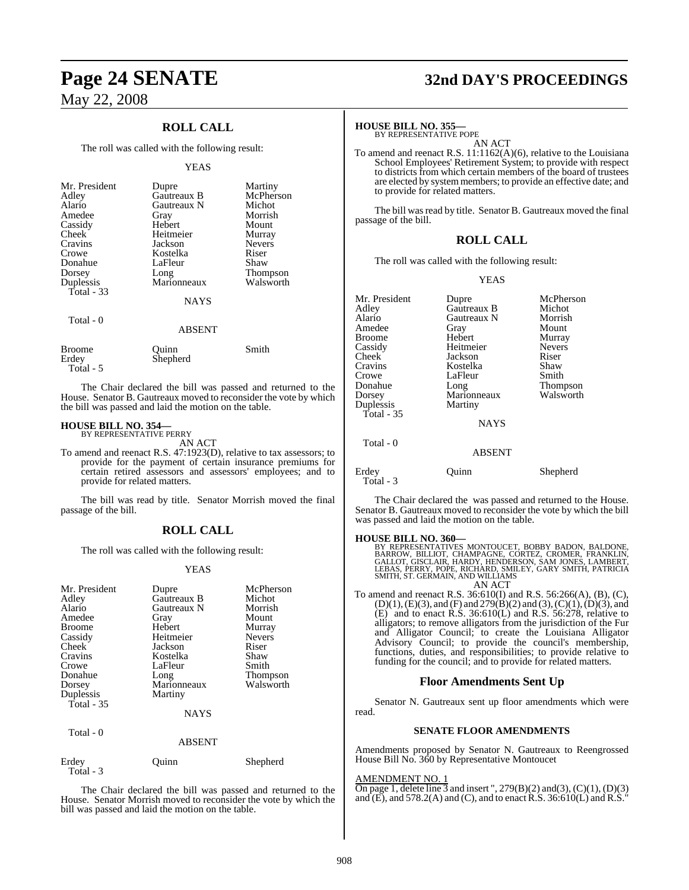## **ROLL CALL**

The roll was called with the following result:

#### YEAS

| Mr. President<br>Adley<br>Alario<br>Amedee | Dupre<br>Gautreaux B<br>Gautreaux N<br>Gray | Martiny<br>McPherson<br>Michot<br>Morrish |
|--------------------------------------------|---------------------------------------------|-------------------------------------------|
| Cassidy                                    | Hebert                                      | Mount                                     |
| Cheek                                      | Heitmeier                                   | Murray                                    |
| Cravins                                    | Jackson                                     | <b>Nevers</b>                             |
| Crowe<br>Donahue                           | Kostelka<br>LaFleur                         | Riser<br>Shaw                             |
| Dorsey                                     |                                             |                                           |
| Duplessis<br>Total $-33$                   | Long<br>Marionneaux                         | Thompson<br>Walsworth                     |
|                                            | <b>NAYS</b>                                 |                                           |
| Total - 0                                  |                                             |                                           |
|                                            | <b>ABSENT</b>                               |                                           |
| Broome<br>Erdev                            | Ouınn<br>Shepherd                           | Smith                                     |

Total - 5

The Chair declared the bill was passed and returned to the House. Senator B. Gautreaux moved to reconsider the vote by which the bill was passed and laid the motion on the table.

# **HOUSE BILL NO. 354—** BY REPRESENTATIVE PERRY

AN ACT

To amend and reenact R.S. 47:1923(D), relative to tax assessors; to provide for the payment of certain insurance premiums for certain retired assessors and assessors' employees; and to provide for related matters.

The bill was read by title. Senator Morrish moved the final passage of the bill.

## **ROLL CALL**

The roll was called with the following result:

#### YEAS

| Mr. President<br>Adley<br>Alario<br>Amedee<br><b>Broome</b><br>Cassidy<br>Cheek<br>Cravins<br>Crowe<br>Donahue<br>Dorsey<br>Duplessis<br>Total - 35 | Dupre<br>Gautreaux B<br>Gautreaux N<br>Gray<br>Hebert<br>Heitmeier<br>Jackson<br>Kostelka<br>LaFleur<br>Long<br>Marionneaux<br>Martiny<br><b>NAYS</b> | McPherson<br>Michot<br>Morrish<br>Mount<br>Murray<br><b>Nevers</b><br>Riser<br>Shaw<br>Smith<br><b>Thompson</b><br>Walsworth |
|-----------------------------------------------------------------------------------------------------------------------------------------------------|-------------------------------------------------------------------------------------------------------------------------------------------------------|------------------------------------------------------------------------------------------------------------------------------|
| Total - 0                                                                                                                                           | <b>ABSENT</b>                                                                                                                                         |                                                                                                                              |
| Erdey<br>Total - 3                                                                                                                                  | Ouinn                                                                                                                                                 | Shepherd                                                                                                                     |

The Chair declared the bill was passed and returned to the House. Senator Morrish moved to reconsider the vote by which the bill was passed and laid the motion on the table.

# **Page 24 SENATE 32nd DAY'S PROCEEDINGS**

#### **HOUSE BILL NO. 355—**

BY REPRESENTATIVE POPE AN ACT

To amend and reenact R.S. 11:1162(A)(6), relative to the Louisiana School Employees' Retirement System; to provide with respect to districts from which certain members of the board of trustees are elected by systemmembers; to provide an effective date; and to provide for related matters.

The bill was read by title. Senator B. Gautreaux moved the final passage of the bill.

### **ROLL CALL**

The roll was called with the following result:

#### YEAS

| Mr. President<br>Adley<br>Alario<br>Amedee<br><b>Broome</b><br>Cassidy<br>Cheek<br>Cravins<br>Crowe<br>Donahue<br>Dorsey<br>Duplessis<br>Total - $35$<br>Total - 0 | Dupre<br>Gautreaux B<br>Gautreaux N<br>Gray<br>Hebert<br>Heitmeier<br>Jackson<br>Kostelka<br>LaFleur<br>Long<br>Marionneaux<br>Martiny<br><b>NAYS</b><br><b>ABSENT</b> | McPherson<br>Michot<br>Morrish<br>Mount<br>Murray<br><b>Nevers</b><br>Riser<br>Shaw<br>Smith<br>Thompson<br>Walsworth |
|--------------------------------------------------------------------------------------------------------------------------------------------------------------------|------------------------------------------------------------------------------------------------------------------------------------------------------------------------|-----------------------------------------------------------------------------------------------------------------------|
| Erdey                                                                                                                                                              | uinn                                                                                                                                                                   | Shepherd                                                                                                              |
| Total - 3                                                                                                                                                          |                                                                                                                                                                        |                                                                                                                       |

The Chair declared the was passed and returned to the House. Senator B. Gautreaux moved to reconsider the vote by which the bill was passed and laid the motion on the table.

**HOUSE BILL NO. 360—**<br>BY REPRESENTATIVES MONTOUCET, BOBBY BADON, BALDONE,<br>BARROW, BILLIOT, CHAMPAGNE, CORTEZ, CROMER, FRANKLIN,<br>GALLOT, GISCLAIR, HARDY, HENDERSON, SAM JONES, LAMBERT,<br>LEBAS, PERRY, POPE, RICHARD, SMITH, PA AN ACT

To amend and reenact R.S. 36:610(I) and R.S. 56:266(A), (B), (C),  $(D)(1), (E)(3),$  and  $(F)$  and  $279(B)(2)$  and  $(3), (C)(1), (D)(3),$  and  $(E)$  and to enact R.S. 36:610(L) and R.S. 56:278, relative to alligators; to remove alligators from the jurisdiction of the Fur and Alligator Council; to create the Louisiana Alligator Advisory Council; to provide the council's membership, functions, duties, and responsibilities; to provide relative to funding for the council; and to provide for related matters.

#### **Floor Amendments Sent Up**

Senator N. Gautreaux sent up floor amendments which were read.

#### **SENATE FLOOR AMENDMENTS**

Amendments proposed by Senator N. Gautreaux to Reengrossed House Bill No. 360 by Representative Montoucet

#### AMENDMENT NO. 1

On page 1, delete line  $\overline{3}$  and insert ", 279(B)(2) and(3), (C)(1), (D)(3) and  $(E)$ , and 578.2(A) and (C), and to enact R.S. 36:610(L) and R.S."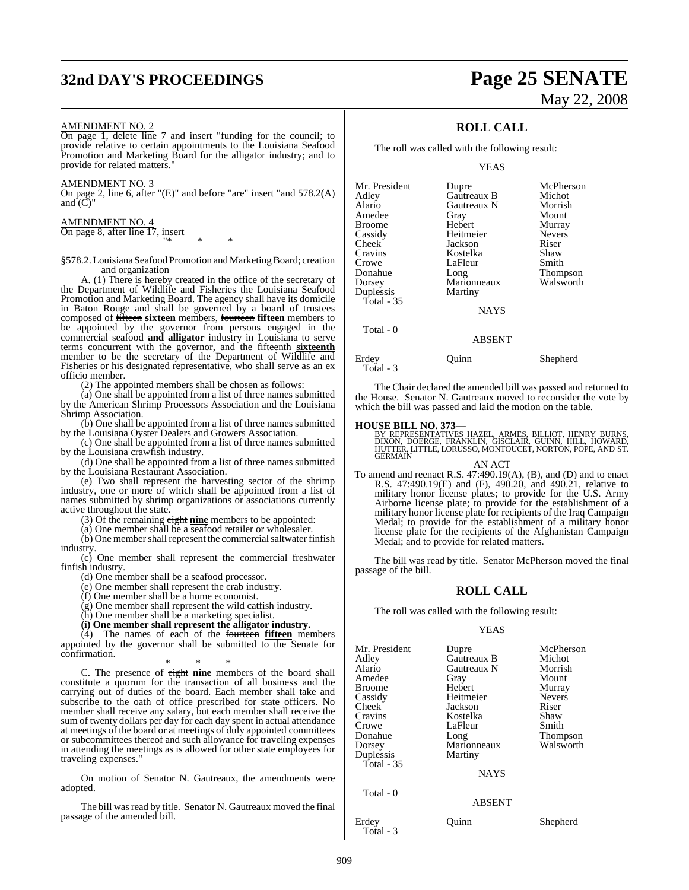# **32nd DAY'S PROCEEDINGS Page 25 SENATE**

#### AMENDMENT NO. 2

On page 1, delete line 7 and insert "funding for the council; to provide relative to certain appointments to the Louisiana Seafood Promotion and Marketing Board for the alligator industry; and to provide for related matters.

#### AMENDMENT NO. 3

On page 2, line 6, after "(E)" and before "are" insert "and 578.2(A) and  $\tilde{C}$ "

#### AMENDMENT NO. 4

On page 8, after line 17, insert "\* \* \*

§578.2. Louisiana Seafood Promotion and Marketing Board; creation and organization

A. (1) There is hereby created in the office of the secretary of the Department of Wildlife and Fisheries the Louisiana Seafood Promotion and Marketing Board. The agency shall have its domicile in Baton Rouge and shall be governed by a board of trustees composed of fifteen **sixteen** members, fourteen **fifteen** members to be appointed by the governor from persons engaged in the commercial seafood **and alligator** industry in Louisiana to serve terms concurrent with the governor, and the fifteenth **sixteenth** member to be the secretary of the Department of Wildlife and Fisheries or his designated representative, who shall serve as an ex officio member.

(2) The appointed members shall be chosen as follows:

(a) One shall be appointed from a list of three names submitted by the American Shrimp Processors Association and the Louisiana Shrimp Association.

(b) One shall be appointed from a list of three names submitted by the Louisiana Oyster Dealers and Growers Association.

(c) One shall be appointed from a list of three names submitted by the Louisiana crawfish industry.

(d) One shall be appointed from a list of three names submitted by the Louisiana Restaurant Association.

(e) Two shall represent the harvesting sector of the shrimp industry, one or more of which shall be appointed from a list of names submitted by shrimp organizations or associations currently active throughout the state.

(3) Of the remaining eight **nine** members to be appointed:

(a) One member shall be a seafood retailer or wholesaler.

 $(b)$  One member shall represent the commercial saltwater finfish industry.

(c) One member shall represent the commercial freshwater finfish industry.

(d) One member shall be a seafood processor.

(e) One member shall represent the crab industry.

 $(f)$  One member shall be a home economist.

(g) One member shall represent the wild catfish industry.

(h) One member shall be a marketing specialist.

**(i) One member shall represent the alligator industry.**

(4) The names of each of the fourteen **fifteen** members appointed by the governor shall be submitted to the Senate for confirmation.

\* \* \* C. The presence of eight **nine** members of the board shall constitute a quorum for the transaction of all business and the carrying out of duties of the board. Each member shall take and subscribe to the oath of office prescribed for state officers. No member shall receive any salary, but each member shall receive the sum of twenty dollars per day for each day spent in actual attendance at meetings of the board or at meetings of duly appointed committees or subcommittees thereof and such allowance for traveling expenses in attending the meetings as is allowed for other state employees for traveling expenses."

On motion of Senator N. Gautreaux, the amendments were adopted.

The bill was read by title. Senator N. Gautreaux moved the final passage of the amended bill.

# May 22, 2008

## **ROLL CALL**

The roll was called with the following result:

#### YEAS

| Mr. President | Dupre       | McPherson       |
|---------------|-------------|-----------------|
| Adlev         | Gautreaux B | Michot          |
| Alario        | Gautreaux N | Morrish         |
| Amedee        | Gray        | Mount           |
| Broome        | Hebert      | Murray          |
| Cassidy       | Heitmeier   | <b>Nevers</b>   |
| Cheek         | Jackson     | Riser           |
| Cravins       | Kostelka    | Shaw            |
| Crowe         | LaFleur     | Smith           |
| Donahue       | Long        | <b>Thompson</b> |
| Dorsey        | Marionneaux | Walsworth       |
| Duplessis     | Martiny     |                 |
| Total - 35    |             |                 |
|               | <b>NAYS</b> |                 |
| Total - 0     |             |                 |
|               | ABSENT      |                 |

Erdey Quinn Shepherd

Total - 3

The Chair declared the amended bill was passed and returned to

the House. Senator N. Gautreaux moved to reconsider the vote by which the bill was passed and laid the motion on the table.

#### **HOUSE BILL NO. 373—**

BY REPRESENTATIVES HAZEL, ARMES, BILLIOT, HENRY BURNS,<br>DIXON, DOERGE, FRANKLIN, GISCLAIR, GUINN, HILL, HOWARD,<br>HUTTER, LITTLE, LORUSSO, MONTOUCET, NORTON, POPE, AND ST. **GERMAIN** 

AN ACT To amend and reenact R.S. 47:490.19(A), (B), and (D) and to enact R.S. 47:490.19(E) and (F), 490.20, and 490.21, relative to military honor license plates; to provide for the U.S. Army Airborne license plate; to provide for the establishment of a military honor license plate for recipients of the Iraq Campaign Medal; to provide for the establishment of a military honor license plate for the recipients of the Afghanistan Campaign Medal; and to provide for related matters.

The bill was read by title. Senator McPherson moved the final passage of the bill.

## **ROLL CALL**

The roll was called with the following result:

#### YEAS

| Mr. President<br>Adley<br>Alario<br>Amedee<br>Broome<br>Cassidy<br>Cheek  <br>Cravins<br>Crowe<br>Donahue<br>Dorsey<br>Duplessis | Dupre<br>Gautreaux B<br>Gautreaux N<br>Gray<br>Hebert<br>Heitmeier<br>Jackson<br>Kostelka<br>LaFleur<br>Long<br>Marionneaux<br>Martiny | McPherson<br>Michot<br>Morrish<br>Mount<br>Murray<br><b>Nevers</b><br>Riser<br>Shaw<br>Smith<br>Thompson<br>Walsworth |
|----------------------------------------------------------------------------------------------------------------------------------|----------------------------------------------------------------------------------------------------------------------------------------|-----------------------------------------------------------------------------------------------------------------------|
| <b>Total</b> - 35                                                                                                                | <b>NAYS</b>                                                                                                                            |                                                                                                                       |
| Total - 0                                                                                                                        | <b>ABSENT</b>                                                                                                                          |                                                                                                                       |
| Erdey<br>Total - 3                                                                                                               | Ouinn                                                                                                                                  | Shepherd                                                                                                              |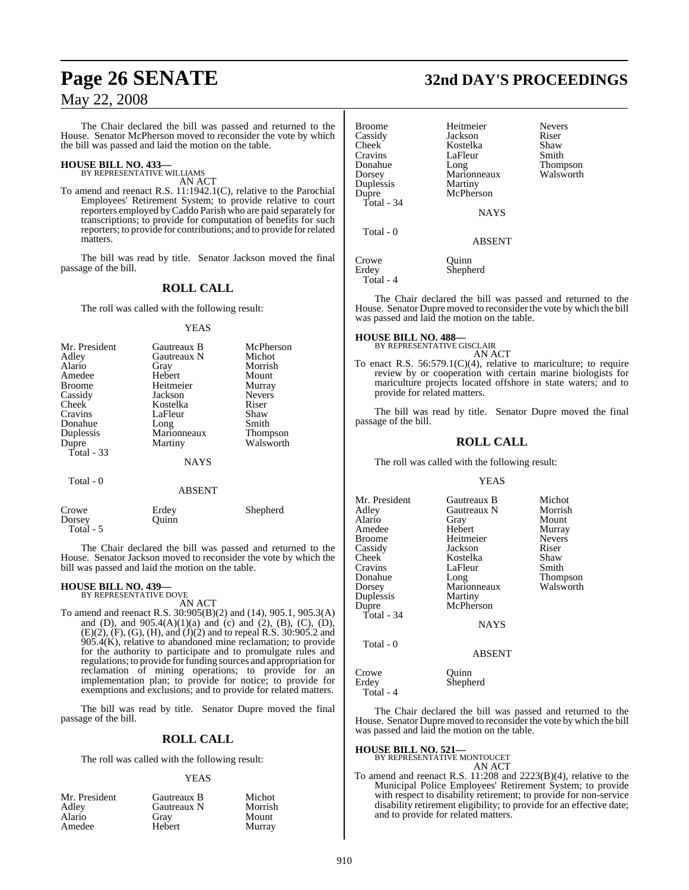The Chair declared the bill was passed and returned to the House. Senator McPherson moved to reconsider the vote by which the bill was passed and laid the motion on the table.

# **HOUSE BILL NO. 433—** BY REPRESENTATIVE WILLIAMS

AN ACT

To amend and reenact R.S. 11:1942.1(C), relative to the Parochial Employees' Retirement System; to provide relative to court reporters employed byCaddo Parish who are paid separately for transcriptions; to provide for computation of benefits for such reporters; to provide for contributions; and to provide forrelated matters.

The bill was read by title. Senator Jackson moved the final passage of the bill.

## **ROLL CALL**

The roll was called with the following result:

#### YEAS

| Mr. President<br>Adley<br>Alario<br>Amedee<br><b>Broome</b><br>Cassidy<br>Cheek<br>Cravins<br>Donahue<br>Duplessis | Gautreaux B<br>Gautreaux N<br>Gray<br>Hebert<br>Heitmeier<br>Jackson<br>Kostelka<br>LaFleur<br>Long<br>Marionneaux | McPherson<br>Michot<br>Morrish<br>Mount<br>Murray<br><b>Nevers</b><br>Riser<br>Shaw<br>Smith<br><b>Thompson</b> |
|--------------------------------------------------------------------------------------------------------------------|--------------------------------------------------------------------------------------------------------------------|-----------------------------------------------------------------------------------------------------------------|
| Dupre                                                                                                              | Martiny                                                                                                            | Walsworth                                                                                                       |
| Total $-33$                                                                                                        | <b>NAYS</b>                                                                                                        |                                                                                                                 |
| Total - 0                                                                                                          | ABSENT                                                                                                             |                                                                                                                 |

|                              | 1111111        |          |
|------------------------------|----------------|----------|
| Crowe<br>Dorsey<br>Total - 5 | Erdey<br>Ouinn | Shepherd |
|                              |                |          |

The Chair declared the bill was passed and returned to the House. Senator Jackson moved to reconsider the vote by which the bill was passed and laid the motion on the table.

#### **HOUSE BILL NO. 439—** BY REPRESENTATIVE DOVE

AN ACT

To amend and reenact R.S. 30:905(B)(2) and (14), 905.1, 905.3(A) and (D), and 905.4(A)(1)(a) and (c) and (2), (B), (C), (D), (E)(2), (F), (G), (H), and (J)(2) and to repeal R.S. 30:905.2 and 905.4(K), relative to abandoned mine reclamation; to provide for the authority to participate and to promulgate rules and regulations; to provide forfunding sources and appropriation for reclamation of mining operations; to provide for an implementation plan; to provide for notice; to provide for exemptions and exclusions; and to provide for related matters.

The bill was read by title. Senator Dupre moved the final passage of the bill.

## **ROLL CALL**

The roll was called with the following result:

#### YEAS

| Mr. President | Gautreaux B | Michot  |
|---------------|-------------|---------|
| Adley         | Gautreaux N | Morrish |
| Alario        | Grav        | Mount   |
| Amedee        | Hebert      | Murray  |

# **Page 26 SENATE 32nd DAY'S PROCEEDINGS**

| <b>Broome</b><br>Cassidy<br>Cheek<br>Cravins<br>Donahue<br>Dorsey<br>Duplessis<br>Dupre<br>Total - 34<br>Total - 0 | Heitmeier<br>Jackson<br>Kostelka<br>LaFleur<br>Long<br>Marionneaux<br>Martiny<br>McPherson<br><b>NAYS</b><br><b>ABSENT</b> | <b>Nevers</b><br>Riser<br>Shaw<br>Smith<br>Thompson<br>Walsworth |
|--------------------------------------------------------------------------------------------------------------------|----------------------------------------------------------------------------------------------------------------------------|------------------------------------------------------------------|
| Crowe<br>Erdev<br>Total - 4                                                                                        | Ouinn<br>Shepherd                                                                                                          |                                                                  |

The Chair declared the bill was passed and returned to the House. Senator Dupre moved to reconsider the vote by which the bill was passed and laid the motion on the table.

**HOUSE BILL NO. 488—** BY REPRESENTATIVE GISCLAIR

AN ACT To enact R.S. 56:579.1(C)(4), relative to mariculture; to require review by or cooperation with certain marine biologists for mariculture projects located offshore in state waters; and to provide for related matters.

The bill was read by title. Senator Dupre moved the final passage of the bill.

## **ROLL CALL**

The roll was called with the following result:

#### YEAS

| Mr. President | Gautreaux B          | Michot                       |
|---------------|----------------------|------------------------------|
| Adley         | Gautreaux N          | Morrish                      |
| Alario        | Gray                 | Mount                        |
| Amedee        | Hebert               | Murray                       |
| <b>Broome</b> | Heitmeier            | <b>Nevers</b>                |
| Cassidy       | Jackson              | Riser                        |
| Cheek         | Kostelka             | Shaw                         |
| Cravins       | LaFleur              | Smith                        |
| Donahue       | Long                 |                              |
|               | Marionneaux          | <b>Thompson</b><br>Walsworth |
| Dorsey        |                      |                              |
| Duplessis     | Martiny<br>McPherson |                              |
| Dupre         |                      |                              |
| Total - $34$  |                      |                              |
|               | <b>NAYS</b>          |                              |
| Total - 0     |                      |                              |

ABSENT

Crowe Quinn<br>Erdey Shephe Shepherd Total - 4

The Chair declared the bill was passed and returned to the House. Senator Dupre moved to reconsider the vote by which the bill was passed and laid the motion on the table.

## **HOUSE BILL NO. 521—**

BY REPRESENTATIVE MONTOUCET AN ACT

To amend and reenact R.S. 11:208 and 2223(B)(4), relative to the Municipal Police Employees' Retirement System; to provide with respect to disability retirement; to provide for non-service disability retirement eligibility; to provide for an effective date; and to provide for related matters.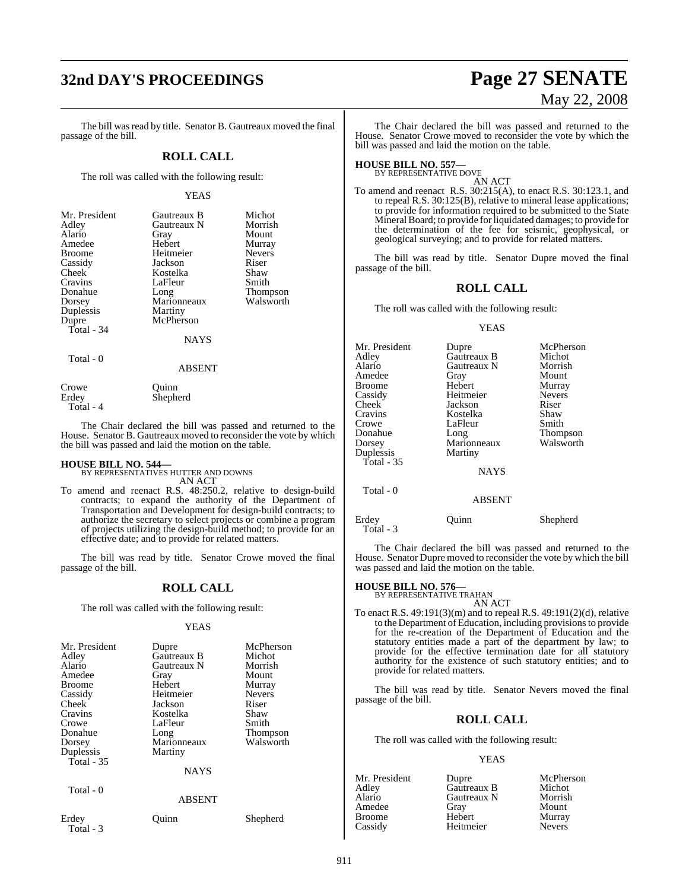# **32nd DAY'S PROCEEDINGS Page 27 SENATE**

The bill was read by title. Senator B. Gautreaux moved the final passage of the bill.

#### **ROLL CALL**

The roll was called with the following result:

#### YEAS

| Mr. President | Gautreaux B | Michot        |
|---------------|-------------|---------------|
| Adley         | Gautreaux N | Morrish       |
| Alario        | Gray        | Mount         |
| Amedee        | Hebert      | Murray        |
| <b>Broome</b> | Heitmeier   | <b>Nevers</b> |
| Cassidy       | Jackson     | Riser         |
| Cheek         | Kostelka    | Shaw          |
| Cravins       | LaFleur     | Smith         |
| Donahue       | Long        | Thompson      |
| Dorsey        | Marionneaux | Walsworth     |
| Duplessis     | Martiny     |               |
| Dupre         | McPherson   |               |
| Total $-34$   |             |               |
|               | <b>NAYS</b> |               |
| Total - 0     |             |               |
|               | ABSENT      |               |

| Crowe     | Ouinn    |
|-----------|----------|
| Erdey     | Shepherd |
| Total - 4 |          |

The Chair declared the bill was passed and returned to the House. Senator B. Gautreaux moved to reconsider the vote by which the bill was passed and laid the motion on the table.

**HOUSE BILL NO. 544—** BY REPRESENTATIVES HUTTER AND DOWNS AN ACT

To amend and reenact R.S. 48:250.2, relative to design-build contracts; to expand the authority of the Department of Transportation and Development for design-build contracts; to authorize the secretary to select projects or combine a program of projects utilizing the design-build method; to provide for an effective date; and to provide for related matters.

The bill was read by title. Senator Crowe moved the final passage of the bill.

## **ROLL CALL**

The roll was called with the following result:

#### YEAS

| Mr. President<br>Adley<br>Alario<br>Amedee<br><b>Broome</b><br>Cassidy<br>Cheek<br>Cravins<br>Crowe<br>Donahue<br>Dorsey<br>Duplessis<br>Total $-35$ | Dupre<br>Gautreaux B<br>Gautreaux N<br>Gray<br>Hebert<br>Heitmeier<br>Jackson<br>Kostelka<br>LaFleur<br>Long<br>Marionneaux<br>Martiny | McPherson<br>Michot<br>Morrish<br>Mount<br>Murray<br><b>Nevers</b><br>Riser<br>Shaw<br>Smith<br>Thompson<br>Walsworth |
|------------------------------------------------------------------------------------------------------------------------------------------------------|----------------------------------------------------------------------------------------------------------------------------------------|-----------------------------------------------------------------------------------------------------------------------|
|                                                                                                                                                      | NAYS                                                                                                                                   |                                                                                                                       |
| Total - 0                                                                                                                                            | <b>ABSENT</b>                                                                                                                          |                                                                                                                       |
| Erdev                                                                                                                                                | Ouinn                                                                                                                                  | Shepherd                                                                                                              |

Total - 3

# May 22, 2008

The Chair declared the bill was passed and returned to the House. Senator Crowe moved to reconsider the vote by which the bill was passed and laid the motion on the table.

# **HOUSE BILL NO. 557—** BY REPRESENTATIVE DOVE

AN ACT To amend and reenact R.S. 30:215(A), to enact R.S. 30:123.1, and to repeal R.S. 30:125(B), relative to mineral lease applications; to provide for information required to be submitted to the State Mineral Board; to provide for liquidated damages; to provide for the determination of the fee for seismic, geophysical, or geological surveying; and to provide for related matters.

The bill was read by title. Senator Dupre moved the final passage of the bill.

### **ROLL CALL**

The roll was called with the following result:

#### YEAS

| Mr. President<br>Adley | Dupre<br>Gautreaux B | McPherson<br>Michot |
|------------------------|----------------------|---------------------|
| Alario                 | Gautreaux N          | Morrish             |
| Amedee                 | Gray                 | Mount               |
| <b>Broome</b>          | Hebert               | Murray              |
|                        | Heitmeier            |                     |
| Cassidy                |                      | <b>Nevers</b>       |
| <b>Cheek</b>           | Jackson              | Riser               |
| Cravins                | Kostelka             | Shaw                |
| Crowe                  | LaFleur              | Smith               |
| Donahue                | Long                 | <b>Thompson</b>     |
| Dorsey                 | Marionneaux          | Walsworth           |
| Duplessis              | Martiny              |                     |
| Total - 35             |                      |                     |
|                        | <b>NAYS</b>          |                     |
| Total - 0              |                      |                     |
|                        | <b>ABSENT</b>        |                     |
| Erdey<br>Total - 3     | Ouınn                | Shepherd            |

The Chair declared the bill was passed and returned to the House. Senator Dupre moved to reconsider the vote by which the bill was passed and laid the motion on the table.

# **HOUSE BILL NO. 576—** BY REPRESENTATIVE TRAHAN

AN ACT

To enact R.S. 49:191(3)(m) and to repeal R.S. 49:191(2)(d), relative to the Department of Education, including provisionsto provide for the re-creation of the Department of Education and the statutory entities made a part of the department by law; to provide for the effective termination date for all statutory authority for the existence of such statutory entities; and to provide for related matters.

The bill was read by title. Senator Nevers moved the final passage of the bill.

### **ROLL CALL**

The roll was called with the following result:

#### YEAS

| Mr. President | Dupre       | McPherson     |
|---------------|-------------|---------------|
| Adley         | Gautreaux B | Michot        |
| Alario        | Gautreaux N | Morrish       |
| Amedee        | Gray        | Mount         |
| <b>Broome</b> | Hebert      | Murray        |
| Cassidy       | Heitmeier   | <b>Nevers</b> |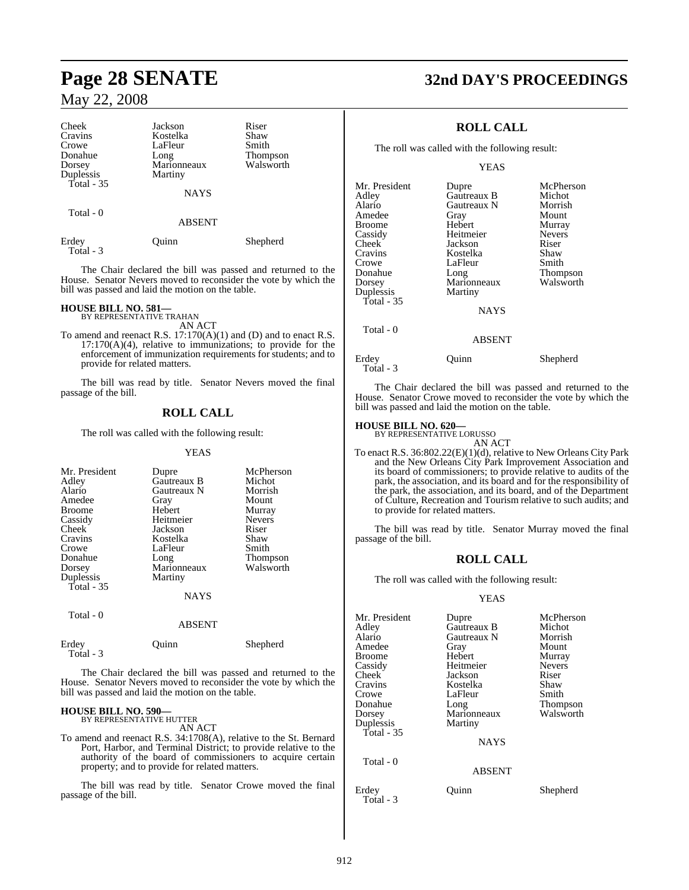| Cheek<br>Cravins<br>Crowe<br>Donahue<br>Dorsey<br>Duplessis<br>Total - 35 | Jackson<br>Kostelka<br>LaFleur<br>Long<br>Marionneaux<br>Martiny | Riser<br>Shaw<br>Smith<br><b>Thompson</b><br>Walsworth |
|---------------------------------------------------------------------------|------------------------------------------------------------------|--------------------------------------------------------|
|                                                                           | <b>NAYS</b>                                                      |                                                        |
| Total - 0                                                                 | <b>ABSENT</b>                                                    |                                                        |
| Erdey<br>Total - 3                                                        | Ouinn                                                            | Shepherd                                               |

The Chair declared the bill was passed and returned to the House. Senator Nevers moved to reconsider the vote by which the bill was passed and laid the motion on the table.

### **HOUSE BILL NO. 581—**

BY REPRESENTATIVE TRAHAN AN ACT

To amend and reenact R.S. 17:170(A)(1) and (D) and to enact R.S. 17:170(A)(4), relative to immunizations; to provide for the enforcement of immunization requirements for students; and to provide for related matters.

The bill was read by title. Senator Nevers moved the final passage of the bill.

## **ROLL CALL**

The roll was called with the following result:

#### YEAS

| Mr. President<br>Adley<br>Alario<br>Amedee<br><b>Broome</b><br>Cassidy<br>Cheek <sup>1</sup><br>Cravins<br>Crowe<br>Donahue<br>Dorsey<br>Duplessis<br>Total - 35 | Dupre<br>Gautreaux B<br>Gautreaux N<br>Gray<br>Hebert<br>Heitmeier<br>Jackson<br>Kostelka<br>LaFleur<br>Long<br>Marionneaux<br>Martiny<br><b>NAYS</b> | McPherson<br>Michot<br>Morrish<br>Mount<br>Murray<br><b>Nevers</b><br>Riser<br>Shaw<br>Smith<br><b>Thompson</b><br>Walsworth |
|------------------------------------------------------------------------------------------------------------------------------------------------------------------|-------------------------------------------------------------------------------------------------------------------------------------------------------|------------------------------------------------------------------------------------------------------------------------------|
| Total - 0                                                                                                                                                        | <b>ABSENT</b>                                                                                                                                         |                                                                                                                              |
| Erdev                                                                                                                                                            | uınn                                                                                                                                                  | Shepherd                                                                                                                     |

 Total - 3 The Chair declared the bill was passed and returned to the House. Senator Nevers moved to reconsider the vote by which the

# bill was passed and laid the motion on the table. **HOUSE BILL NO. 590—** BY REPRESENTATIVE HUTTER

AN ACT

To amend and reenact R.S. 34:1708(A), relative to the St. Bernard Port, Harbor, and Terminal District; to provide relative to the authority of the board of commissioners to acquire certain property; and to provide for related matters.

The bill was read by title. Senator Crowe moved the final passage of the bill.

# **Page 28 SENATE 32nd DAY'S PROCEEDINGS**

## **ROLL CALL**

The roll was called with the following result:

#### YEAS

| Mr. President | Dupre         | McPherson     |
|---------------|---------------|---------------|
| Adley         | Gautreaux B   | Michot        |
| Alario        | Gautreaux N   | Morrish       |
| Amedee        | Gray          | Mount         |
| Broome        | Hebert        | Murray        |
| Cassidy       | Heitmeier     | <b>Nevers</b> |
| Cheek         | Jackson       | Riser         |
| Cravins       | Kostelka      | Shaw          |
| Crowe         | LaFleur       | Smith         |
| Donahue       | Long          | Thompson      |
| Dorsey        | Marionneaux   | Walsworth     |
| Duplessis     | Martiny       |               |
| Total - 35    |               |               |
|               | <b>NAYS</b>   |               |
| Total - 0     |               |               |
|               | <b>ABSENT</b> |               |

| Erdey     | Ouinn | Shepherd |
|-----------|-------|----------|
| Total - 3 |       |          |

The Chair declared the bill was passed and returned to the House. Senator Crowe moved to reconsider the vote by which the bill was passed and laid the motion on the table.

# **HOUSE BILL NO. 620—** BY REPRESENTATIVE LORUSSO

AN ACT

To enact R.S. 36:802.22(E)(1)(d), relative to New Orleans City Park and the New Orleans City Park Improvement Association and its board of commissioners; to provide relative to audits of the park, the association, and its board and for the responsibility of the park, the association, and its board, and of the Department of Culture, Recreation and Tourism relative to such audits; and to provide for related matters.

The bill was read by title. Senator Murray moved the final passage of the bill.

## **ROLL CALL**

The roll was called with the following result:

#### YEAS

| Mr. President      | Dupre         | McPherson     |
|--------------------|---------------|---------------|
| Adley              | Gautreaux B   | Michot        |
| Alario             | Gautreaux N   | Morrish       |
| Amedee             | Gray          | Mount         |
| Broome             | Hebert        | Murray        |
| Cassidy            | Heitmeier     | <b>Nevers</b> |
| Cheek              | Jackson       | Riser         |
| Cravins            | Kostelka      | Shaw          |
| Crowe              | LaFleur       | Smith         |
| Donahue            | Long          | Thompson      |
| Dorsey             | Marionneaux   | Walsworth     |
| Duplessis          | Martiny       |               |
| Total - 35         |               |               |
|                    | <b>NAYS</b>   |               |
| Total - 0          |               |               |
|                    | <b>ABSENT</b> |               |
| Erdey<br>Total - 3 | Ouinn         | Shepherd      |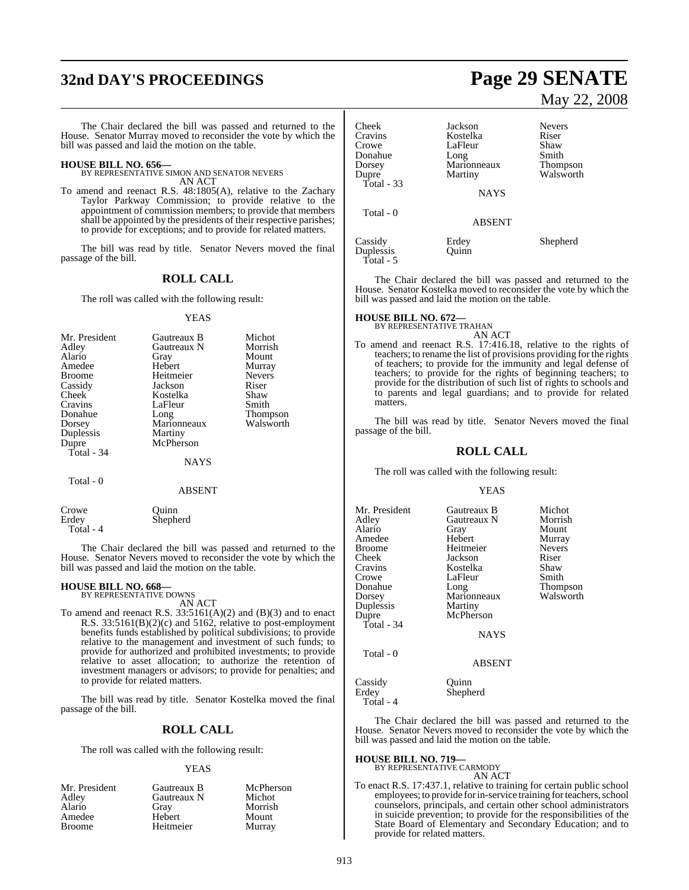# **32nd DAY'S PROCEEDINGS Page 29 SENATE**

The Chair declared the bill was passed and returned to the House. Senator Murray moved to reconsider the vote by which the bill was passed and laid the motion on the table.

**HOUSE BILL NO. 656—** BY REPRESENTATIVE SIMON AND SENATOR NEVERS AN ACT

To amend and reenact R.S. 48:1805(A), relative to the Zachary Taylor Parkway Commission; to provide relative to the appointment of commission members; to provide that members shall be appointed by the presidents of their respective parishes; to provide for exceptions; and to provide for related matters.

The bill was read by title. Senator Nevers moved the final passage of the bill.

#### **ROLL CALL**

The roll was called with the following result:

#### YEAS

| Mr. President | Gautreaux B | Michot          |
|---------------|-------------|-----------------|
| Adley         | Gautreaux N | Morrish         |
| Alario        | Gray        | Mount           |
| Amedee        | Hebert      | Murray          |
| <b>Broome</b> | Heitmeier   | <b>Nevers</b>   |
| Cassidy       | Jackson     | Riser           |
| Cheek         | Kostelka    | Shaw            |
| Cravins       | LaFleur     | Smith           |
| Donahue       | Long        | <b>Thompson</b> |
| Dorsey        | Marionneaux | Walsworth       |
| Duplessis     | Martiny     |                 |
| Dupre         | McPherson   |                 |
| Total - 34    |             |                 |
|               | NAYS        |                 |
| Total - 0     |             |                 |

#### ABSENT

| Crowe     | Ouinn    |  |
|-----------|----------|--|
| Erdev     | Shepherd |  |
| Total - 4 |          |  |

The Chair declared the bill was passed and returned to the House. Senator Nevers moved to reconsider the vote by which the bill was passed and laid the motion on the table.

# **HOUSE BILL NO. 668—** BY REPRESENTATIVE DOWNS

AN ACT

To amend and reenact R.S.  $33:5161(A)(2)$  and  $(B)(3)$  and to enact R.S. 33:5161(B)(2)(c) and 5162, relative to post-employment benefits funds established by political subdivisions; to provide relative to the management and investment of such funds; to provide for authorized and prohibited investments; to provide relative to asset allocation; to authorize the retention of investment managers or advisors; to provide for penalties; and to provide for related matters.

The bill was read by title. Senator Kostelka moved the final passage of the bill.

## **ROLL CALL**

The roll was called with the following result:

#### YEAS

| Mr. President   | Gautreaux B | McPherson |
|-----------------|-------------|-----------|
| Adley<br>Alario | Gautreaux N | Michot    |
|                 | Grav        | Morrish   |
| Amedee          | Hebert      | Mount     |
| <b>Broome</b>   | Heitmeier   | Murray    |

# May 22, 2008

| Cheek            | Jackson             | <b>Nevers</b>   |
|------------------|---------------------|-----------------|
| Cravins<br>Crowe | Kostelka<br>LaFleur | Riser<br>Shaw   |
| Donahue          | Long                | Smith           |
| Dorsey           | Marionneaux         | <b>Thompson</b> |
| Dupre            | Martiny             | Walsworth       |
| Total - 33       |                     |                 |
|                  | <b>NAYS</b>         |                 |
| Total - 0        |                     |                 |
|                  | <b>ABSENT</b>       |                 |
| Cassidy          | Erdey               | Shepherd        |
| Duplessis        | Ouinn               |                 |
| Total - 5        |                     |                 |

The Chair declared the bill was passed and returned to the House. Senator Kostelka moved to reconsider the vote by which the bill was passed and laid the motion on the table.

# **HOUSE BILL NO. 672—** BY REPRESENTATIVE TRAHAN

AN ACT

To amend and reenact R.S. 17:416.18, relative to the rights of teachers; to rename the list of provisions providing for the rights of teachers; to provide for the immunity and legal defense of teachers; to provide for the rights of beginning teachers; to provide for the distribution of such list of rights to schools and to parents and legal guardians; and to provide for related matters.

The bill was read by title. Senator Nevers moved the final passage of the bill.

#### **ROLL CALL**

The roll was called with the following result:

#### YEAS

| Mr. President<br>Adley<br>Alario<br>Amedee<br>Broome<br>Cheek<br>Cravins | Gautreaux B<br>Gautreaux N<br>Gray<br>Hebert<br>Heitmeier<br>Jackson<br>Kostelka | Michot<br>Morrish<br>Mount<br>Murray<br><b>Nevers</b><br>Riser<br>Shaw |
|--------------------------------------------------------------------------|----------------------------------------------------------------------------------|------------------------------------------------------------------------|
| Crowe<br>Donahue                                                         | LaFleur<br>Long                                                                  | Smith<br>Thompson                                                      |
| Dorsey                                                                   | Marionneaux                                                                      | Walsworth                                                              |
| Duplessis<br>Dupre                                                       | Martiny<br>McPherson                                                             |                                                                        |
| Total - 34                                                               | <b>NAYS</b>                                                                      |                                                                        |
| Total - 0                                                                | <b>ABSENT</b>                                                                    |                                                                        |
| Cassidy                                                                  | Ouinn                                                                            |                                                                        |

Erdey Shepherd

Total - 4

The Chair declared the bill was passed and returned to the House. Senator Nevers moved to reconsider the vote by which the bill was passed and laid the motion on the table.

#### **HOUSE BILL NO. 719—**

BY REPRESENTATIVE CARMODY AN ACT

To enact R.S. 17:437.1, relative to training for certain public school employees; to provide for in-service training for teachers, school counselors, principals, and certain other school administrators in suicide prevention; to provide for the responsibilities of the State Board of Elementary and Secondary Education; and to provide for related matters.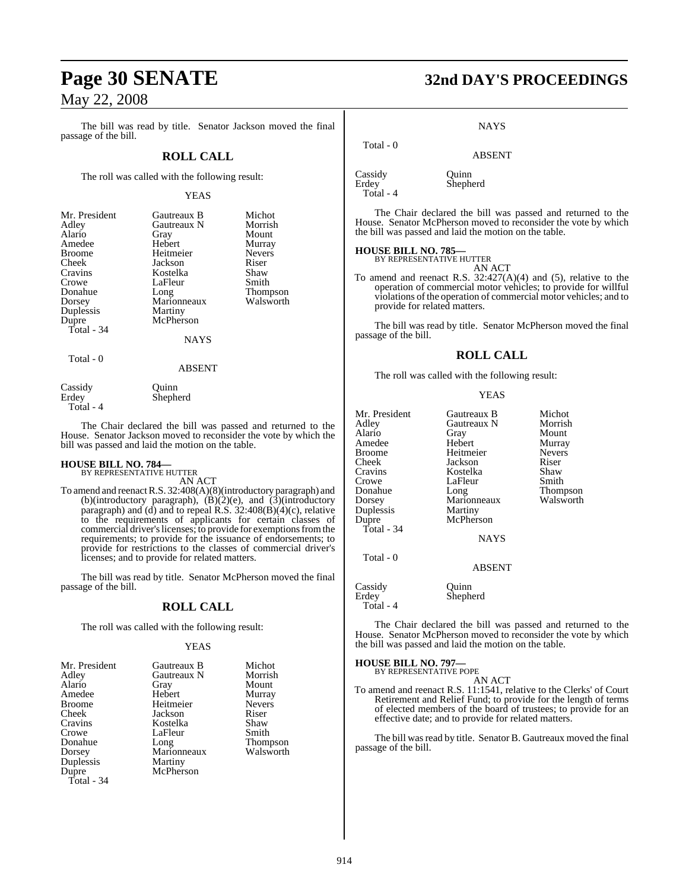The bill was read by title. Senator Jackson moved the final passage of the bill.

## **ROLL CALL**

The roll was called with the following result:

#### YEAS

| Mr. President | Gautreaux B | Michot          |
|---------------|-------------|-----------------|
| Adley         | Gautreaux N | Morrish         |
| Alario        | Gray        | Mount           |
| Amedee        | Hebert      | Murray          |
| <b>Broome</b> | Heitmeier   | <b>Nevers</b>   |
| Cheek         | Jackson     | Riser           |
| Cravins       | Kostelka    | Shaw            |
| Crowe         | LaFleur     | Smith           |
| Donahue       | Long        | <b>Thompson</b> |
| Dorsey        | Marionneaux | Walsworth       |
| Duplessis     | Martiny     |                 |
| Dupre         | McPherson   |                 |
| Total - 34    |             |                 |
|               | <b>NAYS</b> |                 |
|               |             |                 |

Total - 0

ABSENT

| Cassidy   | Ouinn    |
|-----------|----------|
| Erdey     | Shepherd |
| Total - 4 |          |

The Chair declared the bill was passed and returned to the House. Senator Jackson moved to reconsider the vote by which the bill was passed and laid the motion on the table.

# **HOUSE BILL NO. 784—** BY REPRESENTATIVE HUTTER

AN ACT

To amend and reenactR.S. 32:408(A)(8)(introductory paragraph) and (b)(introductory paragraph),  $(B)(2)(e)$ , and  $(3)(\text{introductor})$ paragraph) and (d) and to repeal R.S. 32:408(B)(4)(c), relative to the requirements of applicants for certain classes of commercial driver's licenses; to provide for exemptions from the requirements; to provide for the issuance of endorsements; to provide for restrictions to the classes of commercial driver's licenses; and to provide for related matters.

The bill was read by title. Senator McPherson moved the final passage of the bill.

## **ROLL CALL**

The roll was called with the following result:

#### YEAS

| Mr. President | Gautreaux B | Michot        |
|---------------|-------------|---------------|
| Adley         | Gautreaux N | Morrish       |
| Alario        | Gray        | Mount         |
| Amedee        | Hebert      | Murray        |
| Broome        | Heitmeier   | <b>Nevers</b> |
| Cheek         | Jackson     | Riser         |
| Cravins       | Kostelka    | Shaw          |
| Crowe         | LaFleur     | Smith         |
| Donahue       | Long        | Thompson      |
| Dorsey        | Marionneaux | Walsworth     |
| Duplessis     | Martiny     |               |
| Dupre         | McPherson   |               |
| Total - 34    |             |               |

# **Page 30 SENATE 32nd DAY'S PROCEEDINGS**

**NAYS** 

ABSENT

Cassidy Quinn<br>Erdey Shephe Total - 4

Total - 0

Shepherd

The Chair declared the bill was passed and returned to the House. Senator McPherson moved to reconsider the vote by which the bill was passed and laid the motion on the table.

#### **HOUSE BILL NO. 785—**

BY REPRESENTATIVE HUTTER

AN ACT To amend and reenact R.S. 32:427(A)(4) and (5), relative to the operation of commercial motor vehicles; to provide for willful violations of the operation of commercial motor vehicles; and to provide for related matters.

The bill was read by title. Senator McPherson moved the final passage of the bill.

#### **ROLL CALL**

The roll was called with the following result:

|--|--|

| Mr. President<br>Adley<br>Alario<br>Amedee<br><b>Broome</b><br>Cheek<br>Cravins<br>Crowe<br>Donahue<br>Dorsey<br>Duplessis<br>Dupre<br>Total - 34 | Gautreaux B<br>Gautreaux N<br>Gray<br>Hebert<br>Heitmeier<br>Jackson<br>Kostelka<br>LaFleur<br>Long<br>Marionneaux<br>Martiny<br>McPherson<br><b>NAYS</b> | Michot<br>Morrish<br>Mount<br>Murray<br><b>Nevers</b><br>Riser<br>Shaw<br>Smith<br>Thompson<br>Walsworth |
|---------------------------------------------------------------------------------------------------------------------------------------------------|-----------------------------------------------------------------------------------------------------------------------------------------------------------|----------------------------------------------------------------------------------------------------------|
| Total - 0                                                                                                                                         | <b>ABSENT</b>                                                                                                                                             |                                                                                                          |
| Cassidy                                                                                                                                           | uınn                                                                                                                                                      |                                                                                                          |

Erdey Shepherd Total - 4

The Chair declared the bill was passed and returned to the House. Senator McPherson moved to reconsider the vote by which the bill was passed and laid the motion on the table.

# **HOUSE BILL NO. 797—** BY REPRESENTATIVE POPE

AN ACT

To amend and reenact R.S. 11:1541, relative to the Clerks' of Court Retirement and Relief Fund; to provide for the length of terms of elected members of the board of trustees; to provide for an effective date; and to provide for related matters.

The bill was read by title. Senator B. Gautreaux moved the final passage of the bill.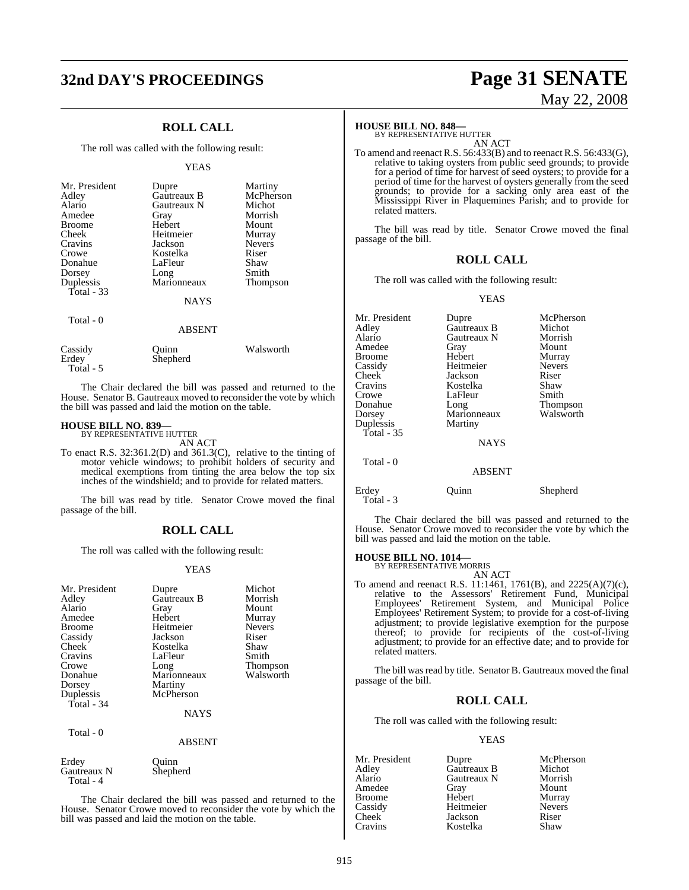# **32nd DAY'S PROCEEDINGS Page 31 SENATE**

## **ROLL CALL**

The roll was called with the following result:

#### YEAS

| Mr. President<br>Adley<br>Alario<br>Amedee<br><b>Broome</b><br>Cheek<br>Cravins<br>Crowe<br>Donahue<br>Dorsey<br>Duplessis<br>Total $-33$ | Dupre<br>Gautreaux B<br>Gautreaux N<br>Gray<br>Hebert<br>Heitmeier<br>Jackson<br>Kostelka<br>LaFleur<br>Long<br>Marionneaux<br><b>NAYS</b> | Martiny<br>McPherson<br>Michot<br>Morrish<br>Mount<br>Murray<br><b>Nevers</b><br>Riser<br>Shaw<br>Smith<br>Thompson |
|-------------------------------------------------------------------------------------------------------------------------------------------|--------------------------------------------------------------------------------------------------------------------------------------------|---------------------------------------------------------------------------------------------------------------------|
| Total $-0$                                                                                                                                | ABSENT                                                                                                                                     |                                                                                                                     |
| Cassidy                                                                                                                                   | uınn                                                                                                                                       | Walsworth                                                                                                           |

Erdey Shepherd Total - 5

The Chair declared the bill was passed and returned to the House. Senator B. Gautreaux moved to reconsider the vote by which the bill was passed and laid the motion on the table.

#### **HOUSE BILL NO. 839—**

BY REPRESENTATIVE HUTTER AN ACT

To enact R.S. 32:361.2(D) and 361.3(C), relative to the tinting of motor vehicle windows; to prohibit holders of security and medical exemptions from tinting the area below the top six inches of the windshield; and to provide for related matters.

The bill was read by title. Senator Crowe moved the final passage of the bill.

#### **ROLL CALL**

The roll was called with the following result:

#### YEAS

| Mr. President<br>Adley<br>Alario<br>Amedee<br><b>Broome</b><br>Cassidy<br>Cheek<br>Cravins<br>Crowe<br>Donahue<br>Dorsey<br>Duplessis | Dupre<br>Gautreaux B<br>Gray<br>Hebert<br>Heitmeier<br>Jackson<br>Kostelka<br>LaFleur<br>Long<br>Marionneaux<br>Martiny<br>McPherson | Michot<br>Morrish<br>Mount<br>Murray<br><b>Nevers</b><br>Riser<br>Shaw<br>Smith<br>Thompson<br>Walsworth |
|---------------------------------------------------------------------------------------------------------------------------------------|--------------------------------------------------------------------------------------------------------------------------------------|----------------------------------------------------------------------------------------------------------|
| <b>Total - 34</b>                                                                                                                     | <b>NAYS</b>                                                                                                                          |                                                                                                          |
| Total - 0                                                                                                                             | <b>ABSENT</b>                                                                                                                        |                                                                                                          |
| Erdey<br>Gautreaux N<br>Total - 4                                                                                                     | Ouinn<br>Shepherd                                                                                                                    |                                                                                                          |

The Chair declared the bill was passed and returned to the House. Senator Crowe moved to reconsider the vote by which the bill was passed and laid the motion on the table.

# May 22, 2008

#### **HOUSE BILL NO. 848—**

BY REPRESENTATIVE HUTTER AN ACT

To amend and reenact R.S. 56:433(B) and to reenact R.S. 56:433(G), relative to taking oysters from public seed grounds; to provide for a period of time for harvest of seed oysters; to provide for a period of time for the harvest of oysters generally from the seed grounds; to provide for a sacking only area east of the Mississippi River in Plaquemines Parish; and to provide for related matters.

The bill was read by title. Senator Crowe moved the final passage of the bill.

### **ROLL CALL**

The roll was called with the following result:

YEAS

| Mr. President<br>Adley<br>Alario<br>Amedee<br><b>Broome</b><br>Cassidy<br>Cheek<br>Cravins<br>Crowe<br>Donahue<br>Dorsey | Dupre<br>Gautreaux B<br>Gautreaux N<br>Gray<br>Hebert<br>Heitmeier<br>Jackson<br>Kostelka<br>LaFleur<br>Long<br>Marionneaux | McPherson<br>Michot<br>Morrish<br>Mount<br>Murray<br><b>Nevers</b><br>Riser<br>Shaw<br>Smith<br>Thompson<br>Walsworth |
|--------------------------------------------------------------------------------------------------------------------------|-----------------------------------------------------------------------------------------------------------------------------|-----------------------------------------------------------------------------------------------------------------------|
| Duplessis<br>Total - 35<br>Total - 0                                                                                     | Martiny<br><b>NAYS</b><br><b>ABSENT</b>                                                                                     |                                                                                                                       |
| Erdey                                                                                                                    | uınn                                                                                                                        | Shepherd                                                                                                              |

The Chair declared the bill was passed and returned to the House. Senator Crowe moved to reconsider the vote by which the bill was passed and laid the motion on the table.

#### **HOUSE BILL NO. 1014—**

Total - 3

BY REPRESENTATIVE MORRIS AN ACT

To amend and reenact R.S. 11:1461, 1761(B), and 2225(A)(7)(c), relative to the Assessors' Retirement Fund, Municipal Employees' Retirement System, and Municipal Police Employees' Retirement System; to provide for a cost-of-living adjustment; to provide legislative exemption for the purpose thereof; to provide for recipients of the cost-of-living adjustment; to provide for an effective date; and to provide for related matters.

The bill was read by title. Senator B. Gautreaux moved the final passage of the bill.

## **ROLL CALL**

The roll was called with the following result:

#### YEAS

| Mr. President | Dupre       | McPherson     |
|---------------|-------------|---------------|
| Adley         | Gautreaux B | Michot        |
| Alario        | Gautreaux N | Morrish       |
| Amedee        | Gray        | Mount         |
| <b>Broome</b> | Hebert      | Murray        |
| Cassidy       | Heitmeier   | <b>Nevers</b> |
| Cheek         | Jackson     | Riser         |
| Cravins       | Kostelka    | Shaw          |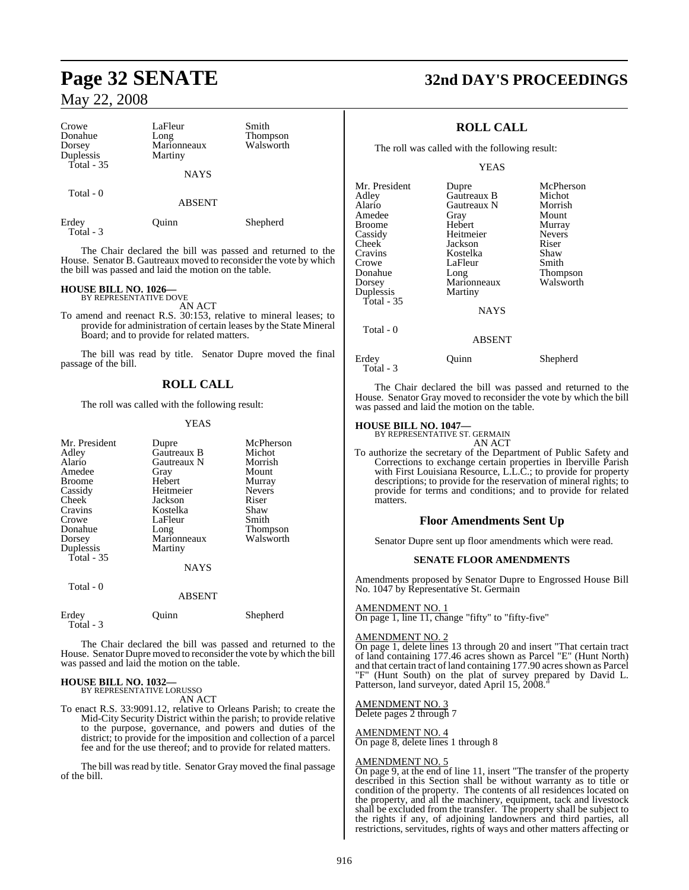| Crowe<br>Donahue<br>Dorsey<br>Duplessis<br>Total - 35 | LaFleur<br>Long<br>Marionneaux<br>Martiny | Smith<br>Thompson<br>Walsworth |  |
|-------------------------------------------------------|-------------------------------------------|--------------------------------|--|
|                                                       | <b>NAYS</b>                               |                                |  |
| Total - 0                                             | <b>ABSENT</b>                             |                                |  |
| Erdey<br>Total - 3                                    | Ouinn                                     | Shepherd                       |  |

The Chair declared the bill was passed and returned to the House. Senator B. Gautreaux moved to reconsider the vote by which the bill was passed and laid the motion on the table.

# **HOUSE BILL NO. 1026—** BY REPRESENTATIVE DOVE

AN ACT

To amend and reenact R.S. 30:153, relative to mineral leases; to provide for administration of certain leases by the State Mineral Board; and to provide for related matters.

The bill was read by title. Senator Dupre moved the final passage of the bill.

## **ROLL CALL**

The roll was called with the following result:

#### YEAS

| Mr. President<br>Adley<br>Alario<br>Amedee<br><b>Broome</b><br>Cassidy<br><b>Cheek</b><br>Cravins<br>Crowe<br>Donahue<br>Dorsey<br>Duplessis<br>Total $-35$<br>Total - 0 | Dupre<br>Gautreaux B<br>Gautreaux N<br>Gray<br>Hebert<br>Heitmeier<br>Jackson<br>Kostelka<br>LaFleur<br>Long<br>Marionneaux<br>Martiny<br><b>NAYS</b><br><b>ABSENT</b> | McPherson<br>Michot<br>Morrish<br>Mount<br>Murray<br><b>Nevers</b><br>Riser<br>Shaw<br>Smith<br><b>Thompson</b><br>Walsworth |
|--------------------------------------------------------------------------------------------------------------------------------------------------------------------------|------------------------------------------------------------------------------------------------------------------------------------------------------------------------|------------------------------------------------------------------------------------------------------------------------------|
| Erdey<br>Total - 3                                                                                                                                                       | Ouınn                                                                                                                                                                  | Shepherd                                                                                                                     |

The Chair declared the bill was passed and returned to the House. Senator Dupre moved to reconsider the vote by which the bill was passed and laid the motion on the table.

#### **HOUSE BILL NO. 1032—** BY REPRESENTATIVE LORUSSO

AN ACT

To enact R.S. 33:9091.12, relative to Orleans Parish; to create the Mid-City Security District within the parish; to provide relative to the purpose, governance, and powers and duties of the district; to provide for the imposition and collection of a parcel fee and for the use thereof; and to provide for related matters.

The bill was read by title. Senator Gray moved the final passage of the bill.

# **Page 32 SENATE 32nd DAY'S PROCEEDINGS**

## **ROLL CALL**

The roll was called with the following result:

#### YEAS

| Mr. President | Dupre         | McPherson       |
|---------------|---------------|-----------------|
| Adlev         | Gautreaux B   | Michot          |
| Alario        | Gautreaux N   | Morrish         |
| Amedee        | Gray          | Mount           |
| Broome        | Hebert        | Murray          |
| Cassidy       | Heitmeier     | <b>Nevers</b>   |
| Cheek         | Jackson       | Riser           |
| Cravins       | Kostelka      | Shaw            |
| Crowe         | LaFleur       | Smith           |
| Donahue       | Long          | <b>Thompson</b> |
| Dorsey        | Marionneaux   | Walsworth       |
| Duplessis     | Martiny       |                 |
| Total - 35    |               |                 |
|               | <b>NAYS</b>   |                 |
| Total - 0     |               |                 |
|               | <b>ABSENT</b> |                 |

Erdey Quinn Shepherd

 $\mathbf{I}$ 

Total - 3

The Chair declared the bill was passed and returned to the House. Senator Gray moved to reconsider the vote by which the bill was passed and laid the motion on the table.

# **HOUSE BILL NO. 1047—** BY REPRESENTATIVE ST. GERMAIN

AN ACT To authorize the secretary of the Department of Public Safety and Corrections to exchange certain properties in Iberville Parish with First Louisiana Resource, L.L.C.; to provide for property descriptions; to provide for the reservation of mineral rights; to provide for terms and conditions; and to provide for related matters.

#### **Floor Amendments Sent Up**

Senator Dupre sent up floor amendments which were read.

#### **SENATE FLOOR AMENDMENTS**

Amendments proposed by Senator Dupre to Engrossed House Bill No. 1047 by Representative St. Germain

#### AMENDMENT NO. 1

On page 1, line 11, change "fifty" to "fifty-five"

#### AMENDMENT NO. 2

On page 1, delete lines 13 through 20 and insert "That certain tract of land containing 177.46 acres shown as Parcel "E" (Hunt North) and that certain tract of land containing 177.90 acres shown as Parcel "F" (Hunt South) on the plat of survey prepared by David L. Patterson, land surveyor, dated April 15, 2008.

### AMENDMENT NO. 3

Delete pages 2 through 7

#### AMENDMENT NO. 4

On page 8, delete lines 1 through 8

#### AMENDMENT NO. 5

On page 9, at the end of line 11, insert "The transfer of the property described in this Section shall be without warranty as to title or condition of the property. The contents of all residences located on the property, and all the machinery, equipment, tack and livestock shall be excluded from the transfer. The property shall be subject to the rights if any, of adjoining landowners and third parties, all restrictions, servitudes, rights of ways and other matters affecting or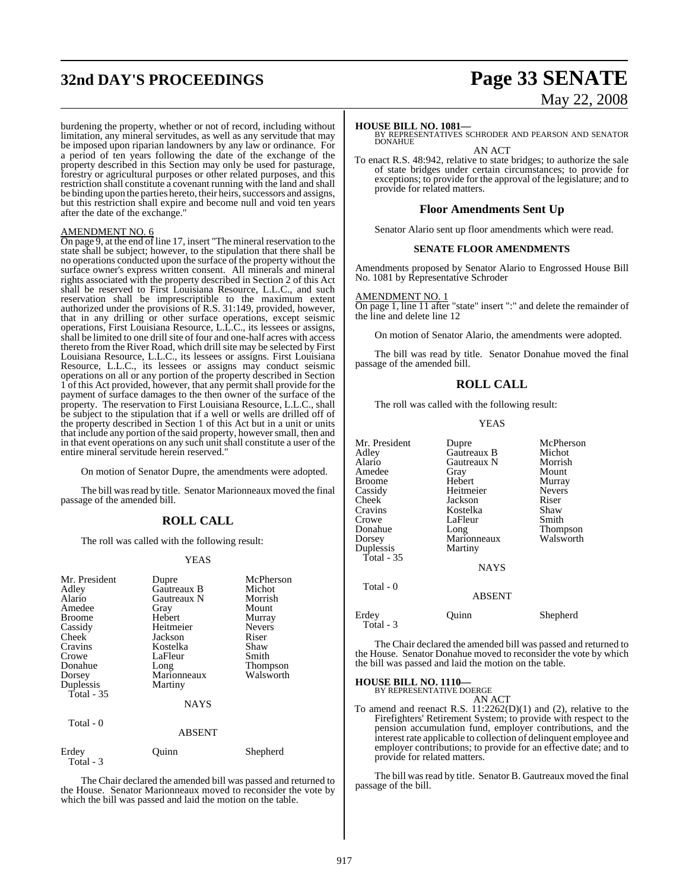# **32nd DAY'S PROCEEDINGS Page 33 SENATE**

burdening the property, whether or not of record, including without limitation, any mineral servitudes, as well as any servitude that may be imposed upon riparian landowners by any law or ordinance. For a period of ten years following the date of the exchange of the property described in this Section may only be used for pasturage, forestry or agricultural purposes or other related purposes, and this restriction shall constitute a covenant running with the land and shall be binding upon the parties hereto, their heirs, successors and assigns, but this restriction shall expire and become null and void ten years after the date of the exchange."

#### AMENDMENT NO. 6

On page 9, at the end of line 17, insert "The mineral reservation to the state shall be subject; however, to the stipulation that there shall be no operations conducted upon the surface of the property without the surface owner's express written consent. All minerals and mineral rights associated with the property described in Section 2 of this Act shall be reserved to First Louisiana Resource, L.L.C., and such reservation shall be imprescriptible to the maximum extent authorized under the provisions of R.S. 31:149, provided, however, that in any drilling or other surface operations, except seismic operations, First Louisiana Resource, L.L.C., its lessees or assigns, shall be limited to one drill site of four and one-half acres with access thereto from the River Road, which drill site may be selected by First Louisiana Resource, L.L.C., its lessees or assigns. First Louisiana Resource, L.L.C., its lessees or assigns may conduct seismic operations on all or any portion of the property described in Section 1 of this Act provided, however, that any permit shall provide for the payment of surface damages to the then owner of the surface of the property. The reservation to First Louisiana Resource, L.L.C., shall be subject to the stipulation that if a well or wells are drilled off of the property described in Section 1 of this Act but in a unit or units that include any portion of the said property, however small, then and in that event operations on any such unit shall constitute a user of the entire mineral servitude herein reserved."

On motion of Senator Dupre, the amendments were adopted.

The bill was read by title. Senator Marionneaux moved the final passage of the amended bill.

## **ROLL CALL**

The roll was called with the following result:

#### YEAS

| Mr. President<br>Adley<br>Alario<br>Amedee<br><b>Broome</b><br>Cassidy<br>Cheek<br>Cravins<br>Crowe<br>Donahue<br>Dorsey<br>Duplessis<br>Total $-35$<br>Total - 0 | Dupre<br>Gautreaux B<br>Gautreaux N<br>Gray<br>Hebert<br>Heitmeier<br>Jackson<br>Kostelka<br>LaFleur<br>Long<br>Marionneaux<br>Martiny<br><b>NAYS</b> | McPherson<br>Michot<br>Morrish<br>Mount<br>Murray<br><b>Nevers</b><br>Riser<br>Shaw<br>Smith<br><b>Thompson</b><br>Walsworth |
|-------------------------------------------------------------------------------------------------------------------------------------------------------------------|-------------------------------------------------------------------------------------------------------------------------------------------------------|------------------------------------------------------------------------------------------------------------------------------|
|                                                                                                                                                                   | <b>ABSENT</b>                                                                                                                                         |                                                                                                                              |
| Erdey<br>Total - 3                                                                                                                                                | Ouinn                                                                                                                                                 | Shepherd                                                                                                                     |

The Chair declared the amended bill was passed and returned to the House. Senator Marionneaux moved to reconsider the vote by which the bill was passed and laid the motion on the table.

# May 22, 2008

**HOUSE BILL NO. 1081—** BY REPRESENTATIVES SCHRODER AND PEARSON AND SENATOR **DONAHUE** AN ACT

To enact R.S. 48:942, relative to state bridges; to authorize the sale of state bridges under certain circumstances; to provide for exceptions; to provide for the approval of the legislature; and to provide for related matters.

#### **Floor Amendments Sent Up**

Senator Alario sent up floor amendments which were read.

#### **SENATE FLOOR AMENDMENTS**

Amendments proposed by Senator Alario to Engrossed House Bill No. 1081 by Representative Schroder

#### AMENDMENT NO.

On page 1, line 11 after "state" insert ":" and delete the remainder of the line and delete line 12

On motion of Senator Alario, the amendments were adopted.

The bill was read by title. Senator Donahue moved the final passage of the amended bill.

### **ROLL CALL**

The roll was called with the following result:

#### YEAS

| Mr. President<br>Adley<br>Alario<br>Amedee<br>Broome<br>Cassidy<br>Cheek<br>Cravins<br>Crowe<br>Donahue<br>Dorsey<br>Duplessis<br>Total - $35$<br>Total - 0 | Dupre<br>Gautreaux B<br>Gautreaux N<br>Gray<br>Hebert<br>Heitmeier<br>Jackson<br>Kostelka<br>LaFleur<br>Long<br>Marionneaux<br>Martiny<br><b>NAYS</b><br><b>ABSENT</b> | McPherson<br>Michot<br>Morrish<br>Mount<br>Murray<br><b>Nevers</b><br>Riser<br>Shaw<br>Smith<br>Thompson<br>Walsworth |
|-------------------------------------------------------------------------------------------------------------------------------------------------------------|------------------------------------------------------------------------------------------------------------------------------------------------------------------------|-----------------------------------------------------------------------------------------------------------------------|
|                                                                                                                                                             |                                                                                                                                                                        |                                                                                                                       |
| Erdey<br>Total - 3                                                                                                                                          | Ouinn                                                                                                                                                                  | Shepherd                                                                                                              |

The Chair declared the amended bill was passed and returned to the House. Senator Donahue moved to reconsider the vote by which the bill was passed and laid the motion on the table.

# **HOUSE BILL NO. 1110—** BY REPRESENTATIVE DOERGE

AN ACT

To amend and reenact R.S.  $11:2262(D)(1)$  and (2), relative to the Firefighters' Retirement System; to provide with respect to the pension accumulation fund, employer contributions, and the interest rate applicable to collection of delinquent employee and employer contributions; to provide for an effective date; and to provide for related matters.

The bill was read by title. Senator B. Gautreaux moved the final passage of the bill.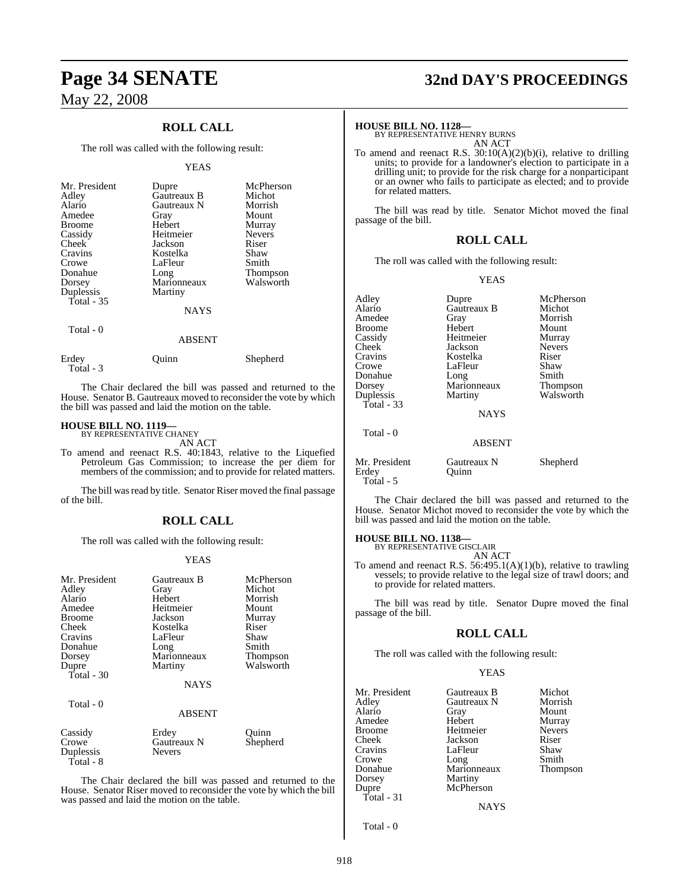## **ROLL CALL**

The roll was called with the following result:

#### YEAS

| Mr. President<br>Adley<br>Alario<br>Amedee<br><b>Broome</b><br>Cassidy<br>Cheek<br>Cravins<br>Crowe<br>Donahue<br>Dorsey<br>Duplessis<br>Total $-35$ | Dupre<br>Gautreaux B<br>Gautreaux N<br>Gray<br>Hebert<br>Heitmeier<br>Jackson<br>Kostelka<br>LaFleur<br>Long<br>Marionneaux<br>Martiny<br><b>NAYS</b> | McPherson<br>Michot<br>Morrish<br>Mount<br>Murray<br><b>Nevers</b><br>Riser<br>Shaw<br>Smith<br>Thompson<br>Walsworth |
|------------------------------------------------------------------------------------------------------------------------------------------------------|-------------------------------------------------------------------------------------------------------------------------------------------------------|-----------------------------------------------------------------------------------------------------------------------|
| Total - 0                                                                                                                                            | <b>ABSENT</b>                                                                                                                                         |                                                                                                                       |

Erdey Quinn Shepherd Total - 3

The Chair declared the bill was passed and returned to the House. Senator B. Gautreaux moved to reconsider the vote by which the bill was passed and laid the motion on the table.

#### **HOUSE BILL NO. 1119—**

BY REPRESENTATIVE CHANEY AN ACT

To amend and reenact R.S. 40:1843, relative to the Liquefied Petroleum Gas Commission; to increase the per diem for members of the commission; and to provide for related matters.

The bill was read by title. Senator Riser moved the final passage of the bill.

## **ROLL CALL**

The roll was called with the following result:

#### YEAS

| Mr. President<br>Adley<br>Alario<br>Amedee<br><b>Broome</b><br>Cheek<br>Cravins<br>Donahue<br>Dorsey<br>Dupre<br>Total $-30$ | Gautreaux B<br>Gray<br><b>Hebert</b><br>Heitmeier<br>Jackson<br>Kostelka<br>LaFleur<br>Long<br>Marionneaux<br>Martiny<br><b>NAYS</b> | McPherson<br>Michot<br>Morrish<br>Mount<br>Murray<br>Riser<br>Shaw<br>Smith<br><b>Thompson</b><br>Walsworth |
|------------------------------------------------------------------------------------------------------------------------------|--------------------------------------------------------------------------------------------------------------------------------------|-------------------------------------------------------------------------------------------------------------|
| Total - 0                                                                                                                    | <b>ABSENT</b>                                                                                                                        |                                                                                                             |
| Cassidy<br>Crowe<br>Duplessis<br>Total - 8                                                                                   | Erdey<br><b>Gautreaux N</b><br><b>Nevers</b>                                                                                         | Ouinn<br>Shepherd                                                                                           |

The Chair declared the bill was passed and returned to the House. Senator Riser moved to reconsider the vote by which the bill was passed and laid the motion on the table.

# **Page 34 SENATE 32nd DAY'S PROCEEDINGS**

**HOUSE BILL NO. 1128—** BY REPRESENTATIVE HENRY BURNS AN ACT

To amend and reenact R.S. 30:10(A)(2)(b)(i), relative to drilling units; to provide for a landowner's election to participate in a drilling unit; to provide for the risk charge for a nonparticipant or an owner who fails to participate as elected; and to provide for related matters.

The bill was read by title. Senator Michot moved the final passage of the bill.

#### **ROLL CALL**

The roll was called with the following result:

#### YEAS

| Adley<br>Alario<br>Amedee<br><b>Broome</b><br>Cassidy<br>Cheek<br>Cravins<br>Crowe<br>Donahue<br>Dorsey | Dupre<br>Gautreaux B<br>Gray<br>Hebert<br>Heitmeier<br>Jackson<br>Kostelka<br>LaFleur<br>Long<br>Marionneaux | McPherson<br>Michot<br>Morrish<br>Mount<br>Murray<br><b>Nevers</b><br>Riser<br>Shaw<br>Smith<br>Thompson |
|---------------------------------------------------------------------------------------------------------|--------------------------------------------------------------------------------------------------------------|----------------------------------------------------------------------------------------------------------|
| Duplessis<br>Total - $33$                                                                               | Martiny<br><b>NAYS</b>                                                                                       | Walsworth                                                                                                |
| Total - 0                                                                                               | <b>ABSENT</b>                                                                                                |                                                                                                          |
| Mr. President<br>Erdev                                                                                  | Gautreaux N<br>Ouinn                                                                                         | Shepherd                                                                                                 |

Total - 5

The Chair declared the bill was passed and returned to the House. Senator Michot moved to reconsider the vote by which the bill was passed and laid the motion on the table.

# **HOUSE BILL NO. 1138—** BY REPRESENTATIVE GISCLAIR

AN ACT

To amend and reenact R.S. 56:495.1(A)(1)(b), relative to trawling vessels; to provide relative to the legal size of trawl doors; and to provide for related matters.

The bill was read by title. Senator Dupre moved the final passage of the bill.

#### **ROLL CALL**

The roll was called with the following result:

#### YEAS

| Mr. President | Gautreaux B | Michot        |
|---------------|-------------|---------------|
| Adley         | Gautreaux N | Morrish       |
| Alario        | Gray        | Mount         |
| Amedee        | Hebert      | Murray        |
| Broome        | Heitmeier   | <b>Nevers</b> |
| Cheek         | Jackson     | Riser         |
| Cravins       | LaFleur     | Shaw          |
| Crowe         | Long        | Smith         |
| Donahue       | Marionneaux | Thompson      |
| Dorsey        | Martiny     |               |
| Dupre         | McPherson   |               |
| Total - 31    |             |               |
|               | <b>NAYS</b> |               |

Total - 0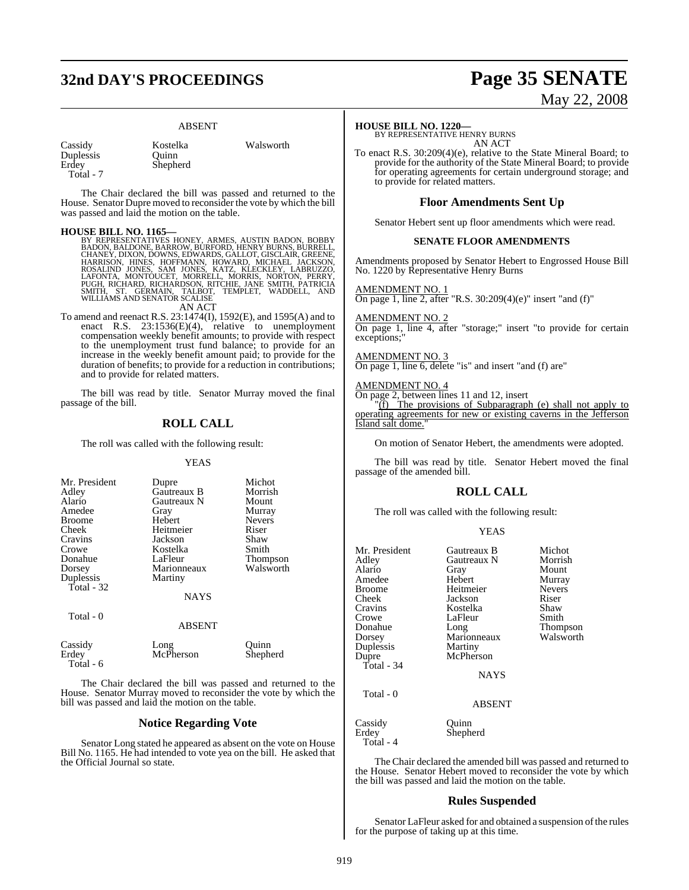# **32nd DAY'S PROCEEDINGS Page 35 SENATE**

Ouinn Shepherd

#### ABSENT

| Cassidy   |
|-----------|
| Duplessis |
| Erdev     |
| Total - 7 |

Kostelka Walsworth

The Chair declared the bill was passed and returned to the House. Senator Dupre moved to reconsider the vote by which the bill was passed and laid the motion on the table.

**HOUSE BILL NO. 1165—**<br>BY REPRESENTATIVES HONEY, ARMES, AUSTIN BADON, BOBBY<br>BADON, BAILDONE, BARROW, BURFORD, HENRY BURNS, BURRELL,<br>CHANEY, DIXON, DOWNS, EDWARDS, GALLOT, GISCLAIR, GREENE,<br>HARRISON, HINES, HOFFMANN, HOWARD

AN ACT

To amend and reenact R.S. 23:1474(I), 1592(E), and 1595(A) and to enact R.S. 23:1536(E)(4), relative to unemployment compensation weekly benefit amounts; to provide with respect to the unemployment trust fund balance; to provide for an increase in the weekly benefit amount paid; to provide for the duration of benefits; to provide for a reduction in contributions; and to provide for related matters.

The bill was read by title. Senator Murray moved the final passage of the bill.

#### **ROLL CALL**

The roll was called with the following result:

#### YEAS

| Mr. President | Dupre         | Michot        |
|---------------|---------------|---------------|
| Adley         | Gautreaux B   | Morrish       |
| Alario        | Gautreaux N   | Mount         |
|               |               |               |
| Amedee        | Gray          | Murray        |
| <b>Broome</b> | Hebert        | <b>Nevers</b> |
| Cheek         | Heitmeier     | Riser         |
| Cravins       | Jackson       | Shaw          |
| Crowe         | Kostelka      | Smith         |
| Donahue       | LaFleur       | Thompson      |
| Dorsey        | Marionneaux   | Walsworth     |
| Duplessis     | Martiny       |               |
| Total - 32    |               |               |
|               | <b>NAYS</b>   |               |
|               |               |               |
| Total - 0     |               |               |
|               | <b>ABSENT</b> |               |
| Cassidy       | Long          | Ouinn         |
| Erdey         | McPherson     | Shepherd      |
| Total - 6     |               |               |
|               |               |               |

The Chair declared the bill was passed and returned to the House. Senator Murray moved to reconsider the vote by which the bill was passed and laid the motion on the table.

#### **Notice Regarding Vote**

Senator Long stated he appeared as absent on the vote on House Bill No. 1165. He had intended to vote yea on the bill. He asked that the Official Journal so state.

# May 22, 2008

#### **HOUSE BILL NO. 1220—**

BY REPRESENTATIVE HENRY BURNS AN ACT

To enact R.S. 30:209(4)(e), relative to the State Mineral Board; to provide for the authority of the State Mineral Board; to provide for operating agreements for certain underground storage; and to provide for related matters.

#### **Floor Amendments Sent Up**

Senator Hebert sent up floor amendments which were read.

#### **SENATE FLOOR AMENDMENTS**

Amendments proposed by Senator Hebert to Engrossed House Bill No. 1220 by Representative Henry Burns

AMENDMENT NO. 1 On page 1, line 2, after "R.S. 30:209(4)(e)" insert "and (f)"

AMENDMENT NO. 2

On page 1, line 4, after "storage;" insert "to provide for certain exceptions;

## AMENDMENT NO. 3

On page 1, line 6, delete "is" and insert "and (f) are"

#### AMENDMENT NO. 4

On page 2, between lines 11 and 12, insert

"(f) The provisions of Subparagraph (e) shall not apply to operating agreements for new or existing caverns in the Jefferson Island salt dome.

On motion of Senator Hebert, the amendments were adopted.

The bill was read by title. Senator Hebert moved the final passage of the amended bill.

#### **ROLL CALL**

The roll was called with the following result:

|--|--|--|

| Mr. President | Gautreaux B | Michot        |
|---------------|-------------|---------------|
| Adley         | Gautreaux N | Morrish       |
| Alario        |             | Mount         |
|               | Gray        |               |
| Amedee        | Hebert      | Murray        |
| <b>Broome</b> | Heitmeier   | <b>Nevers</b> |
| Cheek         | Jackson     | Riser         |
| Cravins       | Kostelka    | Shaw          |
| Crowe         | LaFleur     | Smith         |
| Donahue       | Long        | Thompson      |
| Dorsey        | Marionneaux | Walsworth     |
| Duplessis     | Martiny     |               |
| Dupre         | McPherson   |               |
| Total - 34    |             |               |
|               | NAYS        |               |
| Total - 0     |             |               |
|               | ABSENT      |               |
| Cassidy       | Ouinn       |               |
| Erdey         | Shepherd    |               |
| Total - 4     |             |               |

The Chair declared the amended bill was passed and returned to the House. Senator Hebert moved to reconsider the vote by which the bill was passed and laid the motion on the table.

#### **Rules Suspended**

Senator LaFleur asked for and obtained a suspension of the rules for the purpose of taking up at this time.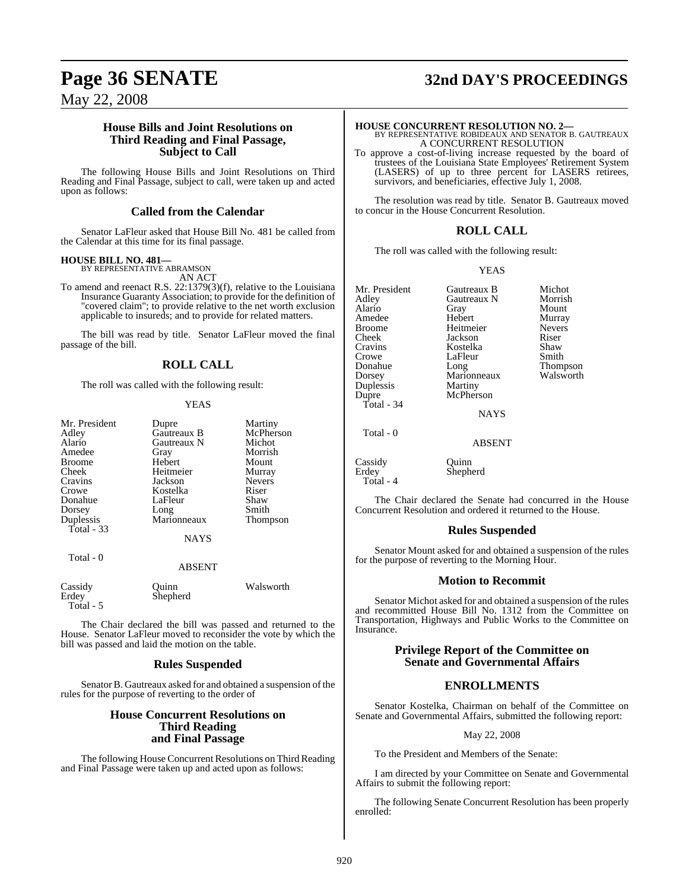#### **House Bills and Joint Resolutions on Third Reading and Final Passage, Subject to Call**

The following House Bills and Joint Resolutions on Third Reading and Final Passage, subject to call, were taken up and acted upon as follows:

#### **Called from the Calendar**

Senator LaFleur asked that House Bill No. 481 be called from the Calendar at this time for its final passage.

#### **HOUSE BILL NO. 481—**

BY REPRESENTATIVE ABRAMSON

AN ACT To amend and reenact R.S. 22:1379(3)(f), relative to the Louisiana Insurance Guaranty Association; to provide for the definition of "covered claim"; to provide relative to the net worth exclusion applicable to insureds; and to provide for related matters.

The bill was read by title. Senator LaFleur moved the final passage of the bill.

## **ROLL CALL**

The roll was called with the following result:

#### **YEAS**

| Mr. President | Dupre       | Martiny       |
|---------------|-------------|---------------|
| Adley         | Gautreaux B | McPherson     |
| Alario        | Gautreaux N | Michot        |
| Amedee        | Gray        | Morrish       |
| Broome        | Hebert      | Mount         |
| Cheek         | Heitmeier   | Murray        |
| Cravins       | Jackson     | <b>Nevers</b> |
| Crowe         | Kostelka    | Riser         |
| Donahue       | LaFleur     | Shaw          |
| Dorsey        | Long        | Smith         |
| Duplessis     | Marionneaux | Thompson      |
| Total $-33$   |             |               |
|               | <b>NAYS</b> |               |
|               |             |               |

Total - 0

## ABSENT

| Cassidy<br>Erdey | Ouinn<br>Shepherd | Walsworth |
|------------------|-------------------|-----------|
| Total - 5        |                   |           |

The Chair declared the bill was passed and returned to the House. Senator LaFleur moved to reconsider the vote by which the bill was passed and laid the motion on the table.

## **Rules Suspended**

Senator B. Gautreaux asked for and obtained a suspension of the rules for the purpose of reverting to the order of

#### **House Concurrent Resolutions on Third Reading and Final Passage**

The following House Concurrent Resolutions on Third Reading and Final Passage were taken up and acted upon as follows:

# **Page 36 SENATE 32nd DAY'S PROCEEDINGS**

**HOUSE CONCURRENT RESOLUTION NO. 2—** BY REPRESENTATIVE ROBIDEAUX AND SENATOR B. GAUTREAUX A CONCURRENT RESOLUTION

To approve a cost-of-living increase requested by the board of trustees of the Louisiana State Employees' Retirement System (LASERS) of up to three percent for LASERS retirees, survivors, and beneficiaries, effective July 1, 2008.

The resolution was read by title. Senator B. Gautreaux moved to concur in the House Concurrent Resolution.

## **ROLL CALL**

The roll was called with the following result:

#### YEAS

Mr. President Gautreaux B Michot<br>Adley Gautreaux N Morrish Adley Gautreaux N<br>Alario Gray Amedee Broome Heitmeier Nevers Cheek Jackson Riser Cravins Kostelka Shaw Crowe LaFleur<br>Donahue Long Donahue Long Thompson<br>
Dorsey Marionneaux Walsworth Duplessis<br>Dupre Total - 34

Gray Mount<br>Hebert Murray

NAYS

ABSENT

Marionneaux<br>Martiny

McPherson

Shepherd

Total - 0

Cassidy Quinn<br>Erdey Shephe

Total - 4

The Chair declared the Senate had concurred in the House Concurrent Resolution and ordered it returned to the House.

## **Rules Suspended**

Senator Mount asked for and obtained a suspension of the rules for the purpose of reverting to the Morning Hour.

#### **Motion to Recommit**

Senator Michot asked for and obtained a suspension of the rules and recommitted House Bill No. 1312 from the Committee on Transportation, Highways and Public Works to the Committee on Insurance.

#### **Privilege Report of the Committee on Senate and Governmental Affairs**

## **ENROLLMENTS**

Senator Kostelka, Chairman on behalf of the Committee on Senate and Governmental Affairs, submitted the following report:

May 22, 2008

To the President and Members of the Senate:

I am directed by your Committee on Senate and Governmental Affairs to submit the following report:

The following Senate Concurrent Resolution has been properly enrolled: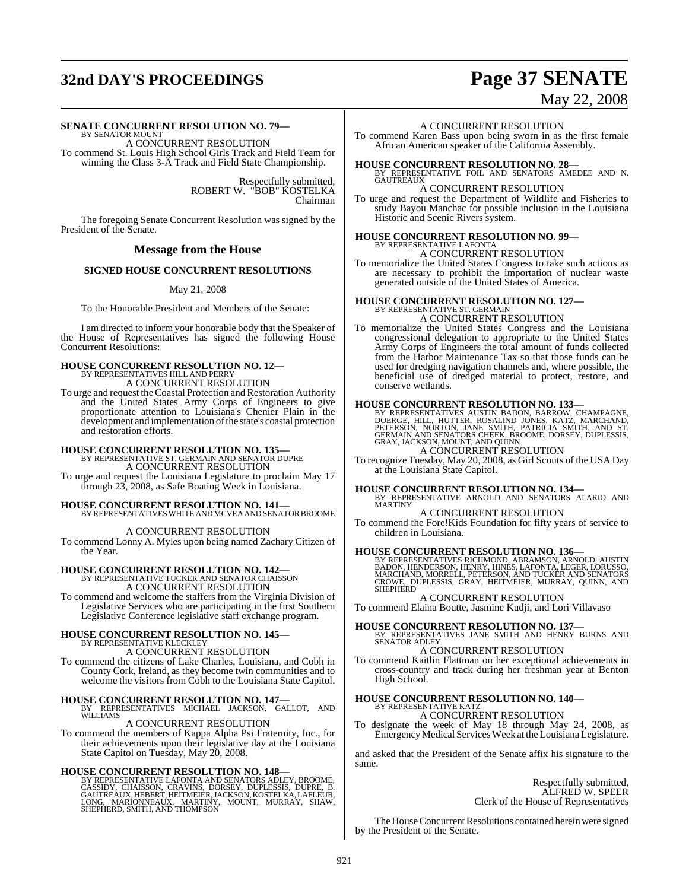# **32nd DAY'S PROCEEDINGS Page 37 SENATE**

# May 22, 2008

#### **SENATE CONCURRENT RESOLUTION NO. 79—**

BY SENATOR MOUNT A CONCURRENT RESOLUTION To commend St. Louis High School Girls Track and Field Team for winning the Class 3-A Track and Field State Championship.

> Respectfully submitted, ROBERT W. "BOB" KOSTELKA Chairman

The foregoing Senate Concurrent Resolution was signed by the President of the Senate.

#### **Message from the House**

#### **SIGNED HOUSE CONCURRENT RESOLUTIONS**

#### May 21, 2008

To the Honorable President and Members of the Senate:

I am directed to inform your honorable body that the Speaker of the House of Representatives has signed the following House Concurrent Resolutions:

# **HOUSE CONCURRENT RESOLUTION NO. 12—** BY REPRESENTATIVES HILL AND PERRY A CONCURRENT RESOLUTION

To urge and request theCoastal Protection and Restoration Authority and the United States Army Corps of Engineers to give proportionate attention to Louisiana's Chenier Plain in the development and implementation of the state's coastal protection and restoration efforts.

# **HOUSE CONCURRENT RESOLUTION NO. 135—** BY REPRESENTATIVE ST. GERMAIN AND SENATOR DUPRE

A CONCURRENT RESOLUTION

To urge and request the Louisiana Legislature to proclaim May 17 through 23, 2008, as Safe Boating Week in Louisiana.

**HOUSE CONCURRENT RESOLUTION NO. 141—** BY REPRESENTATIVESWHITE ANDMCVEAAND SENATOR BROOME

A CONCURRENT RESOLUTION To commend Lonny A. Myles upon being named Zachary Citizen of the Year.

# **HOUSE CONCURRENT RESOLUTION NO. 142—** BY REPRESENTATIVE TUCKER AND SENATOR CHAISSON

A CONCURRENT RESOLUTION

To commend and welcome the staffers from the Virginia Division of Legislative Services who are participating in the first Southern Legislative Conference legislative staff exchange program.

#### **HOUSE CONCURRENT RESOLUTION NO. 145—** BY REPRESENTATIVE KLECKLEY A CONCURRENT RESOLUTION

To commend the citizens of Lake Charles, Louisiana, and Cobh in County Cork, Ireland, as they become twin communities and to welcome the visitors from Cobh to the Louisiana State Capitol.

#### **HOUSE CONCURRENT RESOLUTION NO. 147—**

BY REPRESENTATIVES MICHAEL JACKSON, GALLOT, AND WILLIAMS A CONCURRENT RESOLUTION

To commend the members of Kappa Alpha Psi Fraternity, Inc., for their achievements upon their legislative day at the Louisiana State Capitol on Tuesday, May 20, 2008.

**HOUSE CONCURRENT RESOLUTION NO. 148—**<br>BY REPRESENTATIVE LAFONTA AND SENATORS ADLEY, BROOME, CASSIDY, CHAISSON, CRAVINS, DORSEY, DUPLESSIS, DUPRE, B.<br>GAUTREAUX, HEBERT, HEITMEIER, JACKSON, KOSTELKA, LAFLEUR, LONG, MARIONNE

#### A CONCURRENT RESOLUTION

To commend Karen Bass upon being sworn in as the first female African American speaker of the California Assembly.

**HOUSE CONCURRENT RESOLUTION NO. 28—**<br>BY REPRESENTATIVE FOIL AND SENATORS AMEDEE AND N.<br>GAUTREAUX

#### A CONCURRENT RESOLUTION

To urge and request the Department of Wildlife and Fisheries to study Bayou Manchac for possible inclusion in the Louisiana Historic and Scenic Rivers system.

# **HOUSE CONCURRENT RESOLUTION NO. 99<br>BY REPRESENTATIVE LAFONTA<br>A CONCURRENT RESOLUTION**

To memorialize the United States Congress to take such actions as are necessary to prohibit the importation of nuclear waste generated outside of the United States of America.

#### **HOUSE CONCURRENT RESOLUTION NO. 127—** BY REPRESENTATIVE ST. GERMAIN A CONCURRENT RESOLUTION

To memorialize the United States Congress and the Louisiana congressional delegation to appropriate to the United States Army Corps of Engineers the total amount of funds collected from the Harbor Maintenance Tax so that those funds can be used for dredging navigation channels and, where possible, the beneficial use of dredged material to protect, restore, and conserve wetlands.

**HOUSE CONCURRENT RESOLUTION NO. 133—BY RESOLUTION NO.**<br>BY REPRESENTATIVES AUSTIN BADON, BARROW, CHAMPAGNE, DOERGE, HILL, HUTTER, ROSALIND JONES, KATZ, MARCHAND,<br>PETERSON, NORTON, JANE SMITH, PATRICIA SMITH, AND ST.<br>GEAMAI A CONCURRENT RESOLUTION

To recognize Tuesday, May 20, 2008, as Girl Scouts of the USA Day at the Louisiana State Capitol.

**HOUSE CONCURRENT RESOLUTION NO. 134—** BY REPRESENTATIVE ARNOLD AND SENATORS ALARIO AND MARTINY

A CONCURRENT RESOLUTION To commend the Fore!Kids Foundation for fifty years of service to children in Louisiana.

#### **HOUSE CONCURRENT RESOLUTION NO. 136—**

BY REPRESENTATIVES RICHMOND, ABRAMSON, ARNOLD, AUSTIN<br>BADON, HENDERSON, HENRY, HINES, LAFONTA, LEGER, LORUSSO,<br>MARCHAND, MORRELL, PETERSON, AND TUCKER AND SENATORS<br>CROWE, DUPLESSIS, GRAY, HEITMEIER, MURRAY, QUINN, AND SHEPHERD

A CONCURRENT RESOLUTION

To commend Elaina Boutte, Jasmine Kudji, and Lori Villavaso

**HOUSE CONCURRENT RESOLUTION NO. 137—** BY REPRESENTATIVES JANE SMITH AND HENRY BURNS AND SENATOR ADLEY

## A CONCURRENT RESOLUTION

To commend Kaitlin Flattman on her exceptional achievements in cross-country and track during her freshman year at Benton High School.

# **HOUSE CONCURRENT RESOLUTION NO. 140—** BY REPRESENTATIVE KATZ

A CONCURRENT RESOLUTION

To designate the week of May 18 through May 24, 2008, as Emergency Medical Services Week at the Louisiana Legislature.

and asked that the President of the Senate affix his signature to the same.

> Respectfully submitted, ALFRED W. SPEER Clerk of the House of Representatives

The House Concurrent Resolutions contained herein were signed by the President of the Senate.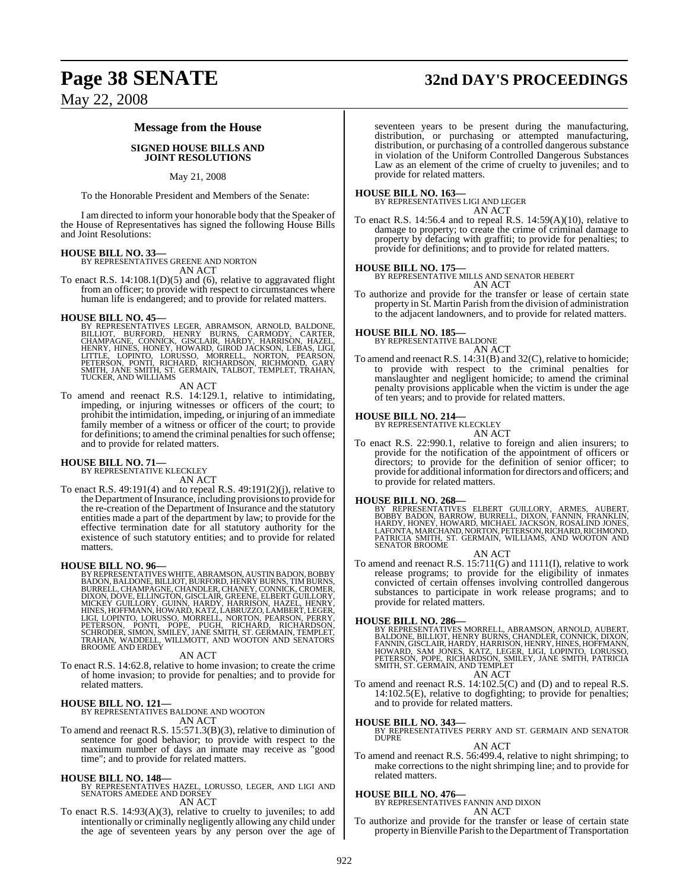# **Page 38 SENATE 32nd DAY'S PROCEEDINGS**

May 22, 2008

#### **Message from the House**

#### **SIGNED HOUSE BILLS AND JOINT RESOLUTIONS**

#### May 21, 2008

To the Honorable President and Members of the Senate:

I am directed to inform your honorable body that the Speaker of the House of Representatives has signed the following House Bills and Joint Resolutions:

**HOUSE BILL NO. 33—** BY REPRESENTATIVES GREENE AND NORTON AN ACT

To enact R.S. 14:108.1(D)(5) and (6), relative to aggravated flight from an officer; to provide with respect to circumstances where human life is endangered; and to provide for related matters.

**HOUSE BILL NO. 45—**<br>BY REPRESENTATIVES LEGER, ABRAMSON, ARNOLD, BALDONE,<br>BILLIOT, BURFORD, HENRY BURNS, CARMODY, CARTER,<br>CHAMPAGNE, CONNICK, GISCLAIR, HARDY, HARRISON, HAZEL,<br>HENRY, HINES, HONEY, HOWARD, GIROD JACKSON, LE

AN ACT

To amend and reenact R.S. 14:129.1, relative to intimidating, impeding, or injuring witnesses or officers of the court; to prohibit the intimidation, impeding, or injuring of an immediate family member of a witness or officer of the court; to provide for definitions; to amend the criminal penalties for such offense; and to provide for related matters.

#### **HOUSE BILL NO. 71—**

BY REPRESENTATIVE KLECKLEY AN ACT

To enact R.S. 49:191(4) and to repeal R.S. 49:191(2)(j), relative to the Department of Insurance, including provisions to provide for the re-creation of the Department of Insurance and the statutory entities made a part of the department by law; to provide for the effective termination date for all statutory authority for the existence of such statutory entities; and to provide for related matters.

**HOUSE BILL NO. 96**<br>BY REPRESENTATIVES WHITE, ABRAMSON, AUSTIN BADON, BOBBY<br>BADON, BALDONE, BILLIOT, BURFORD, HENRY BURNS, TIM BURNS,<br>BURRELL, CHAMPAGNE, CHANDLER, CHANEY, CONNICK, CROMER,<br>DIXON, DOVE, ELLINGTON, GISCLAIR,

#### AN ACT

To enact R.S. 14:62.8, relative to home invasion; to create the crime of home invasion; to provide for penalties; and to provide for related matters.

**HOUSE BILL NO. 121—** BY REPRESENTATIVES BALDONE AND WOOTON AN ACT

To amend and reenact R.S. 15:571.3(B)(3), relative to diminution of sentence for good behavior; to provide with respect to the maximum number of days an inmate may receive as "good time"; and to provide for related matters.

#### **HOUSE BILL NO. 148—**

BY REPRESENTATIVES HAZEL, LORUSSO, LEGER, AND LIGI AND SENATORS AMEDEE AND DORSEY AN ACT

To enact R.S. 14:93(A)(3), relative to cruelty to juveniles; to add intentionally or criminally negligently allowing any child under the age of seventeen years by any person over the age of

seventeen years to be present during the manufacturing, distribution, or purchasing or attempted manufacturing, distribution, or purchasing of a controlled dangerous substance in violation of the Uniform Controlled Dangerous Substances Law as an element of the crime of cruelty to juveniles; and to provide for related matters.

#### **HOUSE BILL NO. 163—**

BY REPRESENTATIVES LIGI AND LEGER AN ACT

To enact R.S. 14:56.4 and to repeal R.S. 14:59(A)(10), relative to damage to property; to create the crime of criminal damage to property by defacing with graffiti; to provide for penalties; to provide for definitions; and to provide for related matters.

**HOUSE BILL NO. 175—** BY REPRESENTATIVE MILLS AND SENATOR HEBERT AN ACT

To authorize and provide for the transfer or lease of certain state property in St. Martin Parish fromthe division of administration to the adjacent landowners, and to provide for related matters.

#### **HOUSE BILL NO. 185—**

BY REPRESENTATIVE BALDONE

- AN ACT
- To amend and reenact R.S. 14:31(B) and 32(C), relative to homicide; to provide with respect to the criminal penalties for manslaughter and negligent homicide; to amend the criminal penalty provisions applicable when the victim is under the age of ten years; and to provide for related matters.

# **HOUSE BILL NO. 214—** BY REPRESENTATIVE KLECKLEY

AN ACT

To enact R.S. 22:990.1, relative to foreign and alien insurers; to provide for the notification of the appointment of officers or directors; to provide for the definition of senior officer; to provide for additional information for directors and officers; and to provide for related matters.

#### **HOUSE BILL NO. 268—**

BY REPRESENTATIVES ELBERT GUILLORY, ARMES, AUBERT,<br>BOBBY BADON, BARROW, BURRELL, DIXON, FANNIN, FRANKLIN,<br>HARDY, HONEY, HOWARD, MICHAEL JACKSON, ROSALIND, JONES,<br>LAFONTA, MARCHAND, NORTON, PETERSON, RICHARD, RICHMOND,<br>PATR SENATOR BROOME

AN ACT

To amend and reenact R.S. 15:711(G) and 1111(I), relative to work release programs; to provide for the eligibility of inmates convicted of certain offenses involving controlled dangerous substances to participate in work release programs; and to provide for related matters.

**HOUSE BILL NO. 286—**<br>BY REPRESENTATIVES MORRELL, ABRAMSON, ARNOLD, AUBERT, BALDONE, BILLIOT, HENRY BURNS, CHANDLER, CONNICK, DIXON, FANNIN, GISCLAIR, HARDY, HARRISON, HENRY, HINES, HOFFMANN, HOWARD, SAM JONES, KATZ, LEGER

To amend and reenact R.S. 14:102.5(C) and (D) and to repeal R.S. To amend and reenact R.S. 14:102.5(C) and (D) and to repeal R.S. 14:102.5(E), relative to dogfighting; to provide for penalties; and to provide for related matters.

**HOUSE BILL NO. 343—** BY REPRESENTATIVES PERRY AND ST. GERMAIN AND SENATOR DUPRE

#### AN ACT

To amend and reenact R.S. 56:499.4, relative to night shrimping; to make corrections to the night shrimping line; and to provide for related matters.

#### **HOUSE BILL NO. 476—**

BY REPRESENTATIVES FANNIN AND DIXON

AN ACT

To authorize and provide for the transfer or lease of certain state property in Bienville Parish to the Department of Transportation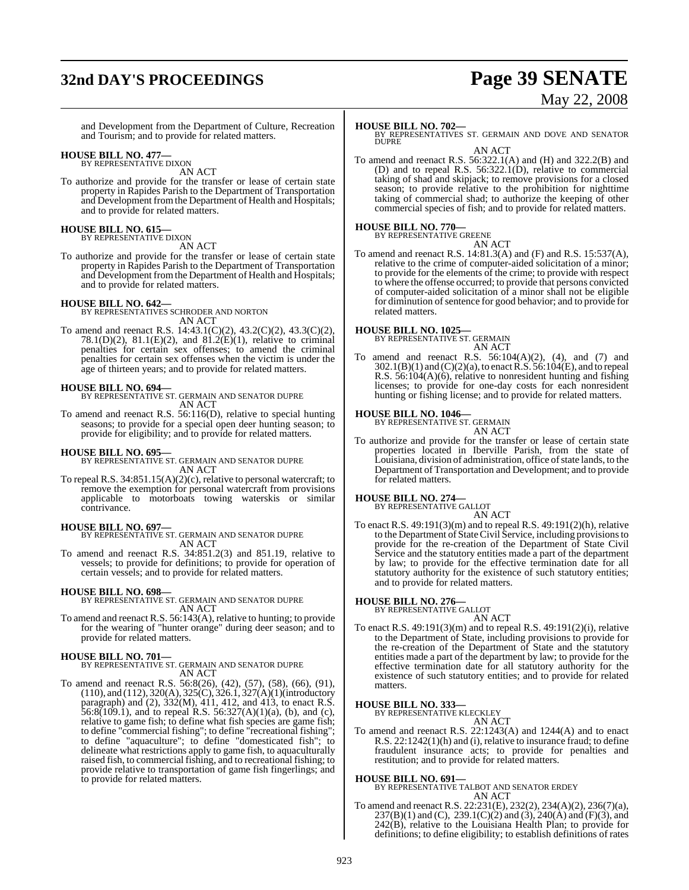# **32nd DAY'S PROCEEDINGS Page 39 SENATE**

# May 22, 2008

and Development from the Department of Culture, Recreation and Tourism; and to provide for related matters.

# **HOUSE BILL NO. 477—** BY REPRESENTATIVE DIXON

AN ACT

To authorize and provide for the transfer or lease of certain state property in Rapides Parish to the Department of Transportation and Development from the Department of Health and Hospitals; and to provide for related matters.

# **HOUSE BILL NO. 615—** BY REPRESENTATIVE DIXON

AN ACT

To authorize and provide for the transfer or lease of certain state property in Rapides Parish to the Department of Transportation and Development from the Department of Health and Hospitals; and to provide for related matters.

**HOUSE BILL NO. 642—** BY REPRESENTATIVES SCHRODER AND NORTON AN ACT

To amend and reenact R.S. 14:43.1(C)(2), 43.2(C)(2), 43.3(C)(2), 78.1(D)(2), 81.1(E)(2), and 81.2(E)(1), relative to criminal penalties for certain sex offenses; to amend the criminal penalties for certain sex offenses when the victim is under the age of thirteen years; and to provide for related matters.

#### **HOUSE BILL NO. 694—**

BY REPRESENTATIVE ST. GERMAIN AND SENATOR DUPRE AN ACT

To amend and reenact R.S. 56:116(D), relative to special hunting seasons; to provide for a special open deer hunting season; to provide for eligibility; and to provide for related matters.

#### **HOUSE BILL NO. 695—**

BY REPRESENTATIVE ST. GERMAIN AND SENATOR DUPRE AN ACT

To repeal R.S. 34:851.15(A)(2)(c), relative to personal watercraft; to remove the exemption for personal watercraft from provisions applicable to motorboats towing waterskis or similar contrivance.

**HOUSE BILL NO. 697—** BY REPRESENTATIVE ST. GERMAIN AND SENATOR DUPRE AN ACT

To amend and reenact R.S. 34:851.2(3) and 851.19, relative to vessels; to provide for definitions; to provide for operation of certain vessels; and to provide for related matters.

#### **HOUSE BILL NO. 698—**

BY REPRESENTATIVE ST. GERMAIN AND SENATOR DUPRE AN ACT

To amend and reenact R.S. 56:143(A), relative to hunting; to provide for the wearing of "hunter orange" during deer season; and to provide for related matters.

#### **HOUSE BILL NO. 701—**

BY REPRESENTATIVE ST. GERMAIN AND SENATOR DUPRE AN ACT

To amend and reenact R.S. 56:8(26), (42), (57), (58), (66), (91), (110), and (112), 320(A), 325(C), 326.1, 327(A)(1)(introductory paragraph) and (2), 332(M), 411, 412, and 413, to enact R.S.  $56:8(109.1)$ , and to repeal R.S.  $56:327(A)(1)(a)$ , (b), and (c), relative to game fish; to define what fish species are game fish; to define "commercial fishing"; to define "recreational fishing"; to define "aquaculture"; to define "domesticated fish"; to delineate what restrictions apply to game fish, to aquaculturally raised fish, to commercial fishing, and to recreational fishing; to provide relative to transportation of game fish fingerlings; and to provide for related matters.

#### **HOUSE BILL NO. 702—**

BY REPRESENTATIVES ST. GERMAIN AND DOVE AND SENATOR DUPRE AN ACT

To amend and reenact R.S. 56:322.1(A) and (H) and 322.2(B) and (D) and to repeal R.S. 56:322.1(D), relative to commercial taking of shad and skipjack; to remove provisions for a closed season; to provide relative to the prohibition for nighttime taking of commercial shad; to authorize the keeping of other commercial species of fish; and to provide for related matters.

# **HOUSE BILL NO. 770—** BY REPRESENTATIVE GREENE

AN ACT

To amend and reenact R.S. 14:81.3(A) and (F) and R.S. 15:537(A), relative to the crime of computer-aided solicitation of a minor; to provide for the elements of the crime; to provide with respect to where the offense occurred; to provide that persons convicted of computer-aided solicitation of a minor shall not be eligible for diminution of sentence for good behavior; and to provide for related matters.

# **HOUSE BILL NO. 1025—** BY REPRESENTATIVE ST. GERMAIN

AN ACT

To amend and reenact R.S.  $56:104(A)(2)$ , (4), and (7) and 302.1(B)(1) and (C)(2)(a), to enactR.S. 56:104(E), and to repeal R.S. 56:104(A)(6), relative to nonresident hunting and fishing licenses; to provide for one-day costs for each nonresident hunting or fishing license; and to provide for related matters.

# **HOUSE BILL NO. 1046—** BY REPRESENTATIVE ST. GERMAIN

AN ACT

To authorize and provide for the transfer or lease of certain state properties located in Iberville Parish, from the state of Louisiana, division of administration, office of state lands, to the Department of Transportation and Development; and to provide for related matters.

#### **HOUSE BILL NO. 274—**

BY REPRESENTATIVE GALLOT

AN ACT To enact R.S. 49:191(3)(m) and to repeal R.S. 49:191(2)(h), relative to the Department of StateCivil Service, including provisionsto provide for the re-creation of the Department of State Civil Service and the statutory entities made a part of the department by law; to provide for the effective termination date for all statutory authority for the existence of such statutory entities; and to provide for related matters.

# **HOUSE BILL NO. 276—** BY REPRESENTATIVE GALLOT

AN ACT To enact R.S. 49:191(3)(m) and to repeal R.S. 49:191(2)(i), relative to the Department of State, including provisions to provide for the re-creation of the Department of State and the statutory entities made a part of the department by law; to provide for the effective termination date for all statutory authority for the existence of such statutory entities; and to provide for related matters.

**HOUSE BILL NO. 333—** BY REPRESENTATIVE KLECKLEY

## AN ACT

To amend and reenact R.S. 22:1243(A) and 1244(A) and to enact R.S. 22:1242(1)(h) and (i), relative to insurance fraud; to define fraudulent insurance acts; to provide for penalties and restitution; and to provide for related matters.

#### **HOUSE BILL NO. 691—**

BY REPRESENTATIVE TALBOT AND SENATOR ERDEY AN ACT

To amend and reenact R.S. 22:231(E), 232(2), 234(A)(2), 236(7)(a),  $237(B)(1)$  and (C),  $239.1(C)(2)$  and (3),  $240(A)$  and (F)(3), and 242(B), relative to the Louisiana Health Plan; to provide for definitions; to define eligibility; to establish definitions of rates